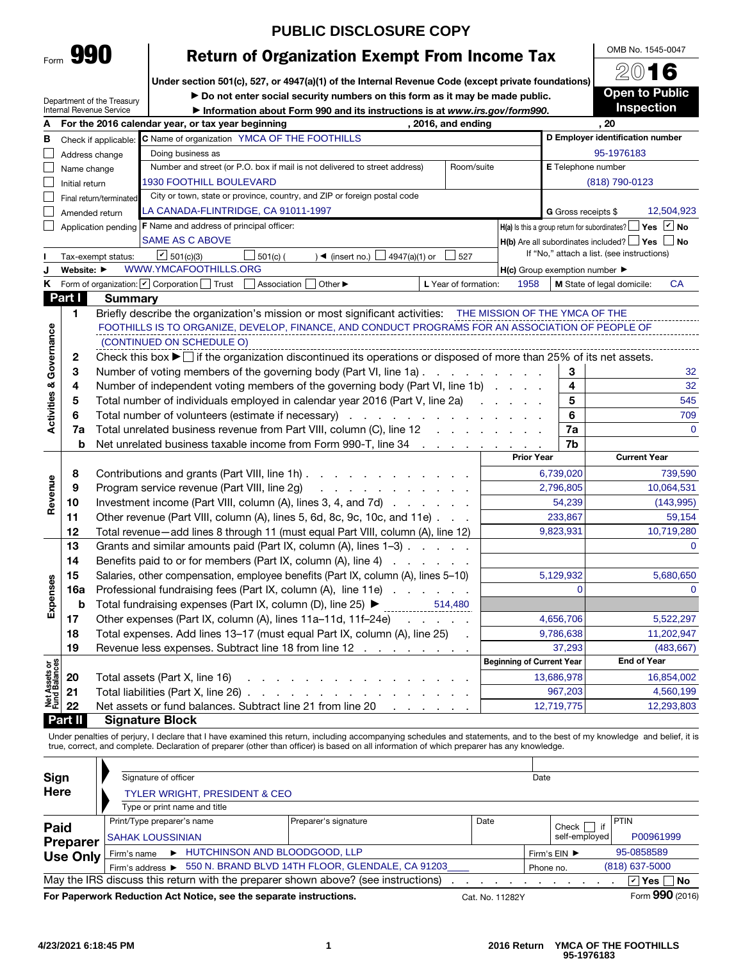|   | Internal Revenue S |  |
|---|--------------------|--|
| A | For the 20         |  |

Form 990

# **PUBLIC DISCLOSURE COPY**

# Return of Organization Exempt From Income Tax

Under section 501(c), 527, or 4947(a)(1) of the Internal Revenue Code (except private foundations)

Department of the Treasury

▶ Do not enter social security numbers on this form as it may be made public.

|                                |                | OCUQILIICIIL UI LIIC II CASUIN<br>Internal Revenue Service | Information about Form 990 and its instructions is at www.irs.gov/form990.                                                           |                                                     |                     | <b>Inspection</b>                                           |  |  |
|--------------------------------|----------------|------------------------------------------------------------|--------------------------------------------------------------------------------------------------------------------------------------|-----------------------------------------------------|---------------------|-------------------------------------------------------------|--|--|
|                                |                |                                                            | For the 2016 calendar year, or tax year beginning<br>, 2016, and ending                                                              |                                                     | .20                 |                                                             |  |  |
| в                              |                | Check if applicable:                                       | C Name of organization YMCA OF THE FOOTHILLS                                                                                         |                                                     |                     | D Employer identification number                            |  |  |
|                                |                | Address change                                             | Doing business as                                                                                                                    |                                                     |                     | 95-1976183                                                  |  |  |
|                                | Name change    |                                                            | E Telephone number                                                                                                                   |                                                     |                     |                                                             |  |  |
|                                | Initial return |                                                            | 1930 FOOTHILL BOULEVARD                                                                                                              |                                                     |                     | (818) 790-0123                                              |  |  |
|                                |                | Final return/terminated                                    | City or town, state or province, country, and ZIP or foreign postal code                                                             |                                                     |                     |                                                             |  |  |
|                                |                | Amended return                                             | LA CANADA-FLINTRIDGE, CA 91011-1997                                                                                                  |                                                     | G Gross receipts \$ | 12,504,923                                                  |  |  |
|                                |                | Application pending                                        | F Name and address of principal officer:                                                                                             |                                                     |                     | Yes Y No<br>$H(a)$ is this a group return for subordinates? |  |  |
|                                |                |                                                            | <b>SAME AS C ABOVE</b>                                                                                                               |                                                     |                     | $H(b)$ Are all subordinates included? $\Box$ Yes $\Box$ No  |  |  |
|                                |                | Tax-exempt status:                                         | $\boxed{V}$ 501(c)(3)<br>$\Box$ 501(c) (<br>4947(a)(1) or<br>$\rightarrow$ (insert no.) L<br>527                                     |                                                     |                     | If "No," attach a list. (see instructions)                  |  |  |
|                                | Website: ▶     |                                                            | WWW.YMCAFOOTHILLS.ORG                                                                                                                | $H(c)$ Group exemption number $\blacktriangleright$ |                     |                                                             |  |  |
| κ                              |                |                                                            | Form of organization: Ø Corporation [<br>Other $\blacktriangleright$<br>Trust<br>Association<br>L Year of formation:                 | 1958                                                |                     | CA<br>M State of legal domicile:                            |  |  |
|                                | Part I         | <b>Summary</b>                                             |                                                                                                                                      |                                                     |                     |                                                             |  |  |
|                                | 1              |                                                            | Briefly describe the organization's mission or most significant activities: THE MISSION OF THE YMCA OF THE                           |                                                     |                     |                                                             |  |  |
|                                |                |                                                            | FOOTHILLS IS TO ORGANIZE, DEVELOP, FINANCE, AND CONDUCT PROGRAMS FOR AN ASSOCIATION OF PEOPLE OF                                     |                                                     |                     |                                                             |  |  |
|                                |                |                                                            | (CONTINUED ON SCHEDULE O)                                                                                                            |                                                     |                     |                                                             |  |  |
|                                | 2              |                                                            | Check this box $\blacktriangleright$ if the organization discontinued its operations or disposed of more than 25% of its net assets. |                                                     |                     |                                                             |  |  |
|                                | 3              |                                                            | Number of voting members of the governing body (Part VI, line 1a)                                                                    |                                                     | 3                   | 32                                                          |  |  |
|                                | 4              |                                                            | Number of independent voting members of the governing body (Part VI, line 1b)                                                        |                                                     | 4                   | 32                                                          |  |  |
|                                | 5              |                                                            | Total number of individuals employed in calendar year 2016 (Part V, line 2a)                                                         | and a state of the                                  | 5                   | 545                                                         |  |  |
| Activities & Governance        | 6              |                                                            | Total number of volunteers (estimate if necessary)<br>and a series of the contract of                                                |                                                     | 6                   | 709                                                         |  |  |
|                                | 7a             |                                                            | Total unrelated business revenue from Part VIII, column (C), line 12<br><b>Carl Adams</b>                                            |                                                     | 7a                  | $\overline{0}$                                              |  |  |
|                                | b              |                                                            | Net unrelated business taxable income from Form 990-T, line 34<br><b>Contractor</b>                                                  |                                                     | 7b                  |                                                             |  |  |
|                                |                |                                                            |                                                                                                                                      | <b>Prior Year</b>                                   |                     | <b>Current Year</b>                                         |  |  |
|                                | 8              |                                                            | Contributions and grants (Part VIII, line 1h)                                                                                        |                                                     | 6,739,020           | 739,590                                                     |  |  |
| Revenue                        | 9              |                                                            | Program service revenue (Part VIII, line 2g)<br>المنافر والمنافر والمنافر والمنافر والمراق                                           |                                                     | 2,796,805           | 10,064,531                                                  |  |  |
|                                | 10             |                                                            | Investment income (Part VIII, column (A), lines 3, 4, and 7d)                                                                        |                                                     | 54,239              | (143, 995)                                                  |  |  |
|                                | 11             |                                                            | Other revenue (Part VIII, column (A), lines 5, 6d, 8c, 9c, 10c, and 11e)                                                             |                                                     | 233,867             | 59,154                                                      |  |  |
|                                | 12             |                                                            | Total revenue-add lines 8 through 11 (must equal Part VIII, column (A), line 12)                                                     |                                                     | 9,823,931           | 10,719,280                                                  |  |  |
|                                | 13             |                                                            | Grants and similar amounts paid (Part IX, column (A), lines 1-3)                                                                     |                                                     |                     | $\mathbf 0$                                                 |  |  |
|                                | 14             |                                                            | Benefits paid to or for members (Part IX, column (A), line 4)                                                                        |                                                     |                     |                                                             |  |  |
|                                | 15             |                                                            | Salaries, other compensation, employee benefits (Part IX, column (A), lines 5–10)                                                    |                                                     | 5,129,932           | 5,680,650                                                   |  |  |
|                                | 16a            |                                                            | Professional fundraising fees (Part IX, column (A), line 11e)                                                                        |                                                     | $\Omega$            | $\mathbf 0$                                                 |  |  |
| Expenses                       | b              |                                                            | Total fundraising expenses (Part IX, column (D), line 25) ▶<br>514,480                                                               |                                                     |                     |                                                             |  |  |
|                                | 17             |                                                            | Other expenses (Part IX, column (A), lines 11a-11d, 11f-24e)                                                                         |                                                     | 4,656,706           | 5,522,297                                                   |  |  |
|                                | 18             |                                                            | Total expenses. Add lines 13-17 (must equal Part IX, column (A), line 25)                                                            |                                                     | 9,786,638           | 11,202,947                                                  |  |  |
|                                | 19             |                                                            | Revenue less expenses. Subtract line 18 from line 12                                                                                 |                                                     | 37,293              | (483, 667)                                                  |  |  |
|                                |                |                                                            |                                                                                                                                      | <b>Beginning of Current Year</b>                    |                     | <b>End of Year</b>                                          |  |  |
|                                | 20             |                                                            | Total assets (Part X, line 16)                                                                                                       |                                                     | 13,686,978          | 16,854,002                                                  |  |  |
| Net Assets or<br>Fund Balances | 21             |                                                            | Total liabilities (Part X, line 26)                                                                                                  |                                                     | 967,203             | 4,560,199                                                   |  |  |
|                                | 22             |                                                            | Net assets or fund balances. Subtract line 21 from line 20                                                                           |                                                     | 12,719,775          | 12,293,803                                                  |  |  |

Part II Signature Block

Under penalties of perjury, I declare that I have examined this return, including accompanying schedules and statements, and to the best of my knowledge and belief, it is true, correct, and complete. Declaration of preparer (other than officer) is based on all information of which preparer has any knowledge.

| Sign            | Signature of officer                                                              |                               |                 | Date          |             |                   |
|-----------------|-----------------------------------------------------------------------------------|-------------------------------|-----------------|---------------|-------------|-------------------|
| Here            | <b>TYLER WRIGHT, PRESIDENT &amp; CEO</b>                                          |                               |                 |               |             |                   |
|                 | Type or print name and title                                                      |                               |                 |               |             |                   |
| Paid            | Print/Type preparer's name                                                        | Preparer's signature          | Date            |               | if<br>Check | PTIN              |
| <b>Preparer</b> | <b>SAHAK LOUSSINIAN</b>                                                           |                               |                 | self-emploved |             | P00961999         |
| <b>Use Only</b> | HUTCHINSON AND BLOODGOOD, LLP<br>Firm's name                                      |                               | Firm's EIN ▶    | 95-0858589    |             |                   |
|                 | 550 N. BRAND BLVD 14TH FLOOR, GLENDALE, CA 91203<br>Firm's address ▶              | $(818)$ 637-5000<br>Phone no. |                 |               |             |                   |
|                 | May the IRS discuss this return with the preparer shown above? (see instructions) |                               |                 |               |             | <b>☑ Yes ∏ No</b> |
|                 | For Paperwork Reduction Act Notice, see the separate instructions.                |                               | Cat. No. 11282Y |               |             | Form 990 (2016)   |

OMB No. 1545-0047 2016 **Open to Public**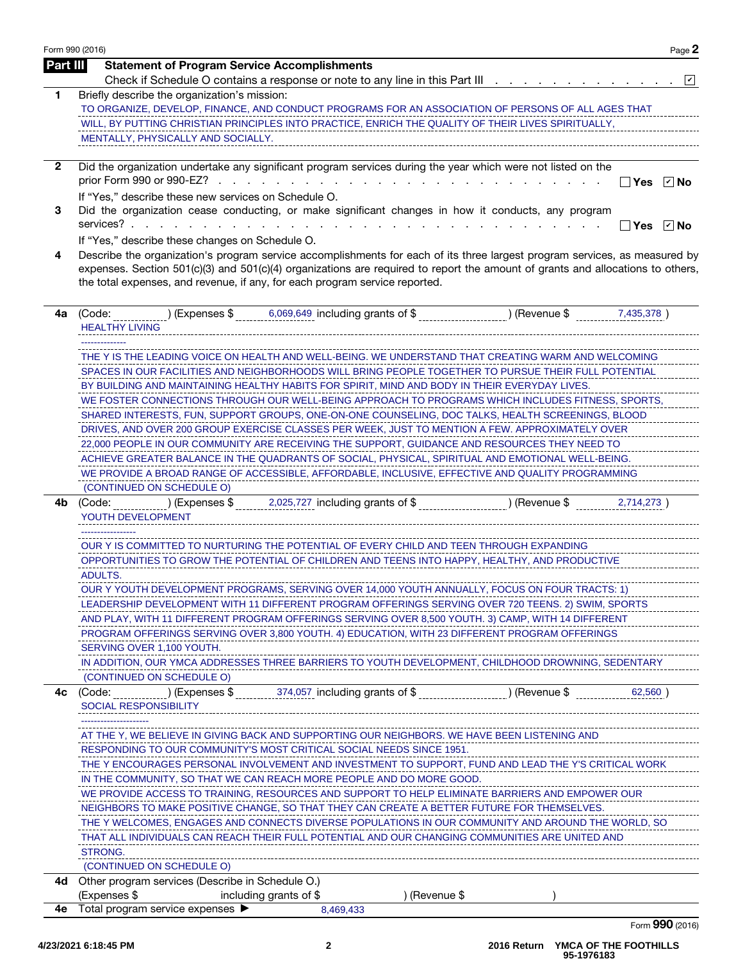|              | Form 990 (2016)                                                                                                                                                                                                                                                                                                                             | Page 2     |
|--------------|---------------------------------------------------------------------------------------------------------------------------------------------------------------------------------------------------------------------------------------------------------------------------------------------------------------------------------------------|------------|
| Part III     | <b>Statement of Program Service Accomplishments</b>                                                                                                                                                                                                                                                                                         |            |
|              | Check if Schedule O contains a response or note to any line in this Part III <u>.</u> .                                                                                                                                                                                                                                                     | ⊻          |
| 1            | Briefly describe the organization's mission:                                                                                                                                                                                                                                                                                                |            |
|              | TO ORGANIZE, DEVELOP, FINANCE, AND CONDUCT PROGRAMS FOR AN ASSOCIATION OF PERSONS OF ALL AGES THAT                                                                                                                                                                                                                                          |            |
|              | WILL, BY PUTTING CHRISTIAN PRINCIPLES INTO PRACTICE, ENRICH THE QUALITY OF THEIR LIVES SPIRITUALLY,                                                                                                                                                                                                                                         |            |
|              | MENTALLY, PHYSICALLY AND SOCIALLY.                                                                                                                                                                                                                                                                                                          |            |
| $\mathbf{2}$ | Did the organization undertake any significant program services during the year which were not listed on the                                                                                                                                                                                                                                |            |
|              |                                                                                                                                                                                                                                                                                                                                             | コYes ☑No   |
|              | If "Yes," describe these new services on Schedule O.                                                                                                                                                                                                                                                                                        |            |
| 3            | Did the organization cease conducting, or make significant changes in how it conducts, any program                                                                                                                                                                                                                                          |            |
|              |                                                                                                                                                                                                                                                                                                                                             | _Yes ☑ No  |
|              | If "Yes," describe these changes on Schedule O.                                                                                                                                                                                                                                                                                             |            |
| 4            | Describe the organization's program service accomplishments for each of its three largest program services, as measured by<br>expenses. Section 501(c)(3) and 501(c)(4) organizations are required to report the amount of grants and allocations to others,<br>the total expenses, and revenue, if any, for each program service reported. |            |
| 4a           | 6,069,649 including grants of \$<br>(Code:<br>) (Expenses \$<br>) (Revenue \$                                                                                                                                                                                                                                                               | 7,435,378) |
|              | <b>HEALTHY LIVING</b>                                                                                                                                                                                                                                                                                                                       |            |
|              |                                                                                                                                                                                                                                                                                                                                             |            |
|              | THE Y IS THE LEADING VOICE ON HEALTH AND WELL-BEING. WE UNDERSTAND THAT CREATING WARM AND WELCOMING                                                                                                                                                                                                                                         |            |
|              | SPACES IN OUR FACILITIES AND NEIGHBORHOODS WILL BRING PEOPLE TOGETHER TO PURSUE THEIR FULL POTENTIAL<br>BY BUILDING AND MAINTAINING HEALTHY HABITS FOR SPIRIT, MIND AND BODY IN THEIR EVERYDAY LIVES.                                                                                                                                       |            |
|              | WE FOSTER CONNECTIONS THROUGH OUR WELL-BEING APPROACH TO PROGRAMS WHICH INCLUDES FITNESS, SPORTS,                                                                                                                                                                                                                                           |            |
|              | SHARED INTERESTS, FUN, SUPPORT GROUPS, ONE-ON-ONE COUNSELING, DOC TALKS, HEALTH SCREENINGS, BLOOD                                                                                                                                                                                                                                           |            |
|              | DRIVES, AND OVER 200 GROUP EXERCISE CLASSES PER WEEK, JUST TO MENTION A FEW. APPROXIMATELY OVER                                                                                                                                                                                                                                             |            |
|              | 22,000 PEOPLE IN OUR COMMUNITY ARE RECEIVING THE SUPPORT, GUIDANCE AND RESOURCES THEY NEED TO                                                                                                                                                                                                                                               |            |
|              | ACHIEVE GREATER BALANCE IN THE QUADRANTS OF SOCIAL, PHYSICAL, SPIRITUAL AND EMOTIONAL WELL-BEING.                                                                                                                                                                                                                                           |            |
|              | WE PROVIDE A BROAD RANGE OF ACCESSIBLE, AFFORDABLE, INCLUSIVE, EFFECTIVE AND QUALITY PROGRAMMING                                                                                                                                                                                                                                            |            |
|              | (CONTINUED ON SCHEDULE O)                                                                                                                                                                                                                                                                                                                   |            |
| 4b           | (Code:<br>) (Expenses \$<br>2,025,727 including grants of \$<br>) (Revenue \$<br>YOUTH DEVELOPMENT                                                                                                                                                                                                                                          | 2,714,273) |
|              | OUR Y IS COMMITTED TO NURTURING THE POTENTIAL OF EVERY CHILD AND TEEN THROUGH EXPANDING                                                                                                                                                                                                                                                     |            |
|              |                                                                                                                                                                                                                                                                                                                                             |            |
|              |                                                                                                                                                                                                                                                                                                                                             |            |
|              | OPPORTUNITIES TO GROW THE POTENTIAL OF CHILDREN AND TEENS INTO HAPPY, HEALTHY, AND PRODUCTIVE<br>ADULTS.                                                                                                                                                                                                                                    |            |
|              |                                                                                                                                                                                                                                                                                                                                             |            |
|              | OUR Y YOUTH DEVELOPMENT PROGRAMS, SERVING OVER 14,000 YOUTH ANNUALLY, FOCUS ON FOUR TRACTS: 1)<br>LEADERSHIP DEVELOPMENT WITH 11 DIFFERENT PROGRAM OFFERINGS SERVING OVER 720 TEENS. 2) SWIM, SPORTS                                                                                                                                        |            |
|              | AND PLAY, WITH 11 DIFFERENT PROGRAM OFFERINGS SERVING OVER 8,500 YOUTH. 3) CAMP, WITH 14 DIFFERENT                                                                                                                                                                                                                                          |            |
|              | PROGRAM OFFERINGS SERVING OVER 3,800 YOUTH. 4) EDUCATION, WITH 23 DIFFERENT PROGRAM OFFERINGS                                                                                                                                                                                                                                               |            |
|              | SERVING OVER 1,100 YOUTH.                                                                                                                                                                                                                                                                                                                   |            |
|              | IN ADDITION, OUR YMCA ADDRESSES THREE BARRIERS TO YOUTH DEVELOPMENT, CHILDHOOD DROWNING, SEDENTARY                                                                                                                                                                                                                                          |            |
|              | (CONTINUED ON SCHEDULE O)                                                                                                                                                                                                                                                                                                                   |            |
| 4с           | 374,057 including grants of \$<br>(Code:<br>) (Expenses \$<br>(Revenue \$<br><b>SOCIAL RESPONSIBILITY</b>                                                                                                                                                                                                                                   | 62,560     |
|              |                                                                                                                                                                                                                                                                                                                                             |            |
|              | AT THE Y, WE BELIEVE IN GIVING BACK AND SUPPORTING OUR NEIGHBORS. WE HAVE BEEN LISTENING AND                                                                                                                                                                                                                                                |            |
|              | RESPONDING TO OUR COMMUNITY'S MOST CRITICAL SOCIAL NEEDS SINCE 1951.                                                                                                                                                                                                                                                                        |            |
|              | THE Y ENCOURAGES PERSONAL INVOLVEMENT AND INVESTMENT TO SUPPORT, FUND AND LEAD THE Y'S CRITICAL WORK                                                                                                                                                                                                                                        |            |
|              | IN THE COMMUNITY, SO THAT WE CAN REACH MORE PEOPLE AND DO MORE GOOD.                                                                                                                                                                                                                                                                        |            |
|              | WE PROVIDE ACCESS TO TRAINING, RESOURCES AND SUPPORT TO HELP ELIMINATE BARRIERS AND EMPOWER OUR                                                                                                                                                                                                                                             |            |
|              | NEIGHBORS TO MAKE POSITIVE CHANGE, SO THAT THEY CAN CREATE A BETTER FUTURE FOR THEMSELVES.                                                                                                                                                                                                                                                  |            |
|              | THE Y WELCOMES, ENGAGES AND CONNECTS DIVERSE POPULATIONS IN OUR COMMUNITY AND AROUND THE WORLD, SO                                                                                                                                                                                                                                          |            |
|              | THAT ALL INDIVIDUALS CAN REACH THEIR FULL POTENTIAL AND OUR CHANGING COMMUNITIES ARE UNITED AND                                                                                                                                                                                                                                             |            |
|              | STRONG.                                                                                                                                                                                                                                                                                                                                     |            |
|              | (CONTINUED ON SCHEDULE O)                                                                                                                                                                                                                                                                                                                   |            |
| 4d -         | Other program services (Describe in Schedule O.)<br>(Expenses \$<br>) (Revenue \$<br>including grants of \$                                                                                                                                                                                                                                 |            |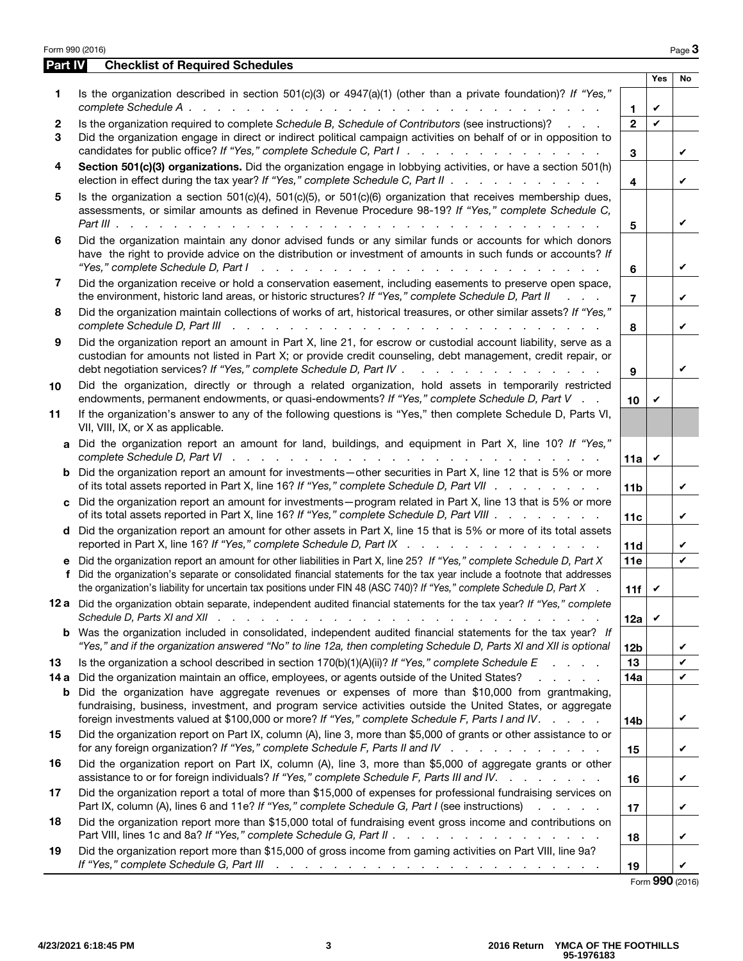| Form 990 (2016) |                                                                                                                                                                                                                                                                                                                                                                             |                         |     | Page 3       |
|-----------------|-----------------------------------------------------------------------------------------------------------------------------------------------------------------------------------------------------------------------------------------------------------------------------------------------------------------------------------------------------------------------------|-------------------------|-----|--------------|
| Part IV         | <b>Checklist of Required Schedules</b>                                                                                                                                                                                                                                                                                                                                      |                         |     |              |
|                 |                                                                                                                                                                                                                                                                                                                                                                             |                         | Yes | No           |
| 1               | Is the organization described in section $501(c)(3)$ or $4947(a)(1)$ (other than a private foundation)? If "Yes,"                                                                                                                                                                                                                                                           | 1                       | V   |              |
| 2               | Is the organization required to complete Schedule B, Schedule of Contributors (see instructions)?                                                                                                                                                                                                                                                                           | $\overline{\mathbf{c}}$ | V   |              |
| 3               | Did the organization engage in direct or indirect political campaign activities on behalf of or in opposition to<br>candidates for public office? If "Yes," complete Schedule C, Part I.                                                                                                                                                                                    | 3                       |     | V            |
| 4               | Section 501(c)(3) organizations. Did the organization engage in lobbying activities, or have a section 501(h)<br>election in effect during the tax year? If "Yes," complete Schedule C, Part II                                                                                                                                                                             | 4                       |     | V            |
| 5               | Is the organization a section $501(c)(4)$ , $501(c)(5)$ , or $501(c)(6)$ organization that receives membership dues,<br>assessments, or similar amounts as defined in Revenue Procedure 98-19? If "Yes," complete Schedule C,<br>Part III<br>$\mathbf{r}$ $\mathbf{r}$ $\mathbf{r}$                                                                                         | 5                       |     | V            |
| 6               | Did the organization maintain any donor advised funds or any similar funds or accounts for which donors<br>have the right to provide advice on the distribution or investment of amounts in such funds or accounts? If                                                                                                                                                      | 6                       |     | V            |
| 7               | Did the organization receive or hold a conservation easement, including easements to preserve open space,<br>the environment, historic land areas, or historic structures? If "Yes," complete Schedule D, Part II                                                                                                                                                           | 7                       |     | V            |
| 8               | Did the organization maintain collections of works of art, historical treasures, or other similar assets? If "Yes,"                                                                                                                                                                                                                                                         | 8                       |     | V            |
| 9               | Did the organization report an amount in Part X, line 21, for escrow or custodial account liability, serve as a<br>custodian for amounts not listed in Part X; or provide credit counseling, debt management, credit repair, or<br>debt negotiation services? If "Yes," complete Schedule D, Part IV                                                                        | 9                       |     | ✓            |
| 10              | Did the organization, directly or through a related organization, hold assets in temporarily restricted<br>endowments, permanent endowments, or quasi-endowments? If "Yes," complete Schedule D, Part V.                                                                                                                                                                    | 10                      | V   |              |
| 11              | If the organization's answer to any of the following questions is "Yes," then complete Schedule D, Parts VI,<br>VII, VIII, IX, or X as applicable.                                                                                                                                                                                                                          |                         |     |              |
| a               | Did the organization report an amount for land, buildings, and equipment in Part X, line 10? If "Yes,"                                                                                                                                                                                                                                                                      | 11a                     | V   |              |
|                 | <b>b</b> Did the organization report an amount for investments—other securities in Part X, line 12 that is 5% or more<br>of its total assets reported in Part X, line 16? If "Yes," complete Schedule D, Part VII                                                                                                                                                           | 11 <sub>b</sub>         |     | V            |
| c               | Did the organization report an amount for investments—program related in Part X, line 13 that is 5% or more<br>of its total assets reported in Part X, line 16? If "Yes," complete Schedule D, Part VIII                                                                                                                                                                    | 11c                     |     | V            |
|                 | d Did the organization report an amount for other assets in Part X, line 15 that is 5% or more of its total assets<br>reported in Part X, line 16? If "Yes," complete Schedule D, Part IX                                                                                                                                                                                   | 11d                     |     | V            |
| е<br>f          | Did the organization report an amount for other liabilities in Part X, line 25? If "Yes," complete Schedule D, Part X<br>Did the organization's separate or consolidated financial statements for the tax year include a footnote that addresses<br>the organization's liability for uncertain tax positions under FIN 48 (ASC 740)? If "Yes," complete Schedule D, Part X. | 11e<br>11f              | V   | V            |
|                 | 12 a Did the organization obtain separate, independent audited financial statements for the tax year? If "Yes," complete                                                                                                                                                                                                                                                    | 12a                     | V   |              |
|                 | <b>b</b> Was the organization included in consolidated, independent audited financial statements for the tax year? If<br>"Yes," and if the organization answered "No" to line 12a, then completing Schedule D, Parts XI and XII is optional                                                                                                                                 | 12 <sub>b</sub>         |     | V            |
| 13              | Is the organization a school described in section $170(b)(1)(A)(ii)?$ If "Yes," complete Schedule E                                                                                                                                                                                                                                                                         | 13                      |     | V            |
| 14 a            | Did the organization maintain an office, employees, or agents outside of the United States?<br>and a state of                                                                                                                                                                                                                                                               | 14a                     |     | $\checkmark$ |
|                 | <b>b</b> Did the organization have aggregate revenues or expenses of more than \$10,000 from grantmaking,<br>fundraising, business, investment, and program service activities outside the United States, or aggregate<br>foreign investments valued at \$100,000 or more? If "Yes," complete Schedule F, Parts I and IV.                                                   | 14b                     |     | V            |
| 15              | Did the organization report on Part IX, column (A), line 3, more than \$5,000 of grants or other assistance to or<br>for any foreign organization? If "Yes," complete Schedule F, Parts II and IV                                                                                                                                                                           | 15                      |     | V            |
| 16              | Did the organization report on Part IX, column (A), line 3, more than \$5,000 of aggregate grants or other<br>assistance to or for foreign individuals? If "Yes," complete Schedule F, Parts III and IV.                                                                                                                                                                    | 16                      |     | V            |
| 17              | Did the organization report a total of more than \$15,000 of expenses for professional fundraising services on<br>Part IX, column (A), lines 6 and 11e? If "Yes," complete Schedule G, Part I (see instructions)                                                                                                                                                            | 17                      |     | V            |
| 18              | Did the organization report more than \$15,000 total of fundraising event gross income and contributions on<br>Part VIII, lines 1c and 8a? If "Yes," complete Schedule G, Part II                                                                                                                                                                                           | 18                      |     | V            |
| 19              | Did the organization report more than \$15,000 of gross income from gaming activities on Part VIII, line 9a?<br>If "Yes," complete Schedule G, Part III (b) and a series and a series of the series of the series of the series of the series of the series of the series of the series of the series of the series of the series of the serie                              | 19                      |     | V            |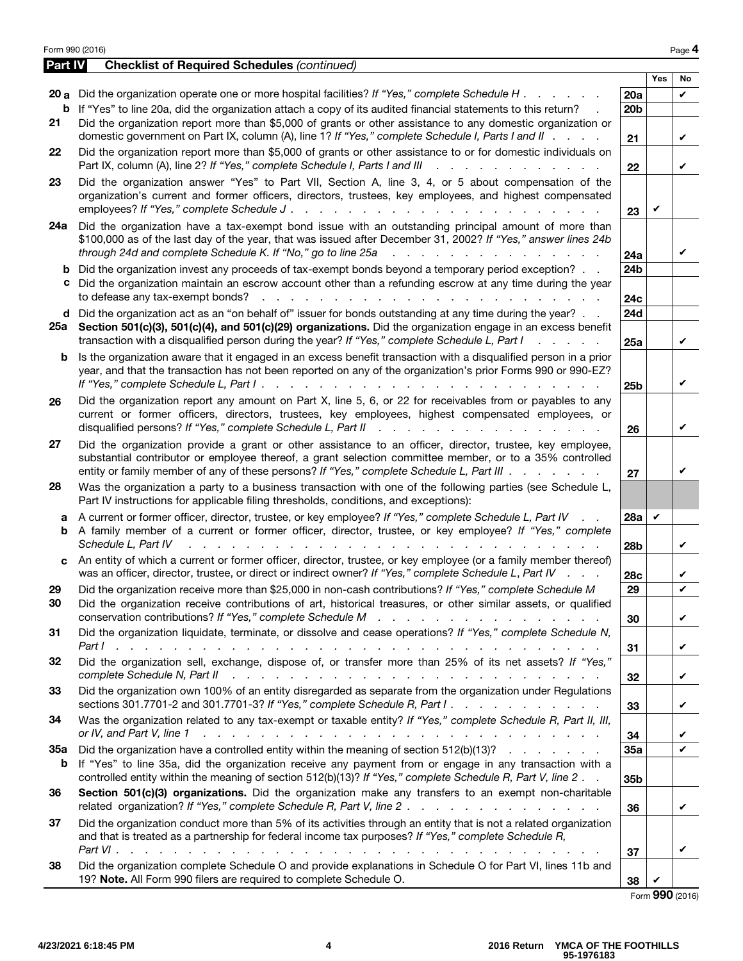| Part IV<br><b>Checklist of Required Schedules (continued)</b><br><b>Yes</b><br>20 a Did the organization operate one or more hospital facilities? If "Yes," complete Schedule H $\ldots$<br>20a<br>b<br>If "Yes" to line 20a, did the organization attach a copy of its audited financial statements to this return?<br>20 <sub>b</sub><br>Did the organization report more than \$5,000 of grants or other assistance to any domestic organization or<br>21<br>domestic government on Part IX, column (A), line 1? If "Yes," complete Schedule I, Parts I and II<br>21<br>Did the organization report more than \$5,000 of grants or other assistance to or for domestic individuals on<br>22<br>Part IX, column (A), line 2? If "Yes," complete Schedule I, Parts I and III<br>and the company of the company of<br><b>Service</b><br>22<br>23<br>Did the organization answer "Yes" to Part VII, Section A, line 3, 4, or 5 about compensation of the<br>organization's current and former officers, directors, trustees, key employees, and highest compensated<br>employees? If "Yes," complete Schedule J.<br>23<br>Did the organization have a tax-exempt bond issue with an outstanding principal amount of more than<br>24a<br>\$100,000 as of the last day of the year, that was issued after December 31, 2002? If "Yes," answer lines 24b<br>through 24d and complete Schedule K. If "No," go to line 25a<br>and a state of the state of the state of the state of the state of the state of the state of the state of the<br>24a<br>Did the organization invest any proceeds of tax-exempt bonds beyond a temporary period exception?<br>24 <sub>b</sub><br>b<br>c Did the organization maintain an escrow account other than a refunding escrow at any time during the year<br>to defease any tax-exempt bonds?<br>and a state of the state of the<br>and a state of the state of the<br>24 <sub>c</sub><br>d Did the organization act as an "on behalf of" issuer for bonds outstanding at any time during the year?<br>24d<br>Section 501(c)(3), 501(c)(4), and 501(c)(29) organizations. Did the organization engage in an excess benefit<br>25a<br>transaction with a disqualified person during the year? If "Yes," complete Schedule L, Part I<br>and a state of the<br>25a<br>Is the organization aware that it engaged in an excess benefit transaction with a disqualified person in a prior<br>b<br>year, and that the transaction has not been reported on any of the organization's prior Forms 990 or 990-EZ?<br>If "Yes," complete Schedule L, Part I.<br>and the company of the company of<br>25 <sub>b</sub><br>Did the organization report any amount on Part X, line 5, 6, or 22 for receivables from or payables to any<br>26<br>current or former officers, directors, trustees, key employees, highest compensated employees, or<br>disqualified persons? If "Yes," complete Schedule L, Part II<br>26<br>Did the organization provide a grant or other assistance to an officer, director, trustee, key employee,<br>27<br>substantial contributor or employee thereof, a grant selection committee member, or to a 35% controlled<br>entity or family member of any of these persons? If "Yes," complete Schedule L, Part III<br>27<br>Was the organization a party to a business transaction with one of the following parties (see Schedule L,<br>28<br>Part IV instructions for applicable filing thresholds, conditions, and exceptions):<br>A current or former officer, director, trustee, or key employee? If "Yes," complete Schedule L, Part IV<br><b>28a</b><br>V<br>а<br>A family member of a current or former officer, director, trustee, or key employee? If "Yes," complete<br>b<br>Schedule L. Part IV<br>28b<br>An entity of which a current or former officer, director, trustee, or key employee (or a family member thereof)<br>C.<br>was an officer, director, trustee, or direct or indirect owner? If "Yes," complete Schedule L, Part IV<br>28 <sub>c</sub><br>Did the organization receive more than \$25,000 in non-cash contributions? If "Yes," complete Schedule M<br>29<br>29<br>30<br>Did the organization receive contributions of art, historical treasures, or other similar assets, or qualified<br>conservation contributions? If "Yes," complete Schedule M<br>and a series of the contract of the contract of the<br>30<br>Did the organization liquidate, terminate, or dissolve and cease operations? If "Yes," complete Schedule N,<br>31<br>Part I<br>and a constitution of the constitution of the constitution of the constitution of the constitution of the constitution of the constitution of the constitution of the constitution of the constitution of the constitution of<br>31<br>Did the organization sell, exchange, dispose of, or transfer more than 25% of its net assets? If "Yes,"<br>32<br>complete Schedule N, Part II<br>a construction of the construction of the construction of the construction of the construction of the construction of the construction of the construction of the construction of the construction of the construction of the<br>32<br>Did the organization own 100% of an entity disregarded as separate from the organization under Regulations<br>33<br>sections 301.7701-2 and 301.7701-3? If "Yes," complete Schedule R, Part I.<br>33<br>Was the organization related to any tax-exempt or taxable entity? If "Yes," complete Schedule R, Part II, III,<br>34<br>or IV, and Part V, line 1<br>والمتعاون والمتعاون والمتعاون والمتعاونة والمتعاونة والمتعاونة والمتعاونة والمتعاونة والمتعاونة<br>34<br>Did the organization have a controlled entity within the meaning of section 512(b)(13)?<br><b>35a</b><br>35a<br>If "Yes" to line 35a, did the organization receive any payment from or engage in any transaction with a<br>b<br>controlled entity within the meaning of section 512(b)(13)? If "Yes," complete Schedule R, Part V, line 2.<br>35b<br>Section 501(c)(3) organizations. Did the organization make any transfers to an exempt non-charitable<br>36<br>related organization? If "Yes," complete Schedule R, Part V, line 2.<br>36<br>Did the organization conduct more than 5% of its activities through an entity that is not a related organization<br>37<br>and that is treated as a partnership for federal income tax purposes? If "Yes," complete Schedule R,<br>37<br>Did the organization complete Schedule O and provide explanations in Schedule O for Part VI, lines 11b and<br>38<br>19? Note. All Form 990 filers are required to complete Schedule O.<br>38<br>$F_{\text{arm}}$ QQQ (2016) | Form 990 (2016) |  | Page 4 |
|---------------------------------------------------------------------------------------------------------------------------------------------------------------------------------------------------------------------------------------------------------------------------------------------------------------------------------------------------------------------------------------------------------------------------------------------------------------------------------------------------------------------------------------------------------------------------------------------------------------------------------------------------------------------------------------------------------------------------------------------------------------------------------------------------------------------------------------------------------------------------------------------------------------------------------------------------------------------------------------------------------------------------------------------------------------------------------------------------------------------------------------------------------------------------------------------------------------------------------------------------------------------------------------------------------------------------------------------------------------------------------------------------------------------------------------------------------------------------------------------------------------------------------------------------------------------------------------------------------------------------------------------------------------------------------------------------------------------------------------------------------------------------------------------------------------------------------------------------------------------------------------------------------------------------------------------------------------------------------------------------------------------------------------------------------------------------------------------------------------------------------------------------------------------------------------------------------------------------------------------------------------------------------------------------------------------------------------------------------------------------------------------------------------------------------------------------------------------------------------------------------------------------------------------------------------------------------------------------------------------------------------------------------------------------------------------------------------------------------------------------------------------------------------------------------------------------------------------------------------------------------------------------------------------------------------------------------------------------------------------------------------------------------------------------------------------------------------------------------------------------------------------------------------------------------------------------------------------------------------------------------------------------------------------------------------------------------------------------------------------------------------------------------------------------------------------------------------------------------------------------------------------------------------------------------------------------------------------------------------------------------------------------------------------------------------------------------------------------------------------------------------------------------------------------------------------------------------------------------------------------------------------------------------------------------------------------------------------------------------------------------------------------------------------------------------------------------------------------------------------------------------------------------------------------------------------------------------------------------------------------------------------------------------------------------------------------------------------------------------------------------------------------------------------------------------------------------------------------------------------------------------------------------------------------------------------------------------------------------------------------------------------------------------------------------------------------------------------------------------------------------------------------------------------------------------------------------------------------------------------------------------------------------------------------------------------------------------------------------------------------------------------------------------------------------------------------------------------------------------------------------------------------------------------------------------------------------------------------------------------------------------------------------------------------------------------------------------------------------------------------------------------------------------------------------------------------------------------------------------------------------------------------------------------------------------------------------------------------------------------------------------------------------------------------------------------------------------------------------------------------------------------------------------------------------------------------------------------------------------------------------------------------------------------------------------------------------------------------------------------------------------------------------------------------------------------------------------------------------------------------------------------------------------------------------------------------------------------------------------------------------------------------------------------------------------------------------------------------------------------------------------------------------------------------------------------------------------------------------------------------------------------------------------------------------------------------------------------------------------------------------------------------------------|-----------------|--|--------|
|                                                                                                                                                                                                                                                                                                                                                                                                                                                                                                                                                                                                                                                                                                                                                                                                                                                                                                                                                                                                                                                                                                                                                                                                                                                                                                                                                                                                                                                                                                                                                                                                                                                                                                                                                                                                                                                                                                                                                                                                                                                                                                                                                                                                                                                                                                                                                                                                                                                                                                                                                                                                                                                                                                                                                                                                                                                                                                                                                                                                                                                                                                                                                                                                                                                                                                                                                                                                                                                                                                                                                                                                                                                                                                                                                                                                                                                                                                                                                                                                                                                                                                                                                                                                                                                                                                                                                                                                                                                                                                                                                                                                                                                                                                                                                                                                                                                                                                                                                                                                                                                                                                                                                                                                                                                                                                                                                                                                                                                                                                                                                                                                                                                                                                                                                                                                                                                                                                                                                                                                                                                                                                                                                                                                                                                                                                                                                                                                                                                                                                                                                                                                                                                               |                 |  |        |
|                                                                                                                                                                                                                                                                                                                                                                                                                                                                                                                                                                                                                                                                                                                                                                                                                                                                                                                                                                                                                                                                                                                                                                                                                                                                                                                                                                                                                                                                                                                                                                                                                                                                                                                                                                                                                                                                                                                                                                                                                                                                                                                                                                                                                                                                                                                                                                                                                                                                                                                                                                                                                                                                                                                                                                                                                                                                                                                                                                                                                                                                                                                                                                                                                                                                                                                                                                                                                                                                                                                                                                                                                                                                                                                                                                                                                                                                                                                                                                                                                                                                                                                                                                                                                                                                                                                                                                                                                                                                                                                                                                                                                                                                                                                                                                                                                                                                                                                                                                                                                                                                                                                                                                                                                                                                                                                                                                                                                                                                                                                                                                                                                                                                                                                                                                                                                                                                                                                                                                                                                                                                                                                                                                                                                                                                                                                                                                                                                                                                                                                                                                                                                                                               |                 |  | No     |
|                                                                                                                                                                                                                                                                                                                                                                                                                                                                                                                                                                                                                                                                                                                                                                                                                                                                                                                                                                                                                                                                                                                                                                                                                                                                                                                                                                                                                                                                                                                                                                                                                                                                                                                                                                                                                                                                                                                                                                                                                                                                                                                                                                                                                                                                                                                                                                                                                                                                                                                                                                                                                                                                                                                                                                                                                                                                                                                                                                                                                                                                                                                                                                                                                                                                                                                                                                                                                                                                                                                                                                                                                                                                                                                                                                                                                                                                                                                                                                                                                                                                                                                                                                                                                                                                                                                                                                                                                                                                                                                                                                                                                                                                                                                                                                                                                                                                                                                                                                                                                                                                                                                                                                                                                                                                                                                                                                                                                                                                                                                                                                                                                                                                                                                                                                                                                                                                                                                                                                                                                                                                                                                                                                                                                                                                                                                                                                                                                                                                                                                                                                                                                                                               |                 |  | V      |
|                                                                                                                                                                                                                                                                                                                                                                                                                                                                                                                                                                                                                                                                                                                                                                                                                                                                                                                                                                                                                                                                                                                                                                                                                                                                                                                                                                                                                                                                                                                                                                                                                                                                                                                                                                                                                                                                                                                                                                                                                                                                                                                                                                                                                                                                                                                                                                                                                                                                                                                                                                                                                                                                                                                                                                                                                                                                                                                                                                                                                                                                                                                                                                                                                                                                                                                                                                                                                                                                                                                                                                                                                                                                                                                                                                                                                                                                                                                                                                                                                                                                                                                                                                                                                                                                                                                                                                                                                                                                                                                                                                                                                                                                                                                                                                                                                                                                                                                                                                                                                                                                                                                                                                                                                                                                                                                                                                                                                                                                                                                                                                                                                                                                                                                                                                                                                                                                                                                                                                                                                                                                                                                                                                                                                                                                                                                                                                                                                                                                                                                                                                                                                                                               |                 |  | V      |
|                                                                                                                                                                                                                                                                                                                                                                                                                                                                                                                                                                                                                                                                                                                                                                                                                                                                                                                                                                                                                                                                                                                                                                                                                                                                                                                                                                                                                                                                                                                                                                                                                                                                                                                                                                                                                                                                                                                                                                                                                                                                                                                                                                                                                                                                                                                                                                                                                                                                                                                                                                                                                                                                                                                                                                                                                                                                                                                                                                                                                                                                                                                                                                                                                                                                                                                                                                                                                                                                                                                                                                                                                                                                                                                                                                                                                                                                                                                                                                                                                                                                                                                                                                                                                                                                                                                                                                                                                                                                                                                                                                                                                                                                                                                                                                                                                                                                                                                                                                                                                                                                                                                                                                                                                                                                                                                                                                                                                                                                                                                                                                                                                                                                                                                                                                                                                                                                                                                                                                                                                                                                                                                                                                                                                                                                                                                                                                                                                                                                                                                                                                                                                                                               |                 |  | V      |
|                                                                                                                                                                                                                                                                                                                                                                                                                                                                                                                                                                                                                                                                                                                                                                                                                                                                                                                                                                                                                                                                                                                                                                                                                                                                                                                                                                                                                                                                                                                                                                                                                                                                                                                                                                                                                                                                                                                                                                                                                                                                                                                                                                                                                                                                                                                                                                                                                                                                                                                                                                                                                                                                                                                                                                                                                                                                                                                                                                                                                                                                                                                                                                                                                                                                                                                                                                                                                                                                                                                                                                                                                                                                                                                                                                                                                                                                                                                                                                                                                                                                                                                                                                                                                                                                                                                                                                                                                                                                                                                                                                                                                                                                                                                                                                                                                                                                                                                                                                                                                                                                                                                                                                                                                                                                                                                                                                                                                                                                                                                                                                                                                                                                                                                                                                                                                                                                                                                                                                                                                                                                                                                                                                                                                                                                                                                                                                                                                                                                                                                                                                                                                                                               |                 |  |        |
|                                                                                                                                                                                                                                                                                                                                                                                                                                                                                                                                                                                                                                                                                                                                                                                                                                                                                                                                                                                                                                                                                                                                                                                                                                                                                                                                                                                                                                                                                                                                                                                                                                                                                                                                                                                                                                                                                                                                                                                                                                                                                                                                                                                                                                                                                                                                                                                                                                                                                                                                                                                                                                                                                                                                                                                                                                                                                                                                                                                                                                                                                                                                                                                                                                                                                                                                                                                                                                                                                                                                                                                                                                                                                                                                                                                                                                                                                                                                                                                                                                                                                                                                                                                                                                                                                                                                                                                                                                                                                                                                                                                                                                                                                                                                                                                                                                                                                                                                                                                                                                                                                                                                                                                                                                                                                                                                                                                                                                                                                                                                                                                                                                                                                                                                                                                                                                                                                                                                                                                                                                                                                                                                                                                                                                                                                                                                                                                                                                                                                                                                                                                                                                                               |                 |  | ✓      |
|                                                                                                                                                                                                                                                                                                                                                                                                                                                                                                                                                                                                                                                                                                                                                                                                                                                                                                                                                                                                                                                                                                                                                                                                                                                                                                                                                                                                                                                                                                                                                                                                                                                                                                                                                                                                                                                                                                                                                                                                                                                                                                                                                                                                                                                                                                                                                                                                                                                                                                                                                                                                                                                                                                                                                                                                                                                                                                                                                                                                                                                                                                                                                                                                                                                                                                                                                                                                                                                                                                                                                                                                                                                                                                                                                                                                                                                                                                                                                                                                                                                                                                                                                                                                                                                                                                                                                                                                                                                                                                                                                                                                                                                                                                                                                                                                                                                                                                                                                                                                                                                                                                                                                                                                                                                                                                                                                                                                                                                                                                                                                                                                                                                                                                                                                                                                                                                                                                                                                                                                                                                                                                                                                                                                                                                                                                                                                                                                                                                                                                                                                                                                                                                               |                 |  |        |
|                                                                                                                                                                                                                                                                                                                                                                                                                                                                                                                                                                                                                                                                                                                                                                                                                                                                                                                                                                                                                                                                                                                                                                                                                                                                                                                                                                                                                                                                                                                                                                                                                                                                                                                                                                                                                                                                                                                                                                                                                                                                                                                                                                                                                                                                                                                                                                                                                                                                                                                                                                                                                                                                                                                                                                                                                                                                                                                                                                                                                                                                                                                                                                                                                                                                                                                                                                                                                                                                                                                                                                                                                                                                                                                                                                                                                                                                                                                                                                                                                                                                                                                                                                                                                                                                                                                                                                                                                                                                                                                                                                                                                                                                                                                                                                                                                                                                                                                                                                                                                                                                                                                                                                                                                                                                                                                                                                                                                                                                                                                                                                                                                                                                                                                                                                                                                                                                                                                                                                                                                                                                                                                                                                                                                                                                                                                                                                                                                                                                                                                                                                                                                                                               |                 |  | V      |
|                                                                                                                                                                                                                                                                                                                                                                                                                                                                                                                                                                                                                                                                                                                                                                                                                                                                                                                                                                                                                                                                                                                                                                                                                                                                                                                                                                                                                                                                                                                                                                                                                                                                                                                                                                                                                                                                                                                                                                                                                                                                                                                                                                                                                                                                                                                                                                                                                                                                                                                                                                                                                                                                                                                                                                                                                                                                                                                                                                                                                                                                                                                                                                                                                                                                                                                                                                                                                                                                                                                                                                                                                                                                                                                                                                                                                                                                                                                                                                                                                                                                                                                                                                                                                                                                                                                                                                                                                                                                                                                                                                                                                                                                                                                                                                                                                                                                                                                                                                                                                                                                                                                                                                                                                                                                                                                                                                                                                                                                                                                                                                                                                                                                                                                                                                                                                                                                                                                                                                                                                                                                                                                                                                                                                                                                                                                                                                                                                                                                                                                                                                                                                                                               |                 |  | V      |
|                                                                                                                                                                                                                                                                                                                                                                                                                                                                                                                                                                                                                                                                                                                                                                                                                                                                                                                                                                                                                                                                                                                                                                                                                                                                                                                                                                                                                                                                                                                                                                                                                                                                                                                                                                                                                                                                                                                                                                                                                                                                                                                                                                                                                                                                                                                                                                                                                                                                                                                                                                                                                                                                                                                                                                                                                                                                                                                                                                                                                                                                                                                                                                                                                                                                                                                                                                                                                                                                                                                                                                                                                                                                                                                                                                                                                                                                                                                                                                                                                                                                                                                                                                                                                                                                                                                                                                                                                                                                                                                                                                                                                                                                                                                                                                                                                                                                                                                                                                                                                                                                                                                                                                                                                                                                                                                                                                                                                                                                                                                                                                                                                                                                                                                                                                                                                                                                                                                                                                                                                                                                                                                                                                                                                                                                                                                                                                                                                                                                                                                                                                                                                                                               |                 |  | V      |
|                                                                                                                                                                                                                                                                                                                                                                                                                                                                                                                                                                                                                                                                                                                                                                                                                                                                                                                                                                                                                                                                                                                                                                                                                                                                                                                                                                                                                                                                                                                                                                                                                                                                                                                                                                                                                                                                                                                                                                                                                                                                                                                                                                                                                                                                                                                                                                                                                                                                                                                                                                                                                                                                                                                                                                                                                                                                                                                                                                                                                                                                                                                                                                                                                                                                                                                                                                                                                                                                                                                                                                                                                                                                                                                                                                                                                                                                                                                                                                                                                                                                                                                                                                                                                                                                                                                                                                                                                                                                                                                                                                                                                                                                                                                                                                                                                                                                                                                                                                                                                                                                                                                                                                                                                                                                                                                                                                                                                                                                                                                                                                                                                                                                                                                                                                                                                                                                                                                                                                                                                                                                                                                                                                                                                                                                                                                                                                                                                                                                                                                                                                                                                                                               |                 |  | V      |
|                                                                                                                                                                                                                                                                                                                                                                                                                                                                                                                                                                                                                                                                                                                                                                                                                                                                                                                                                                                                                                                                                                                                                                                                                                                                                                                                                                                                                                                                                                                                                                                                                                                                                                                                                                                                                                                                                                                                                                                                                                                                                                                                                                                                                                                                                                                                                                                                                                                                                                                                                                                                                                                                                                                                                                                                                                                                                                                                                                                                                                                                                                                                                                                                                                                                                                                                                                                                                                                                                                                                                                                                                                                                                                                                                                                                                                                                                                                                                                                                                                                                                                                                                                                                                                                                                                                                                                                                                                                                                                                                                                                                                                                                                                                                                                                                                                                                                                                                                                                                                                                                                                                                                                                                                                                                                                                                                                                                                                                                                                                                                                                                                                                                                                                                                                                                                                                                                                                                                                                                                                                                                                                                                                                                                                                                                                                                                                                                                                                                                                                                                                                                                                                               |                 |  |        |
|                                                                                                                                                                                                                                                                                                                                                                                                                                                                                                                                                                                                                                                                                                                                                                                                                                                                                                                                                                                                                                                                                                                                                                                                                                                                                                                                                                                                                                                                                                                                                                                                                                                                                                                                                                                                                                                                                                                                                                                                                                                                                                                                                                                                                                                                                                                                                                                                                                                                                                                                                                                                                                                                                                                                                                                                                                                                                                                                                                                                                                                                                                                                                                                                                                                                                                                                                                                                                                                                                                                                                                                                                                                                                                                                                                                                                                                                                                                                                                                                                                                                                                                                                                                                                                                                                                                                                                                                                                                                                                                                                                                                                                                                                                                                                                                                                                                                                                                                                                                                                                                                                                                                                                                                                                                                                                                                                                                                                                                                                                                                                                                                                                                                                                                                                                                                                                                                                                                                                                                                                                                                                                                                                                                                                                                                                                                                                                                                                                                                                                                                                                                                                                                               |                 |  | V      |
|                                                                                                                                                                                                                                                                                                                                                                                                                                                                                                                                                                                                                                                                                                                                                                                                                                                                                                                                                                                                                                                                                                                                                                                                                                                                                                                                                                                                                                                                                                                                                                                                                                                                                                                                                                                                                                                                                                                                                                                                                                                                                                                                                                                                                                                                                                                                                                                                                                                                                                                                                                                                                                                                                                                                                                                                                                                                                                                                                                                                                                                                                                                                                                                                                                                                                                                                                                                                                                                                                                                                                                                                                                                                                                                                                                                                                                                                                                                                                                                                                                                                                                                                                                                                                                                                                                                                                                                                                                                                                                                                                                                                                                                                                                                                                                                                                                                                                                                                                                                                                                                                                                                                                                                                                                                                                                                                                                                                                                                                                                                                                                                                                                                                                                                                                                                                                                                                                                                                                                                                                                                                                                                                                                                                                                                                                                                                                                                                                                                                                                                                                                                                                                                               |                 |  | V      |
|                                                                                                                                                                                                                                                                                                                                                                                                                                                                                                                                                                                                                                                                                                                                                                                                                                                                                                                                                                                                                                                                                                                                                                                                                                                                                                                                                                                                                                                                                                                                                                                                                                                                                                                                                                                                                                                                                                                                                                                                                                                                                                                                                                                                                                                                                                                                                                                                                                                                                                                                                                                                                                                                                                                                                                                                                                                                                                                                                                                                                                                                                                                                                                                                                                                                                                                                                                                                                                                                                                                                                                                                                                                                                                                                                                                                                                                                                                                                                                                                                                                                                                                                                                                                                                                                                                                                                                                                                                                                                                                                                                                                                                                                                                                                                                                                                                                                                                                                                                                                                                                                                                                                                                                                                                                                                                                                                                                                                                                                                                                                                                                                                                                                                                                                                                                                                                                                                                                                                                                                                                                                                                                                                                                                                                                                                                                                                                                                                                                                                                                                                                                                                                                               |                 |  | V<br>V |
|                                                                                                                                                                                                                                                                                                                                                                                                                                                                                                                                                                                                                                                                                                                                                                                                                                                                                                                                                                                                                                                                                                                                                                                                                                                                                                                                                                                                                                                                                                                                                                                                                                                                                                                                                                                                                                                                                                                                                                                                                                                                                                                                                                                                                                                                                                                                                                                                                                                                                                                                                                                                                                                                                                                                                                                                                                                                                                                                                                                                                                                                                                                                                                                                                                                                                                                                                                                                                                                                                                                                                                                                                                                                                                                                                                                                                                                                                                                                                                                                                                                                                                                                                                                                                                                                                                                                                                                                                                                                                                                                                                                                                                                                                                                                                                                                                                                                                                                                                                                                                                                                                                                                                                                                                                                                                                                                                                                                                                                                                                                                                                                                                                                                                                                                                                                                                                                                                                                                                                                                                                                                                                                                                                                                                                                                                                                                                                                                                                                                                                                                                                                                                                                               |                 |  | V      |
|                                                                                                                                                                                                                                                                                                                                                                                                                                                                                                                                                                                                                                                                                                                                                                                                                                                                                                                                                                                                                                                                                                                                                                                                                                                                                                                                                                                                                                                                                                                                                                                                                                                                                                                                                                                                                                                                                                                                                                                                                                                                                                                                                                                                                                                                                                                                                                                                                                                                                                                                                                                                                                                                                                                                                                                                                                                                                                                                                                                                                                                                                                                                                                                                                                                                                                                                                                                                                                                                                                                                                                                                                                                                                                                                                                                                                                                                                                                                                                                                                                                                                                                                                                                                                                                                                                                                                                                                                                                                                                                                                                                                                                                                                                                                                                                                                                                                                                                                                                                                                                                                                                                                                                                                                                                                                                                                                                                                                                                                                                                                                                                                                                                                                                                                                                                                                                                                                                                                                                                                                                                                                                                                                                                                                                                                                                                                                                                                                                                                                                                                                                                                                                                               |                 |  | V      |
|                                                                                                                                                                                                                                                                                                                                                                                                                                                                                                                                                                                                                                                                                                                                                                                                                                                                                                                                                                                                                                                                                                                                                                                                                                                                                                                                                                                                                                                                                                                                                                                                                                                                                                                                                                                                                                                                                                                                                                                                                                                                                                                                                                                                                                                                                                                                                                                                                                                                                                                                                                                                                                                                                                                                                                                                                                                                                                                                                                                                                                                                                                                                                                                                                                                                                                                                                                                                                                                                                                                                                                                                                                                                                                                                                                                                                                                                                                                                                                                                                                                                                                                                                                                                                                                                                                                                                                                                                                                                                                                                                                                                                                                                                                                                                                                                                                                                                                                                                                                                                                                                                                                                                                                                                                                                                                                                                                                                                                                                                                                                                                                                                                                                                                                                                                                                                                                                                                                                                                                                                                                                                                                                                                                                                                                                                                                                                                                                                                                                                                                                                                                                                                                               |                 |  | V      |
|                                                                                                                                                                                                                                                                                                                                                                                                                                                                                                                                                                                                                                                                                                                                                                                                                                                                                                                                                                                                                                                                                                                                                                                                                                                                                                                                                                                                                                                                                                                                                                                                                                                                                                                                                                                                                                                                                                                                                                                                                                                                                                                                                                                                                                                                                                                                                                                                                                                                                                                                                                                                                                                                                                                                                                                                                                                                                                                                                                                                                                                                                                                                                                                                                                                                                                                                                                                                                                                                                                                                                                                                                                                                                                                                                                                                                                                                                                                                                                                                                                                                                                                                                                                                                                                                                                                                                                                                                                                                                                                                                                                                                                                                                                                                                                                                                                                                                                                                                                                                                                                                                                                                                                                                                                                                                                                                                                                                                                                                                                                                                                                                                                                                                                                                                                                                                                                                                                                                                                                                                                                                                                                                                                                                                                                                                                                                                                                                                                                                                                                                                                                                                                                               |                 |  | V      |
|                                                                                                                                                                                                                                                                                                                                                                                                                                                                                                                                                                                                                                                                                                                                                                                                                                                                                                                                                                                                                                                                                                                                                                                                                                                                                                                                                                                                                                                                                                                                                                                                                                                                                                                                                                                                                                                                                                                                                                                                                                                                                                                                                                                                                                                                                                                                                                                                                                                                                                                                                                                                                                                                                                                                                                                                                                                                                                                                                                                                                                                                                                                                                                                                                                                                                                                                                                                                                                                                                                                                                                                                                                                                                                                                                                                                                                                                                                                                                                                                                                                                                                                                                                                                                                                                                                                                                                                                                                                                                                                                                                                                                                                                                                                                                                                                                                                                                                                                                                                                                                                                                                                                                                                                                                                                                                                                                                                                                                                                                                                                                                                                                                                                                                                                                                                                                                                                                                                                                                                                                                                                                                                                                                                                                                                                                                                                                                                                                                                                                                                                                                                                                                                               |                 |  | V      |
|                                                                                                                                                                                                                                                                                                                                                                                                                                                                                                                                                                                                                                                                                                                                                                                                                                                                                                                                                                                                                                                                                                                                                                                                                                                                                                                                                                                                                                                                                                                                                                                                                                                                                                                                                                                                                                                                                                                                                                                                                                                                                                                                                                                                                                                                                                                                                                                                                                                                                                                                                                                                                                                                                                                                                                                                                                                                                                                                                                                                                                                                                                                                                                                                                                                                                                                                                                                                                                                                                                                                                                                                                                                                                                                                                                                                                                                                                                                                                                                                                                                                                                                                                                                                                                                                                                                                                                                                                                                                                                                                                                                                                                                                                                                                                                                                                                                                                                                                                                                                                                                                                                                                                                                                                                                                                                                                                                                                                                                                                                                                                                                                                                                                                                                                                                                                                                                                                                                                                                                                                                                                                                                                                                                                                                                                                                                                                                                                                                                                                                                                                                                                                                                               |                 |  | V      |
|                                                                                                                                                                                                                                                                                                                                                                                                                                                                                                                                                                                                                                                                                                                                                                                                                                                                                                                                                                                                                                                                                                                                                                                                                                                                                                                                                                                                                                                                                                                                                                                                                                                                                                                                                                                                                                                                                                                                                                                                                                                                                                                                                                                                                                                                                                                                                                                                                                                                                                                                                                                                                                                                                                                                                                                                                                                                                                                                                                                                                                                                                                                                                                                                                                                                                                                                                                                                                                                                                                                                                                                                                                                                                                                                                                                                                                                                                                                                                                                                                                                                                                                                                                                                                                                                                                                                                                                                                                                                                                                                                                                                                                                                                                                                                                                                                                                                                                                                                                                                                                                                                                                                                                                                                                                                                                                                                                                                                                                                                                                                                                                                                                                                                                                                                                                                                                                                                                                                                                                                                                                                                                                                                                                                                                                                                                                                                                                                                                                                                                                                                                                                                                                               |                 |  | V      |
|                                                                                                                                                                                                                                                                                                                                                                                                                                                                                                                                                                                                                                                                                                                                                                                                                                                                                                                                                                                                                                                                                                                                                                                                                                                                                                                                                                                                                                                                                                                                                                                                                                                                                                                                                                                                                                                                                                                                                                                                                                                                                                                                                                                                                                                                                                                                                                                                                                                                                                                                                                                                                                                                                                                                                                                                                                                                                                                                                                                                                                                                                                                                                                                                                                                                                                                                                                                                                                                                                                                                                                                                                                                                                                                                                                                                                                                                                                                                                                                                                                                                                                                                                                                                                                                                                                                                                                                                                                                                                                                                                                                                                                                                                                                                                                                                                                                                                                                                                                                                                                                                                                                                                                                                                                                                                                                                                                                                                                                                                                                                                                                                                                                                                                                                                                                                                                                                                                                                                                                                                                                                                                                                                                                                                                                                                                                                                                                                                                                                                                                                                                                                                                                               |                 |  |        |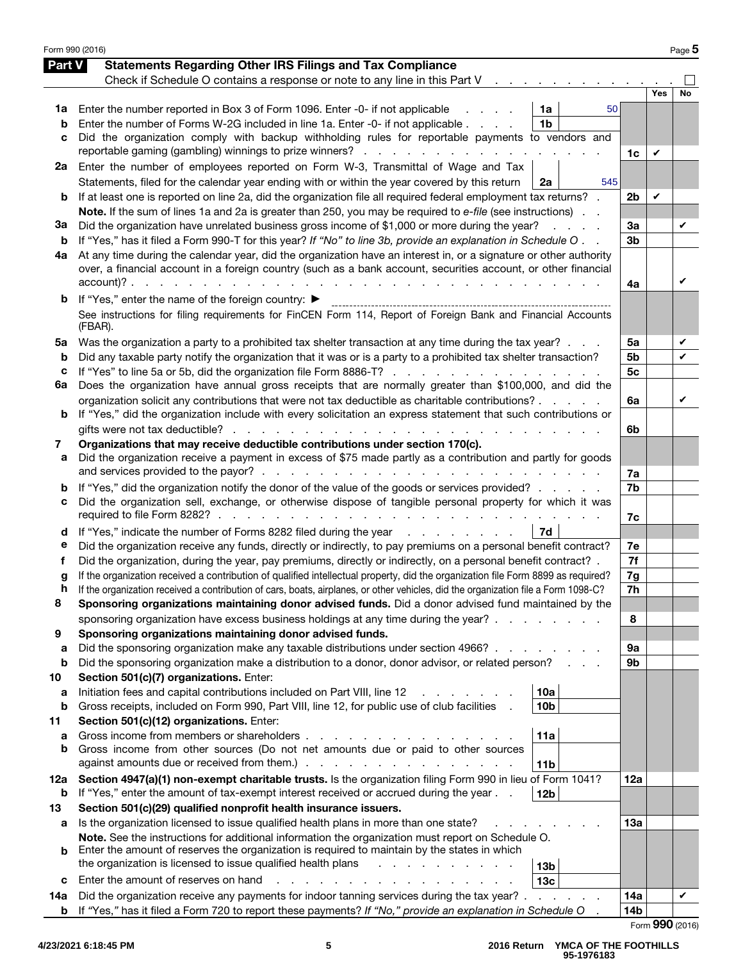|         | Form 990 (2016)                                                                                                                                                                                                                 |                      |     | Page 5          |
|---------|---------------------------------------------------------------------------------------------------------------------------------------------------------------------------------------------------------------------------------|----------------------|-----|-----------------|
| Part V  | <b>Statements Regarding Other IRS Filings and Tax Compliance</b>                                                                                                                                                                |                      |     |                 |
|         | Check if Schedule O contains a response or note to any line in this Part V                                                                                                                                                      |                      |     |                 |
|         |                                                                                                                                                                                                                                 |                      | Yes | No              |
| 1a      | 1a<br>Enter the number reported in Box 3 of Form 1096. Enter -0- if not applicable<br>50                                                                                                                                        |                      |     |                 |
| b       | Enter the number of Forms W-2G included in line 1a. Enter -0- if not applicable<br>1 <sub>b</sub>                                                                                                                               |                      |     |                 |
| с       | Did the organization comply with backup withholding rules for reportable payments to vendors and                                                                                                                                |                      |     |                 |
|         | reportable gaming (gambling) winnings to prize winners?                                                                                                                                                                         | 1c                   | V   |                 |
| 2a      | Enter the number of employees reported on Form W-3, Transmittal of Wage and Tax                                                                                                                                                 |                      |     |                 |
|         | Statements, filed for the calendar year ending with or within the year covered by this return<br>2a<br>545                                                                                                                      |                      |     |                 |
| b       | If at least one is reported on line 2a, did the organization file all required federal employment tax returns? .                                                                                                                | 2b                   | V   |                 |
|         | Note. If the sum of lines 1a and 2a is greater than 250, you may be required to e-file (see instructions).                                                                                                                      |                      |     |                 |
| За      | Did the organization have unrelated business gross income of \$1,000 or more during the year?<br>and the control<br>If "Yes," has it filed a Form 990-T for this year? If "No" to line 3b, provide an explanation in Schedule O | За<br>3 <sub>b</sub> |     | V               |
| b<br>4а | At any time during the calendar year, did the organization have an interest in, or a signature or other authority                                                                                                               |                      |     |                 |
|         | over, a financial account in a foreign country (such as a bank account, securities account, or other financial                                                                                                                  |                      |     |                 |
|         |                                                                                                                                                                                                                                 | 4a                   |     | V               |
| b       | If "Yes," enter the name of the foreign country: ▶                                                                                                                                                                              |                      |     |                 |
|         | See instructions for filing requirements for FinCEN Form 114, Report of Foreign Bank and Financial Accounts                                                                                                                     |                      |     |                 |
|         | (FBAR).                                                                                                                                                                                                                         |                      |     |                 |
| 5a      | Was the organization a party to a prohibited tax shelter transaction at any time during the tax year?                                                                                                                           | 5a                   |     | V               |
| b       | Did any taxable party notify the organization that it was or is a party to a prohibited tax shelter transaction?                                                                                                                | 5b                   |     | V               |
| c       | If "Yes" to line 5a or 5b, did the organization file Form 8886-T?                                                                                                                                                               | 5с                   |     |                 |
| 6а      | Does the organization have annual gross receipts that are normally greater than \$100,000, and did the                                                                                                                          |                      |     |                 |
|         | organization solicit any contributions that were not tax deductible as charitable contributions?                                                                                                                                | 6a                   |     | V               |
| b       | If "Yes," did the organization include with every solicitation an express statement that such contributions or                                                                                                                  |                      |     |                 |
|         | gifts were not tax deductible? $\ldots$ $\ldots$ $\ldots$ $\ldots$ $\ldots$                                                                                                                                                     | 6b                   |     |                 |
| 7       | Organizations that may receive deductible contributions under section 170(c).                                                                                                                                                   |                      |     |                 |
| а       | Did the organization receive a payment in excess of \$75 made partly as a contribution and partly for goods                                                                                                                     |                      |     |                 |
|         | and services provided to the payor?.<br>the contract of the contract of the contract of the con-                                                                                                                                | 7a                   |     |                 |
| b       | If "Yes," did the organization notify the donor of the value of the goods or services provided?<br>Did the organization sell, exchange, or otherwise dispose of tangible personal property for which it was                     | 7b                   |     |                 |
| с       |                                                                                                                                                                                                                                 | 7c                   |     |                 |
| d       | If "Yes," indicate the number of Forms 8282 filed during the year<br>7d                                                                                                                                                         |                      |     |                 |
| е       | Did the organization receive any funds, directly or indirectly, to pay premiums on a personal benefit contract?                                                                                                                 | 7e                   |     |                 |
| f       | Did the organization, during the year, pay premiums, directly or indirectly, on a personal benefit contract? .                                                                                                                  | 7f                   |     |                 |
| g       | If the organization received a contribution of qualified intellectual property, did the organization file Form 8899 as required?                                                                                                | 7g                   |     |                 |
| n       | If the organization received a contribution of cars, boats, airplanes, or other vehicles, did the organization file a Form 1098-C?                                                                                              | 7h                   |     |                 |
| 8       | Sponsoring organizations maintaining donor advised funds. Did a donor advised fund maintained by the                                                                                                                            |                      |     |                 |
|         | sponsoring organization have excess business holdings at any time during the year?.                                                                                                                                             | 8                    |     |                 |
| 9       | Sponsoring organizations maintaining donor advised funds.                                                                                                                                                                       |                      |     |                 |
| а       | Did the sponsoring organization make any taxable distributions under section 4966?                                                                                                                                              | 9а                   |     |                 |
| b       | Did the sponsoring organization make a distribution to a donor, donor advisor, or related person?                                                                                                                               | 9b                   |     |                 |
| 10      | Section 501(c)(7) organizations. Enter:                                                                                                                                                                                         |                      |     |                 |
| а       | Initiation fees and capital contributions included on Part VIII, line 12<br>10a                                                                                                                                                 |                      |     |                 |
| b       | Gross receipts, included on Form 990, Part VIII, line 12, for public use of club facilities<br>10 <sub>b</sub>                                                                                                                  |                      |     |                 |
| 11      | Section 501(c)(12) organizations. Enter:<br>Gross income from members or shareholders.<br>11a                                                                                                                                   |                      |     |                 |
| а<br>b  | and a state of the state of<br>Gross income from other sources (Do not net amounts due or paid to other sources                                                                                                                 |                      |     |                 |
|         | against amounts due or received from them.).<br>the contract of the contract of the contract of<br>11 <sub>b</sub>                                                                                                              |                      |     |                 |
| 12a     | Section 4947(a)(1) non-exempt charitable trusts. Is the organization filing Form 990 in lieu of Form 1041?                                                                                                                      | 12a                  |     |                 |
| b       | If "Yes," enter the amount of tax-exempt interest received or accrued during the year<br>12 <sub>b</sub>                                                                                                                        |                      |     |                 |
| 13      | Section 501(c)(29) qualified nonprofit health insurance issuers.                                                                                                                                                                |                      |     |                 |
| а       | Is the organization licensed to issue qualified health plans in more than one state?                                                                                                                                            | 13a                  |     |                 |
|         | Note. See the instructions for additional information the organization must report on Schedule O.                                                                                                                               |                      |     |                 |
| b       | Enter the amount of reserves the organization is required to maintain by the states in which                                                                                                                                    |                      |     |                 |
|         | the organization is licensed to issue qualified health plans<br>13 <sub>b</sub>                                                                                                                                                 |                      |     |                 |
| c       | Enter the amount of reserves on hand<br>13 <sub>c</sub>                                                                                                                                                                         |                      |     |                 |
| 14a     | Did the organization receive any payments for indoor tanning services during the tax year?.<br>and the state of the state of                                                                                                    | <b>14a</b>           |     | V               |
| b       | If "Yes," has it filed a Form 720 to report these payments? If "No," provide an explanation in Schedule O                                                                                                                       | 14b                  |     |                 |
|         |                                                                                                                                                                                                                                 |                      |     | Form 990 (2016) |

**4/23/2021 6:18:45 PM**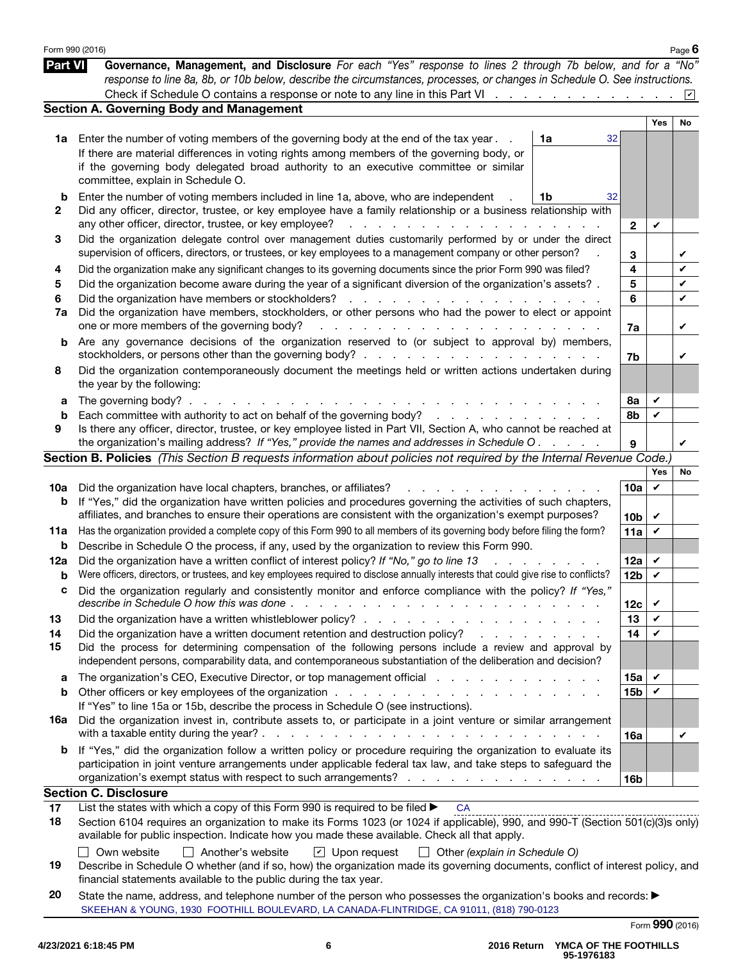|                | Form 990 (2016)                                                                                                                                                                                                                                                                          |                 |     | Page $6$ |
|----------------|------------------------------------------------------------------------------------------------------------------------------------------------------------------------------------------------------------------------------------------------------------------------------------------|-----------------|-----|----------|
| <b>Part VI</b> | Governance, Management, and Disclosure For each "Yes" response to lines 2 through 7b below, and for a "No"<br>response to line 8a, 8b, or 10b below, describe the circumstances, processes, or changes in Schedule O. See instructions.                                                  |                 |     |          |
|                |                                                                                                                                                                                                                                                                                          |                 |     |          |
|                | <b>Section A. Governing Body and Management</b>                                                                                                                                                                                                                                          |                 |     |          |
|                |                                                                                                                                                                                                                                                                                          |                 | Yes | No       |
| 1a             | Enter the number of voting members of the governing body at the end of the tax year.<br>1a                                                                                                                                                                                               | 32              |     |          |
|                | If there are material differences in voting rights among members of the governing body, or                                                                                                                                                                                               |                 |     |          |
|                | if the governing body delegated broad authority to an executive committee or similar<br>committee, explain in Schedule O.                                                                                                                                                                |                 |     |          |
| b              | Enter the number of voting members included in line 1a, above, who are independent<br>1b                                                                                                                                                                                                 | 32              |     |          |
| 2              | Did any officer, director, trustee, or key employee have a family relationship or a business relationship with                                                                                                                                                                           |                 |     |          |
|                | any other officer, director, trustee, or key employee?<br>and the contract of the contract of the contract of the contract of the contract of the contract of the contract of the contract of the contract of the contract of the contract of the contract of the contract of the contra | $\mathbf{2}$    | V   |          |
| 3              | Did the organization delegate control over management duties customarily performed by or under the direct<br>supervision of officers, directors, or trustees, or key employees to a management company or other person?                                                                  | 3               |     | V        |
| 4              | Did the organization make any significant changes to its governing documents since the prior Form 990 was filed?                                                                                                                                                                         | 4               |     | V        |
| 5              | Did the organization become aware during the year of a significant diversion of the organization's assets? .                                                                                                                                                                             | 5               |     | V        |
| 6              |                                                                                                                                                                                                                                                                                          | 6               |     | V        |
| 7a             | Did the organization have members, stockholders, or other persons who had the power to elect or appoint                                                                                                                                                                                  |                 |     |          |
|                | one or more members of the governing body?<br>المنافذ والمنافي والمنافي والمنافي والمنافي والمنافي والمنافي والمنافي                                                                                                                                                                     | 7a              |     | V        |
| b              | Are any governance decisions of the organization reserved to (or subject to approval by) members,                                                                                                                                                                                        | 7b              |     | V        |
| 8              | Did the organization contemporaneously document the meetings held or written actions undertaken during                                                                                                                                                                                   |                 |     |          |
|                | the year by the following:                                                                                                                                                                                                                                                               |                 |     |          |
| а              | The governing body? $\ldots$ .<br>the contract of the contract of the con-                                                                                                                                                                                                               | 8a              | V   |          |
| b              | Each committee with authority to act on behalf of the governing body?                                                                                                                                                                                                                    | 8b              | V   |          |
| 9              | Is there any officer, director, trustee, or key employee listed in Part VII, Section A, who cannot be reached at                                                                                                                                                                         |                 |     |          |
|                | the organization's mailing address? If "Yes," provide the names and addresses in Schedule O.                                                                                                                                                                                             | 9               |     | V        |
|                | Section B. Policies (This Section B requests information about policies not required by the Internal Revenue Code.)                                                                                                                                                                      |                 |     |          |
|                |                                                                                                                                                                                                                                                                                          |                 | Yes | No       |
| 10a            | Did the organization have local chapters, branches, or affiliates?<br>and a straight and                                                                                                                                                                                                 | 10a             | V   |          |
| b              | If "Yes," did the organization have written policies and procedures governing the activities of such chapters,                                                                                                                                                                           |                 |     |          |
|                | affiliates, and branches to ensure their operations are consistent with the organization's exempt purposes?                                                                                                                                                                              | 10 <sub>b</sub> | V   |          |
| 11a            | Has the organization provided a complete copy of this Form 990 to all members of its governing body before filing the form?                                                                                                                                                              | 11a             | V   |          |
| b              | Describe in Schedule O the process, if any, used by the organization to review this Form 990.                                                                                                                                                                                            |                 |     |          |
| 12a            | Did the organization have a written conflict of interest policy? If "No," go to line 13<br>$\mathbf{r} = \mathbf{r} \times \mathbf{r}$                                                                                                                                                   | 12a             | V   |          |
| b              | Were officers, directors, or trustees, and key employees required to disclose annually interests that could give rise to conflicts?                                                                                                                                                      | 12 <sub>b</sub> | V   |          |
|                | Did the organization regularly and consistently monitor and enforce compliance with the policy? If "Yes,                                                                                                                                                                                 |                 |     |          |
|                | describe in Schedule O how this was done.<br>$\mathbb{R}^2$<br>$\sim$<br>$\frac{1}{2}$ , $\frac{1}{2}$ , $\frac{1}{2}$ , $\frac{1}{2}$ , $\frac{1}{2}$ , $\frac{1}{2}$ , $\frac{1}{2}$ , $\frac{1}{2}$ , $\frac{1}{2}$ , $\frac{1}{2}$ , $\frac{1}{2}$ , $\frac{1}{2}$                   | 12c             | V   |          |
| 13             |                                                                                                                                                                                                                                                                                          | 13              | V   |          |
| 14             | Did the organization have a written document retention and destruction policy?<br>and the company of the company of                                                                                                                                                                      | 14              | V   |          |
| 15             | Did the process for determining compensation of the following persons include a review and approval by<br>independent persons, comparability data, and contemporaneous substantiation of the deliberation and decision?                                                                  |                 |     |          |
| а              | The organization's CEO, Executive Director, or top management official enterstance of the organization's CEO, Executive Director, or top management official                                                                                                                             | 15a             | V   |          |
| b              |                                                                                                                                                                                                                                                                                          | 15 <sub>b</sub> | V   |          |
|                | If "Yes" to line 15a or 15b, describe the process in Schedule O (see instructions).                                                                                                                                                                                                      |                 |     |          |
| 16a            | Did the organization invest in, contribute assets to, or participate in a joint venture or similar arrangement                                                                                                                                                                           |                 |     |          |
|                | with a taxable entity during the year? $\ldots$ $\ldots$ $\ldots$ $\ldots$ $\ldots$ $\ldots$ $\ldots$ $\ldots$ $\ldots$<br>$\sim$ $\sim$ $\sim$ $\sim$                                                                                                                                   | 16a             |     | V        |
| b              | If "Yes," did the organization follow a written policy or procedure requiring the organization to evaluate its                                                                                                                                                                           |                 |     |          |
|                | participation in joint venture arrangements under applicable federal tax law, and take steps to safeguard the                                                                                                                                                                            |                 |     |          |
|                | organization's exempt status with respect to such arrangements?                                                                                                                                                                                                                          | 16 <sub>b</sub> |     |          |
|                | <b>Section C. Disclosure</b>                                                                                                                                                                                                                                                             |                 |     |          |
| 17             | List the states with which a copy of this Form $\overline{990}$ is required to be filed $\blacktriangleright$<br><b>CA</b>                                                                                                                                                               |                 |     |          |
| 18             | Section 6104 requires an organization to make its Forms 1023 (or 1024 if applicable), 990, and 990-T (Section 501(c)(3)s only)                                                                                                                                                           |                 |     |          |
|                | available for public inspection. Indicate how you made these available. Check all that apply.                                                                                                                                                                                            |                 |     |          |
|                | Own website<br>Another's website<br>$\Box$ Upon request $\Box$<br>Other (explain in Schedule O)                                                                                                                                                                                          |                 |     |          |

- 19 Describe in Schedule O whether (and if so, how) the organization made its governing documents, conflict of interest policy, and financial statements available to the public during the tax year.
- 20 State the name, address, and telephone number of the person who possesses the organization's books and records: ▶ Form 990 (2016) SKEEHAN & YOUNG, 1930 FOOTHILL BOULEVARD, LA CANADA-FLINTRIDGE, CA 91011, (818) 790-0123

| $1$ VIIII VVV (LVIV) |  |                                                             |  |  |
|----------------------|--|-------------------------------------------------------------|--|--|
| <b>Part VI</b>       |  | Governance, Management, and Disclosure For each "Yes" respe |  |  |
|                      |  |                                                             |  |  |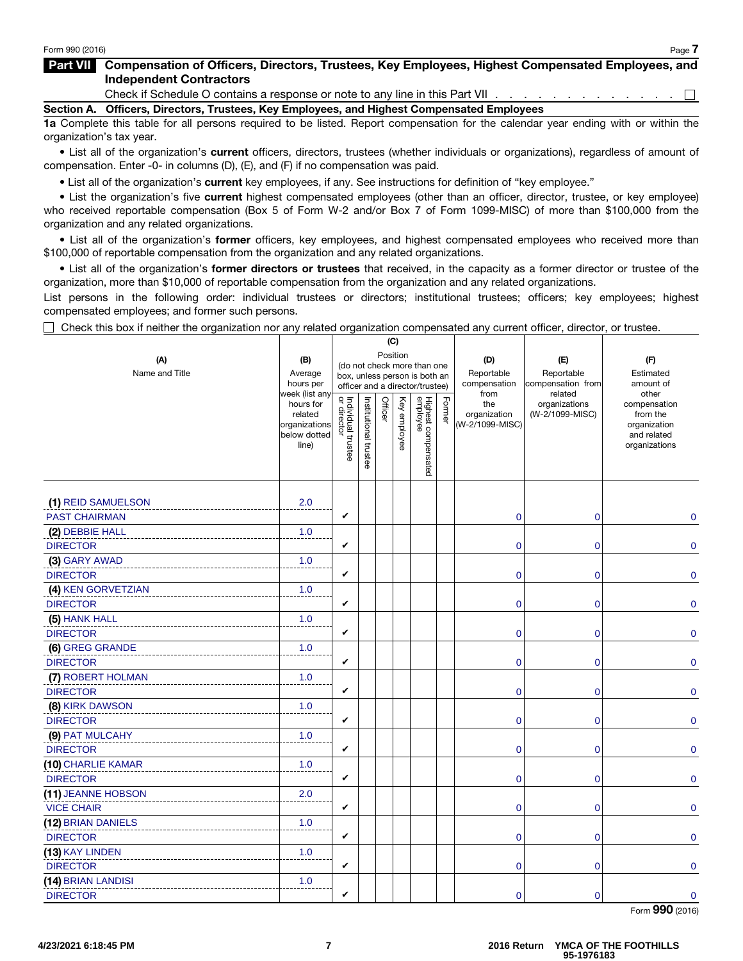#### Part VII Compensation of Officers, Directors, Trustees, Key Employees, Highest Compensated Employees, and Independent Contractors

Check if Schedule O contains a response or note to any line in this Part VII . . . . . . . . . . . . .  $\Box$ 

Section A. Officers, Directors, Trustees, Key Employees, and Highest Compensated Employees

1a Complete this table for all persons required to be listed. Report compensation for the calendar year ending with or within the organization's tax year.

• List all of the organization's current officers, directors, trustees (whether individuals or organizations), regardless of amount of compensation. Enter -0- in columns (D), (E), and (F) if no compensation was paid.

List all of the organization's current key employees, if any. See instructions for definition of "key employee."<br>• List the organization's five current highest compensated employees (other than an officer, director, truste who received reportable compensation (Box 5 of Form W-2 and/or Box 7 of Form 1099-MISC) of more than \$100,000 from the organization and any related organizations.

• List all of the organization's former officers, key employees, and highest compensated employees who received more than \$100,000 of reportable compensation from the organization and any related organizations.

• List all of the organization's former directors or trustees that received, in the capacity as a former director or trustee of the organization, more than \$10,000 of reportable compensation from the organization and any related organizations.

List persons in the following order: individual trustees or directors; institutional trustees; officers; key employees; highest compensated employees; and former such persons.

 $\Box$  Check this box if neither the organization nor any related organization compensated any current officer, director, or trustee.

|                       |                                                                                                                                                  |                                   |                       |         | (C)          |                                 |        |                                           |                                                   |                                                                          |
|-----------------------|--------------------------------------------------------------------------------------------------------------------------------------------------|-----------------------------------|-----------------------|---------|--------------|---------------------------------|--------|-------------------------------------------|---------------------------------------------------|--------------------------------------------------------------------------|
| (A)<br>Name and Title | (B)<br>(do not check more than one<br>Average<br>box, unless person is both an<br>hours per<br>officer and a director/trustee)<br>week (list any |                                   |                       |         | Position     |                                 |        | (D)<br>Reportable<br>compensation<br>from | (E)<br>Reportable<br>compensation from<br>related | (F)<br>Estimated<br>amount of<br>other                                   |
|                       | hours for<br>related<br>organizations<br>below dotted<br>line)                                                                                   | Individual trustee<br>or director | Institutional trustee | Officer | Key employee | Highest compensated<br>employee | Former | the<br>organization<br>(W-2/1099-MISC)    | organizations<br>(W-2/1099-MISC)                  | compensation<br>from the<br>organization<br>and related<br>organizations |
| (1) REID SAMUELSON    | 2.0                                                                                                                                              |                                   |                       |         |              |                                 |        |                                           |                                                   |                                                                          |
| <b>PAST CHAIRMAN</b>  |                                                                                                                                                  | V                                 |                       |         |              |                                 |        | $\mathbf 0$                               | $\mathbf 0$                                       | $\mathbf 0$                                                              |
| (2) DEBBIE HALL       | 1.0                                                                                                                                              |                                   |                       |         |              |                                 |        |                                           |                                                   |                                                                          |
| <b>DIRECTOR</b>       |                                                                                                                                                  | V                                 |                       |         |              |                                 |        | $\mathbf 0$                               | 0                                                 | $\mathbf 0$                                                              |
| (3) GARY AWAD         | 1.0                                                                                                                                              |                                   |                       |         |              |                                 |        |                                           |                                                   |                                                                          |
| <b>DIRECTOR</b>       |                                                                                                                                                  | V                                 |                       |         |              |                                 |        | $\mathbf 0$                               | 0                                                 | $\mathbf 0$                                                              |
| (4) KEN GORVETZIAN    | 1.0                                                                                                                                              |                                   |                       |         |              |                                 |        |                                           |                                                   |                                                                          |
| <b>DIRECTOR</b>       |                                                                                                                                                  | V                                 |                       |         |              |                                 |        | $\mathbf 0$                               | $\mathbf 0$                                       | $\mathbf 0$                                                              |
| (5) HANK HALL         | 1.0                                                                                                                                              |                                   |                       |         |              |                                 |        |                                           |                                                   |                                                                          |
| <b>DIRECTOR</b>       |                                                                                                                                                  | V                                 |                       |         |              |                                 |        | $\overline{0}$                            | 0                                                 | $\mathbf{0}$                                                             |
| (6) GREG GRANDE       | 1.0                                                                                                                                              |                                   |                       |         |              |                                 |        |                                           |                                                   |                                                                          |
| <b>DIRECTOR</b>       |                                                                                                                                                  | V                                 |                       |         |              |                                 |        | $\mathbf 0$                               | 0                                                 | $\mathbf 0$                                                              |
| (7) ROBERT HOLMAN     | 1.0                                                                                                                                              |                                   |                       |         |              |                                 |        |                                           |                                                   |                                                                          |
| <b>DIRECTOR</b>       |                                                                                                                                                  | V                                 |                       |         |              |                                 |        | $\mathbf 0$                               | $\mathbf 0$                                       | $\mathbf 0$                                                              |
| (8) KIRK DAWSON       | 1.0                                                                                                                                              |                                   |                       |         |              |                                 |        |                                           |                                                   |                                                                          |
| <b>DIRECTOR</b>       |                                                                                                                                                  | V                                 |                       |         |              |                                 |        | $\mathbf 0$                               | 0                                                 | $\Omega$                                                                 |
| (9) PAT MULCAHY       | 1.0                                                                                                                                              |                                   |                       |         |              |                                 |        |                                           |                                                   |                                                                          |
| <b>DIRECTOR</b>       |                                                                                                                                                  | V                                 |                       |         |              |                                 |        | $\mathbf{0}$                              | 0                                                 | $\mathbf{0}$                                                             |
| (10) CHARLIE KAMAR    | 1.0                                                                                                                                              |                                   |                       |         |              |                                 |        |                                           |                                                   |                                                                          |
| <b>DIRECTOR</b>       |                                                                                                                                                  | V                                 |                       |         |              |                                 |        | $\mathbf{0}$                              | 0                                                 | $\Omega$                                                                 |
| (11) JEANNE HOBSON    | 2.0                                                                                                                                              |                                   |                       |         |              |                                 |        |                                           |                                                   |                                                                          |
| <b>VICE CHAIR</b>     |                                                                                                                                                  | V                                 |                       |         |              |                                 |        | $\mathbf 0$                               | 0                                                 | $\mathbf{0}$                                                             |
| (12) BRIAN DANIELS    | 1.0                                                                                                                                              |                                   |                       |         |              |                                 |        |                                           |                                                   |                                                                          |
| <b>DIRECTOR</b>       |                                                                                                                                                  | V                                 |                       |         |              |                                 |        | $\mathbf{0}$                              | 0                                                 | $\mathbf{0}$                                                             |
| (13) KAY LINDEN       | 1.0                                                                                                                                              |                                   |                       |         |              |                                 |        |                                           |                                                   |                                                                          |
| <b>DIRECTOR</b>       |                                                                                                                                                  | V                                 |                       |         |              |                                 |        | $\mathbf 0$                               | 0                                                 | $\mathbf 0$                                                              |
| (14) BRIAN LANDISI    | 1.0                                                                                                                                              |                                   |                       |         |              |                                 |        |                                           |                                                   |                                                                          |
| <b>DIRECTOR</b>       |                                                                                                                                                  | V                                 |                       |         |              |                                 |        | $\mathbf 0$                               | $\mathbf{0}$                                      | $\mathbf{0}$                                                             |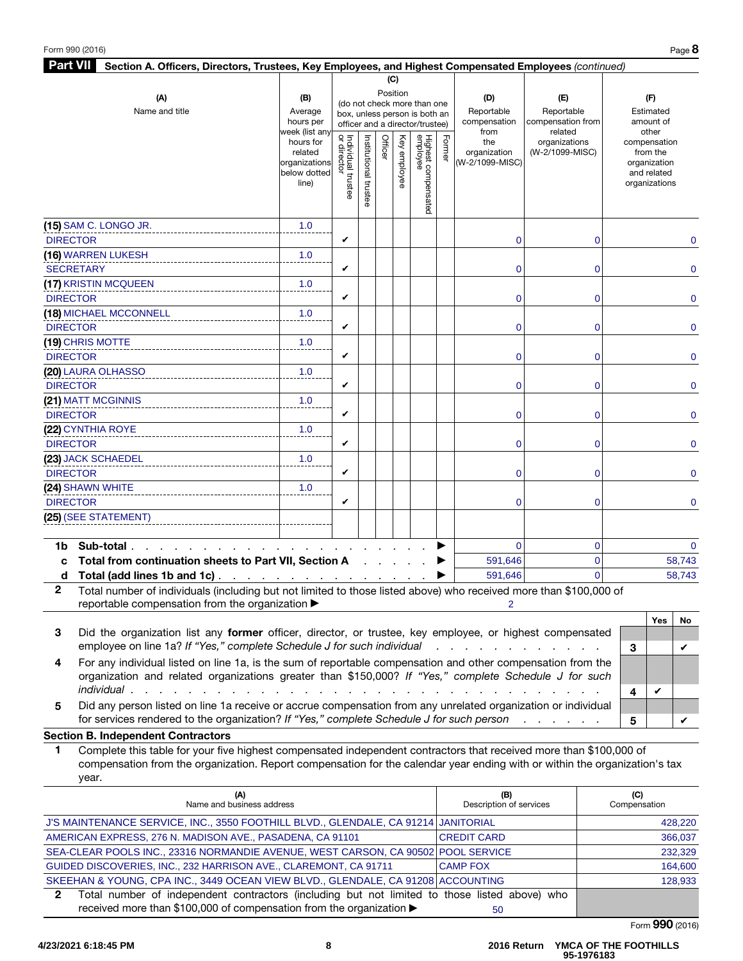| <b>Part VII</b><br>Section A. Officers, Directors, Trustees, Key Employees, and Highest Compensated Employees (continued)                                                            |                                                                |                                                              |                       |         |                 |                                 |        |                                        |                                  |                                                                          |
|--------------------------------------------------------------------------------------------------------------------------------------------------------------------------------------|----------------------------------------------------------------|--------------------------------------------------------------|-----------------------|---------|-----------------|---------------------------------|--------|----------------------------------------|----------------------------------|--------------------------------------------------------------------------|
|                                                                                                                                                                                      |                                                                |                                                              |                       |         | (C)             |                                 |        |                                        |                                  |                                                                          |
| (A)                                                                                                                                                                                  | (B)                                                            |                                                              |                       |         | Position        |                                 |        | (D)                                    | (E)                              | (F)                                                                      |
| Name and title                                                                                                                                                                       | Average                                                        | (do not check more than one<br>box, unless person is both an |                       |         |                 |                                 |        | Reportable                             | Reportable                       | Estimated                                                                |
|                                                                                                                                                                                      | hours per<br>week (list any                                    | officer and a director/trustee)                              |                       |         |                 |                                 |        | compensation<br>from                   | compensation from<br>related     | amount of<br>other                                                       |
|                                                                                                                                                                                      | hours for<br>related<br>organizations<br>below dotted<br>line) | Individual trustee<br>or director                            | Institutional trustee | Officer | Ķey<br>employee | Highest compensated<br>employee | Former | the<br>organization<br>(W-2/1099-MISC) | organizations<br>(W-2/1099-MISC) | compensation<br>from the<br>organization<br>and related<br>organizations |
| (15) SAM C. LONGO JR.                                                                                                                                                                | 1.0                                                            |                                                              |                       |         |                 |                                 |        |                                        |                                  |                                                                          |
| <b>DIRECTOR</b>                                                                                                                                                                      |                                                                | V                                                            |                       |         |                 |                                 |        | $\mathbf 0$                            | $\overline{0}$                   | $\mathbf 0$                                                              |
| (16) WARREN LUKESH                                                                                                                                                                   | 1.0                                                            |                                                              |                       |         |                 |                                 |        |                                        |                                  |                                                                          |
| <b>SECRETARY</b>                                                                                                                                                                     |                                                                | V                                                            |                       |         |                 |                                 |        | 0                                      | 0                                | $\mathbf 0$                                                              |
| (17) KRISTIN MCQUEEN                                                                                                                                                                 | 1.0                                                            |                                                              |                       |         |                 |                                 |        |                                        |                                  |                                                                          |
| <b>DIRECTOR</b>                                                                                                                                                                      |                                                                | V                                                            |                       |         |                 |                                 |        | 0                                      | 0                                | $\mathbf 0$                                                              |
| (18) MICHAEL MCCONNELL                                                                                                                                                               | 1.0                                                            |                                                              |                       |         |                 |                                 |        |                                        |                                  |                                                                          |
| <b>DIRECTOR</b>                                                                                                                                                                      |                                                                | V                                                            |                       |         |                 |                                 |        | $\mathbf 0$                            | $\overline{0}$                   | $\mathbf 0$                                                              |
| (19) CHRIS MOTTE                                                                                                                                                                     | 1.0                                                            |                                                              |                       |         |                 |                                 |        |                                        |                                  |                                                                          |
| <b>DIRECTOR</b>                                                                                                                                                                      |                                                                | V                                                            |                       |         |                 |                                 |        | $\overline{0}$                         | 0                                | $\mathbf 0$                                                              |
| (20) LAURA OLHASSO                                                                                                                                                                   | 1.0                                                            |                                                              |                       |         |                 |                                 |        |                                        |                                  |                                                                          |
| <b>DIRECTOR</b>                                                                                                                                                                      |                                                                | V                                                            |                       |         |                 |                                 |        | $\mathbf 0$                            | $\mathbf{0}$                     | $\mathbf 0$                                                              |
| (21) MATT MCGINNIS                                                                                                                                                                   | 1.0                                                            |                                                              |                       |         |                 |                                 |        |                                        |                                  |                                                                          |
| <b>DIRECTOR</b>                                                                                                                                                                      |                                                                | V                                                            |                       |         |                 |                                 |        | $\mathbf 0$                            | 0                                | $\mathbf 0$                                                              |
| (22) CYNTHIA ROYE                                                                                                                                                                    | 1.0                                                            |                                                              |                       |         |                 |                                 |        |                                        |                                  |                                                                          |
| <b>DIRECTOR</b>                                                                                                                                                                      |                                                                | V                                                            |                       |         |                 |                                 |        | $\mathbf 0$                            | $\overline{0}$                   | $\mathbf 0$                                                              |
| (23) JACK SCHAEDEL                                                                                                                                                                   | 1.0                                                            |                                                              |                       |         |                 |                                 |        |                                        |                                  |                                                                          |
| <b>DIRECTOR</b>                                                                                                                                                                      |                                                                | V                                                            |                       |         |                 |                                 |        | $\overline{0}$                         | $\overline{0}$                   | $\mathbf{0}$                                                             |
| (24) SHAWN WHITE                                                                                                                                                                     | 1.0                                                            | V                                                            |                       |         |                 |                                 |        |                                        |                                  |                                                                          |
| <b>DIRECTOR</b>                                                                                                                                                                      |                                                                |                                                              |                       |         |                 |                                 |        | 0                                      | $\mathbf{0}$                     | $\mathbf 0$                                                              |
| (25) (SEE STATEMENT)                                                                                                                                                                 |                                                                |                                                              |                       |         |                 |                                 |        |                                        |                                  |                                                                          |
| Sub-total.<br>1b                                                                                                                                                                     |                                                                |                                                              |                       |         |                 |                                 |        | $\Omega$                               | $\overline{0}$                   | $\mathbf{0}$                                                             |
| Total from continuation sheets to Part VII, Section A<br>C                                                                                                                           |                                                                |                                                              |                       |         |                 |                                 |        | 591,646                                | $\overline{0}$                   | 58,743                                                                   |
| Total (add lines 1b and 1c)<br>d                                                                                                                                                     |                                                                |                                                              |                       |         |                 |                                 |        | 591,646                                | $\overline{0}$                   | 58,743                                                                   |
| $\mathbf{2}$<br>Total number of individuals (including but not limited to those listed above) who received more than \$100,000 of<br>reportable compensation from the organization ▶ |                                                                |                                                              |                       |         |                 |                                 |        | 2                                      |                                  |                                                                          |
|                                                                                                                                                                                      |                                                                |                                                              |                       |         |                 |                                 |        |                                        |                                  | Yes<br><b>No</b>                                                         |

- 3 Did the organization list any former officer, director, or trustee, key employee, or highest compensated employee on line 1a? *If "Yes," complete Schedule J for such individual . . . . . . . . . . . .*
- 4 For any individual listed on line 1a, is the sum of reportable compensation and other compensation from the organization and related organizations greater than \$150,000? *If "Yes," complete Schedule J for such individual . . . . . . . . . . . . . . . . . . . . . . . . . . . . . . . . .*
- 5 Did any person listed on line 1a receive or accrue compensation from any unrelated organization or individual for services rendered to the organization? *If "Yes," complete Schedule J for such person . . . . . .*

#### Section B. Independent Contractors

1 Complete this table for your five highest compensated independent contractors that received more than \$100,000 of compensation from the organization. Report compensation for the calendar year ending with or within the organization's tax year.

| (A)<br>Name and business address                                                              | (B)<br>Description of services | (C)<br>Compensation |
|-----------------------------------------------------------------------------------------------|--------------------------------|---------------------|
| J'S MAINTENANCE SERVICE, INC., 3550 FOOTHILL BLVD., GLENDALE, CA 91214 JANITORIAL             |                                | 428.220             |
| AMERICAN EXPRESS, 276 N. MADISON AVE., PASADENA, CA 91101                                     | <b>CREDIT CARD</b>             | 366,037             |
| SEA-CLEAR POOLS INC., 23316 NORMANDIE AVENUE, WEST CARSON, CA 90502 POOL SERVICE              |                                | 232,329             |
| GUIDED DISCOVERIES, INC., 232 HARRISON AVE., CLAREMONT, CA 91711                              | <b>CAMP FOX</b>                | 164.600             |
| SKEEHAN & YOUNG, CPA INC., 3449 OCEAN VIEW BLVD., GLENDALE, CA 91208 ACCOUNTING               |                                | 128.933             |
| Total number of independent contractors (including but not limited to those listed above) who |                                |                     |
| received more than \$100,000 of compensation from the organization ▶                          | 50                             |                     |

Form 990 (2016)

3

✔

✔

4

✔

5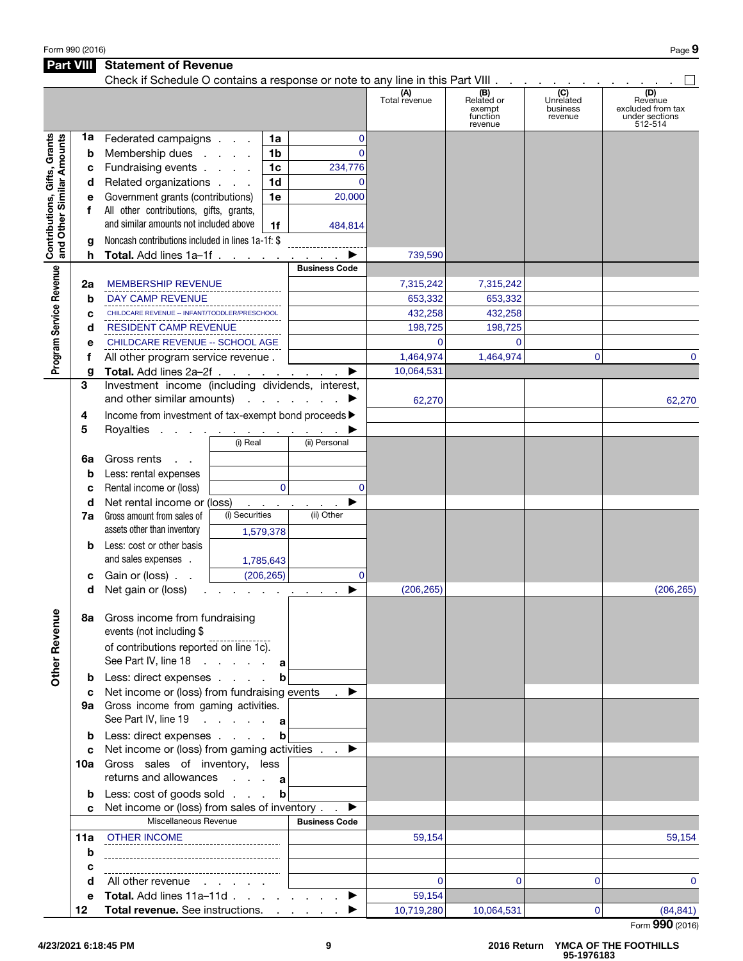| Form 990 (2016) | Page 9 |
|-----------------|--------|
|-----------------|--------|

## Part VIII Statement of Revenue

|                                                           |     | Check if Schedule O contains a response or note to any line in this Part VIII                                     |                |                          |                                     |                      |                                                    |                                         |                                                                  |
|-----------------------------------------------------------|-----|-------------------------------------------------------------------------------------------------------------------|----------------|--------------------------|-------------------------------------|----------------------|----------------------------------------------------|-----------------------------------------|------------------------------------------------------------------|
|                                                           |     |                                                                                                                   |                |                          |                                     | (A)<br>Total revenue | (B)<br>Related or<br>exempt<br>function<br>revenue | (C)<br>Unrelated<br>business<br>revenue | (D)<br>Revenue<br>excluded from tax<br>under sections<br>512-514 |
|                                                           | 1a  | Federated campaigns                                                                                               |                | 1a                       | $\mathbf 0$                         |                      |                                                    |                                         |                                                                  |
| Contributions, Gifts, Grants<br>and Other Similar Amounts | b   | Membership dues                                                                                                   |                | 1 <sub>b</sub>           | $\Omega$                            |                      |                                                    |                                         |                                                                  |
|                                                           | c   | Fundraising events                                                                                                |                | 1 <sub>c</sub>           | 234,776                             |                      |                                                    |                                         |                                                                  |
|                                                           | d   | Related organizations                                                                                             |                | 1 <sub>d</sub>           | $\Omega$                            |                      |                                                    |                                         |                                                                  |
|                                                           | е   | Government grants (contributions)                                                                                 |                | 1e                       | 20,000                              |                      |                                                    |                                         |                                                                  |
|                                                           | f   | All other contributions, gifts, grants,                                                                           |                |                          |                                     |                      |                                                    |                                         |                                                                  |
|                                                           |     | and similar amounts not included above                                                                            |                | 1f                       | 484,814                             |                      |                                                    |                                         |                                                                  |
|                                                           | a   | Noncash contributions included in lines 1a-1f: \$                                                                 |                |                          |                                     |                      |                                                    |                                         |                                                                  |
|                                                           | h   | <b>Total.</b> Add lines 1a-1f                                                                                     |                |                          |                                     | 739,590              |                                                    |                                         |                                                                  |
|                                                           |     |                                                                                                                   |                |                          | <b>Business Code</b>                |                      |                                                    |                                         |                                                                  |
| Program Service Revenue                                   | 2a  | <b>MEMBERSHIP REVENUE</b>                                                                                         |                |                          |                                     | 7,315,242            | 7,315,242                                          |                                         |                                                                  |
|                                                           | b   | DAY CAMP REVENUE                                                                                                  |                |                          |                                     | 653,332              | 653,332                                            |                                         |                                                                  |
|                                                           | c   | CHILDCARE REVENUE -- INFANT/TODDLER/PRESCHOOL                                                                     |                |                          |                                     | 432,258              | 432,258                                            |                                         |                                                                  |
|                                                           | d   | <b>RESIDENT CAMP REVENUE</b>                                                                                      |                |                          |                                     | 198,725              | 198,725                                            |                                         |                                                                  |
|                                                           | e   | CHILDCARE REVENUE -- SCHOOL AGE                                                                                   |                |                          |                                     | $\Omega$             | $\overline{0}$                                     |                                         |                                                                  |
|                                                           | f   | All other program service revenue.                                                                                |                |                          |                                     | 1,464,974            | 1,464,974                                          | $\Omega$                                | $\Omega$                                                         |
|                                                           | g   | Total. Add lines 2a-2f                                                                                            |                |                          | ▶                                   | 10,064,531           |                                                    |                                         |                                                                  |
|                                                           | 3   | Investment income (including dividends, interest,                                                                 |                |                          |                                     |                      |                                                    |                                         |                                                                  |
|                                                           |     | and other similar amounts) $\ldots$ $\ldots$                                                                      |                |                          |                                     | 62,270               |                                                    |                                         | 62,270                                                           |
|                                                           | 4   | Income from investment of tax-exempt bond proceeds >                                                              |                |                          |                                     |                      |                                                    |                                         |                                                                  |
|                                                           | 5   | Royalties <u>.</u>                                                                                                |                |                          |                                     |                      |                                                    |                                         |                                                                  |
|                                                           |     |                                                                                                                   | (i) Real       |                          | (ii) Personal                       |                      |                                                    |                                         |                                                                  |
|                                                           |     | Gross rents<br>$\sim$ $\sim$                                                                                      |                |                          |                                     |                      |                                                    |                                         |                                                                  |
|                                                           | 6a  |                                                                                                                   |                |                          |                                     |                      |                                                    |                                         |                                                                  |
|                                                           | b   | Less: rental expenses                                                                                             |                |                          |                                     |                      |                                                    |                                         |                                                                  |
|                                                           | C   | Rental income or (loss)                                                                                           |                | $\Omega$                 | $\Omega$                            |                      |                                                    |                                         |                                                                  |
|                                                           | d   | Net rental income or (loss)                                                                                       | (i) Securities | <b>Contract Contract</b> | (ii) Other                          |                      |                                                    |                                         |                                                                  |
|                                                           | 7a  | Gross amount from sales of<br>assets other than inventory                                                         |                |                          |                                     |                      |                                                    |                                         |                                                                  |
|                                                           |     |                                                                                                                   |                | 1,579,378                |                                     |                      |                                                    |                                         |                                                                  |
|                                                           | b   | Less: cost or other basis                                                                                         |                |                          |                                     |                      |                                                    |                                         |                                                                  |
|                                                           |     | and sales expenses.                                                                                               |                | 1,785,643                |                                     |                      |                                                    |                                         |                                                                  |
|                                                           | c   | Gain or (loss)                                                                                                    |                | (206, 265)               | $\Omega$                            |                      |                                                    |                                         |                                                                  |
|                                                           | d   | Net gain or (loss)                                                                                                |                |                          | the contract of the contract of the | (206, 265)           |                                                    |                                         | (206, 265)                                                       |
| ٩F<br><b>Other Revent</b>                                 |     | 8a Gross income from fundraising<br>events (not including \$<br>of contributions reported on line 1c).            |                |                          |                                     |                      |                                                    |                                         |                                                                  |
|                                                           |     | See Part IV, line 18 $\ldots$ $\ldots$ a                                                                          |                |                          |                                     |                      |                                                    |                                         |                                                                  |
|                                                           |     | <b>b</b> Less: direct expenses                                                                                    |                | b                        |                                     |                      |                                                    |                                         |                                                                  |
|                                                           | c   | Net income or (loss) from fundraising events<br>9a Gross income from gaming activities.<br>See Part IV, line 19 a |                |                          | ▶                                   |                      |                                                    |                                         |                                                                  |
|                                                           |     | <b>b</b> Less: direct expenses                                                                                    |                | $\mathbf b$              |                                     |                      |                                                    |                                         |                                                                  |
|                                                           | c   | Net income or (loss) from gaming activities                                                                       |                |                          |                                     |                      |                                                    |                                         |                                                                  |
|                                                           |     | 10a Gross sales of inventory, less<br>returns and allowances $\cdot \cdot \cdot$ a                                |                |                          |                                     |                      |                                                    |                                         |                                                                  |
|                                                           | b   | Less: cost of goods sold                                                                                          |                | $\mathbf b$              |                                     |                      |                                                    |                                         |                                                                  |
|                                                           |     | Net income or (loss) from sales of inventory                                                                      |                |                          | ▶                                   |                      |                                                    |                                         |                                                                  |
|                                                           |     | Miscellaneous Revenue                                                                                             |                |                          | <b>Business Code</b>                |                      |                                                    |                                         |                                                                  |
|                                                           | 11a | <b>OTHER INCOME</b>                                                                                               |                |                          |                                     | 59,154               |                                                    |                                         | 59,154                                                           |
|                                                           | b   |                                                                                                                   |                |                          |                                     |                      |                                                    |                                         |                                                                  |
|                                                           | с   |                                                                                                                   |                |                          |                                     |                      |                                                    |                                         |                                                                  |
|                                                           | d   | All other revenue                                                                                                 |                |                          |                                     | $\Omega$             | 0                                                  | $\overline{0}$                          | $\mathbf 0$                                                      |
|                                                           | е   | <b>Total.</b> Add lines 11a-11d                                                                                   |                |                          | ▶                                   | 59,154               |                                                    |                                         |                                                                  |
|                                                           | 12  | Total revenue. See instructions.                                                                                  |                |                          |                                     | 10,719,280           | 10,064,531                                         | $\mathbf 0$                             | (84, 841)                                                        |
|                                                           |     |                                                                                                                   |                |                          |                                     |                      |                                                    |                                         | Form 990 (2016)                                                  |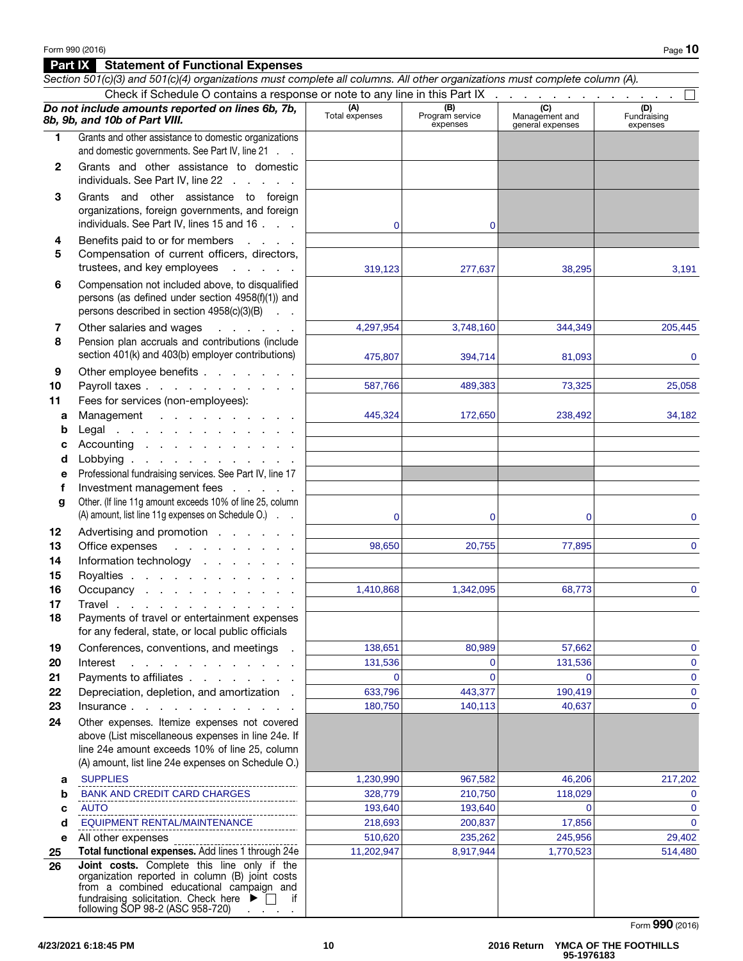# Part IX Statement of Functional Expenses

|              | Section 501(c)(3) and 501(c)(4) organizations must complete all columns. All other organizations must complete column (A).<br>Check if Schedule O contains a response or note to any line in this Part IX |                    |                        |                                    |                         |
|--------------|-----------------------------------------------------------------------------------------------------------------------------------------------------------------------------------------------------------|--------------------|------------------------|------------------------------------|-------------------------|
|              | Do not include amounts reported on lines 6b, 7b,                                                                                                                                                          | (A)                | (B)<br>Program service | $\overline{C}$                     | (D)                     |
|              | 8b, 9b, and 10b of Part VIII.                                                                                                                                                                             | Total expenses     | expenses               | Management and<br>general expenses | Fundraising<br>expenses |
| 1.           | Grants and other assistance to domestic organizations<br>and domestic governments. See Part IV, line 21                                                                                                   |                    |                        |                                    |                         |
| $\mathbf{2}$ | Grants and other assistance to domestic<br>individuals. See Part IV, line 22                                                                                                                              |                    |                        |                                    |                         |
| 3            | Grants and other assistance to foreign<br>organizations, foreign governments, and foreign<br>individuals. See Part IV, lines 15 and 16                                                                    | 0                  | 0                      |                                    |                         |
| 4<br>5       | Benefits paid to or for members<br><b>Carl Corporation</b><br>Compensation of current officers, directors,<br>trustees, and key employees<br>and the company                                              | 319,123            | 277,637                | 38,295                             | 3,191                   |
| 6            | Compensation not included above, to disqualified<br>persons (as defined under section 4958(f)(1)) and<br>persons described in section 4958(c)(3)(B)                                                       |                    |                        |                                    |                         |
| 7<br>8       | Other salaries and wages<br>and the contractor<br>Pension plan accruals and contributions (include                                                                                                        | 4,297,954          | 3,748,160              | 344,349                            | 205,445                 |
|              | section 401(k) and 403(b) employer contributions)                                                                                                                                                         | 475.807            | 394,714                | 81,093                             | 0                       |
| 9<br>10      | Other employee benefits<br>Payroll taxes                                                                                                                                                                  | 587,766            | 489,383                | 73,325                             | 25,058                  |
| 11           | Fees for services (non-employees):                                                                                                                                                                        |                    |                        |                                    |                         |
| a<br>b       | Management<br>Legal $\ldots$ $\ldots$ $\ldots$ $\ldots$ $\ldots$                                                                                                                                          | 445,324            | 172,650                | 238,492                            | 34,182                  |
| c            | Accounting                                                                                                                                                                                                |                    |                        |                                    |                         |
| d            | Lobbying                                                                                                                                                                                                  |                    |                        |                                    |                         |
| е            | Professional fundraising services. See Part IV, line 17                                                                                                                                                   |                    |                        |                                    |                         |
| f            | Investment management fees                                                                                                                                                                                |                    |                        |                                    |                         |
| g            | Other. (If line 11g amount exceeds 10% of line 25, column                                                                                                                                                 |                    |                        |                                    |                         |
|              | (A) amount, list line 11g expenses on Schedule O.)                                                                                                                                                        | $\mathbf 0$        | $\mathbf 0$            | $\mathbf 0$                        | 0                       |
| 12<br>13     | Advertising and promotion<br>$\mathcal{A}$ . The second contribution of $\mathcal{A}$<br>Office expenses                                                                                                  | 98,650             | 20,755                 | 77,895                             | $\mathbf{0}$            |
| 14           | Information technology                                                                                                                                                                                    |                    |                        |                                    |                         |
| 15           | Royalties                                                                                                                                                                                                 |                    |                        |                                    |                         |
| 16           | Occupancy                                                                                                                                                                                                 | 1,410,868          | 1,342,095              | 68,773                             | $\mathbf{0}$            |
| 17           | Travel                                                                                                                                                                                                    |                    |                        |                                    |                         |
| 18           | Payments of travel or entertainment expenses<br>for any federal, state, or local public officials                                                                                                         |                    |                        |                                    |                         |
| 19           | Conferences, conventions, and meetings                                                                                                                                                                    | 138,651            | 80,989                 | 57,662                             | 0                       |
| 20           | Interest<br>the contract of the contract of the contract of                                                                                                                                               | 131,536            | $\Omega$               | 131,536                            | 0                       |
| 21           | Payments to affiliates                                                                                                                                                                                    | $\Omega$           | $\Omega$               |                                    | 0                       |
| 22<br>23     | Depreciation, depletion, and amortization.<br>Insurance                                                                                                                                                   | 633,796<br>180,750 | 443,377<br>140,113     | 190,419<br>40,637                  | 0<br>0                  |
| 24           | Other expenses. Itemize expenses not covered                                                                                                                                                              |                    |                        |                                    |                         |
|              | above (List miscellaneous expenses in line 24e. If<br>line 24e amount exceeds 10% of line 25, column<br>(A) amount, list line 24e expenses on Schedule O.)                                                |                    |                        |                                    |                         |
| а            | <b>SUPPLIES</b>                                                                                                                                                                                           | 1,230,990          | 967,582                | 46,206                             | 217,202                 |
| b            | <b>BANK AND CREDIT CARD CHARGES</b>                                                                                                                                                                       | 328,779            | 210,750                | 118,029                            | 0                       |
| с            | <b>AUTO</b>                                                                                                                                                                                               | 193,640            | 193,640                | $\Omega$                           | $\mathbf{0}$            |
| d            | EQUIPMENT RENTAL/MAINTENANCE                                                                                                                                                                              | 218,693            | 200,837                | 17,856                             | $\Omega$                |
| е            | All other expenses<br>Total functional expenses. Add lines 1 through 24e                                                                                                                                  | 510,620            | 235,262                | 245,956                            | 29,402                  |
| 25<br>26     | Joint costs. Complete this line only if the                                                                                                                                                               | 11,202,947         | 8,917,944              | 1,770,523                          | 514,480                 |
|              | organization reported in column (B) joint costs<br>from a combined educational campaign and<br>fundraising solicitation. Check here $\blacktriangleright \Box$<br>if<br>following SOP 98-2 (ASC 958-720)  |                    |                        |                                    |                         |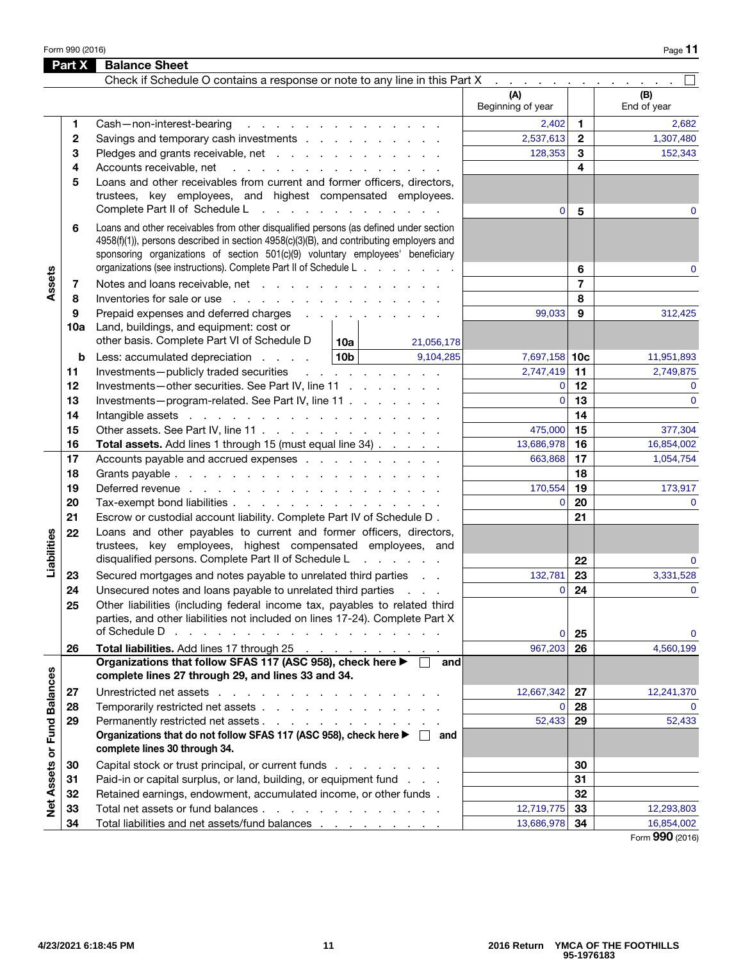Form 990 (2016) Page 11  $P$ 

|                             | Part X | <b>Balance Sheet</b>                                                                                                                                                                                                                                                                                                                   |                          |                     |                    |
|-----------------------------|--------|----------------------------------------------------------------------------------------------------------------------------------------------------------------------------------------------------------------------------------------------------------------------------------------------------------------------------------------|--------------------------|---------------------|--------------------|
|                             |        | Check if Schedule O contains a response or note to any line in this Part X                                                                                                                                                                                                                                                             |                          |                     |                    |
|                             |        |                                                                                                                                                                                                                                                                                                                                        | (A)<br>Beginning of year |                     | (B)<br>End of year |
|                             | 1      | Cash-non-interest-bearing<br>and the contract of the contract of the contract of the contract of the contract of the contract of the contract of the contract of the contract of the contract of the contract of the contract of the contract of the contra                                                                            | 2,402                    | 1.                  | 2,682              |
|                             | 2      | Savings and temporary cash investments                                                                                                                                                                                                                                                                                                 | 2,537,613                | $\mathbf{2}$        | 1,307,480          |
|                             | 3      | Pledges and grants receivable, net                                                                                                                                                                                                                                                                                                     | 128,353                  | 3                   | 152,343            |
|                             | 4      | Accounts receivable, net<br>and a straightful and a straight and a straight                                                                                                                                                                                                                                                            |                          | 4                   |                    |
|                             | 5      | Loans and other receivables from current and former officers, directors,<br>trustees, key employees, and highest compensated employees.<br>Complete Part II of Schedule L<br>the contract of the contract of the contract of                                                                                                           | $\mathbf 0$              | 5                   | 0                  |
|                             | 6      | Loans and other receivables from other disqualified persons (as defined under section<br>4958(f)(1)), persons described in section 4958(c)(3)(B), and contributing employers and<br>sponsoring organizations of section 501(c)(9) voluntary employees' beneficiary<br>organizations (see instructions). Complete Part II of Schedule L |                          |                     |                    |
|                             |        |                                                                                                                                                                                                                                                                                                                                        |                          | 6<br>$\overline{7}$ | $\Omega$           |
| Assets                      | 7      | Notes and loans receivable, net<br>Inventories for sale or use                                                                                                                                                                                                                                                                         |                          | 8                   |                    |
|                             | 8<br>9 | Prepaid expenses and deferred charges                                                                                                                                                                                                                                                                                                  | 99,033                   | 9                   | 312,425            |
|                             | 10a    | Land, buildings, and equipment: cost or<br>other basis. Complete Part VI of Schedule D<br>10a l<br>21,056,178                                                                                                                                                                                                                          |                          |                     |                    |
|                             | b      | 10 <sub>b</sub><br>9,104,285<br>Less: accumulated depreciation                                                                                                                                                                                                                                                                         | 7,697,158 10c            |                     | 11,951,893         |
|                             | 11     | Investments-publicly traded securities<br>and a straight and a straight and                                                                                                                                                                                                                                                            | 2,747,419                | 11                  | 2,749,875          |
|                             | 12     | Investments-other securities. See Part IV, line 11                                                                                                                                                                                                                                                                                     | $\mathbf 0$              | 12                  | $\Omega$           |
|                             | 13     | Investments-program-related. See Part IV, line 11                                                                                                                                                                                                                                                                                      | $\overline{0}$           | 13                  | $\Omega$           |
|                             | 14     |                                                                                                                                                                                                                                                                                                                                        |                          | 14                  |                    |
|                             | 15     | Other assets. See Part IV, line 11                                                                                                                                                                                                                                                                                                     | 475,000                  | 15                  | 377,304            |
|                             | 16     | Total assets. Add lines 1 through 15 (must equal line 34)                                                                                                                                                                                                                                                                              | 13,686,978               | 16                  | 16,854,002         |
|                             | 17     | Accounts payable and accrued expenses                                                                                                                                                                                                                                                                                                  | 663,868                  | 17                  | 1,054,754          |
|                             | 18     |                                                                                                                                                                                                                                                                                                                                        |                          | 18                  |                    |
|                             | 19     | Deferred revenue                                                                                                                                                                                                                                                                                                                       | 170,554                  | 19                  | 173,917            |
|                             | 20     | Tax-exempt bond liabilities                                                                                                                                                                                                                                                                                                            | $\overline{0}$           | 20                  | $\Omega$           |
|                             | 21     | Escrow or custodial account liability. Complete Part IV of Schedule D.                                                                                                                                                                                                                                                                 |                          | 21                  |                    |
| Liabilities                 | 22     | Loans and other payables to current and former officers, directors,<br>trustees, key employees, highest compensated employees, and                                                                                                                                                                                                     |                          |                     |                    |
|                             |        | disqualified persons. Complete Part II of Schedule L<br>and the company of the state                                                                                                                                                                                                                                                   |                          | 22                  | $\Omega$           |
|                             | 23     | Secured mortgages and notes payable to unrelated third parties                                                                                                                                                                                                                                                                         | 132,781                  | 23                  | 3,331,528          |
|                             | 24     | Unsecured notes and loans payable to unrelated third parties                                                                                                                                                                                                                                                                           | $\mathbf 0$              | 24                  | $\mathbf 0$        |
|                             | 25     | Other liabilities (including federal income tax, payables to related third<br>parties, and other liabilities not included on lines 17-24). Complete Part X<br>of Schedule D<br>the contract of the contract of the contract of the contract of                                                                                         |                          |                     |                    |
|                             |        |                                                                                                                                                                                                                                                                                                                                        | $\mathbf 0$              | 25<br>26            | $\mathbf 0$        |
|                             | 26     | Total liabilities. Add lines 17 through 25<br>Organizations that follow SFAS 117 (ASC 958), check here ▶ □<br>and                                                                                                                                                                                                                      | 967,203                  |                     | 4,560,199          |
|                             |        | complete lines 27 through 29, and lines 33 and 34.                                                                                                                                                                                                                                                                                     |                          |                     |                    |
|                             | 27     | Unrestricted net assets                                                                                                                                                                                                                                                                                                                | 12,667,342               | 27                  | 12,241,370         |
|                             | 28     | Temporarily restricted net assets                                                                                                                                                                                                                                                                                                      | $\mathbf 0$              | 28                  | $\Omega$           |
| Net Assets or Fund Balances | 29     | Permanently restricted net assets<br>Organizations that do not follow SFAS 117 (ASC 958), check here ▶ □ and<br>complete lines 30 through 34.                                                                                                                                                                                          | 52,433                   | 29                  | 52,433             |
|                             | 30     | Capital stock or trust principal, or current funds                                                                                                                                                                                                                                                                                     |                          | 30                  |                    |
|                             | 31     | Paid-in or capital surplus, or land, building, or equipment fund                                                                                                                                                                                                                                                                       |                          | 31                  |                    |
|                             | 32     | Retained earnings, endowment, accumulated income, or other funds.                                                                                                                                                                                                                                                                      |                          | 32                  |                    |
|                             | 33     | Total net assets or fund balances                                                                                                                                                                                                                                                                                                      | 12,719,775               | 33                  | 12,293,803         |
|                             | 34     | Total liabilities and net assets/fund balances                                                                                                                                                                                                                                                                                         | 13,686,978               | 34                  | 16,854,002         |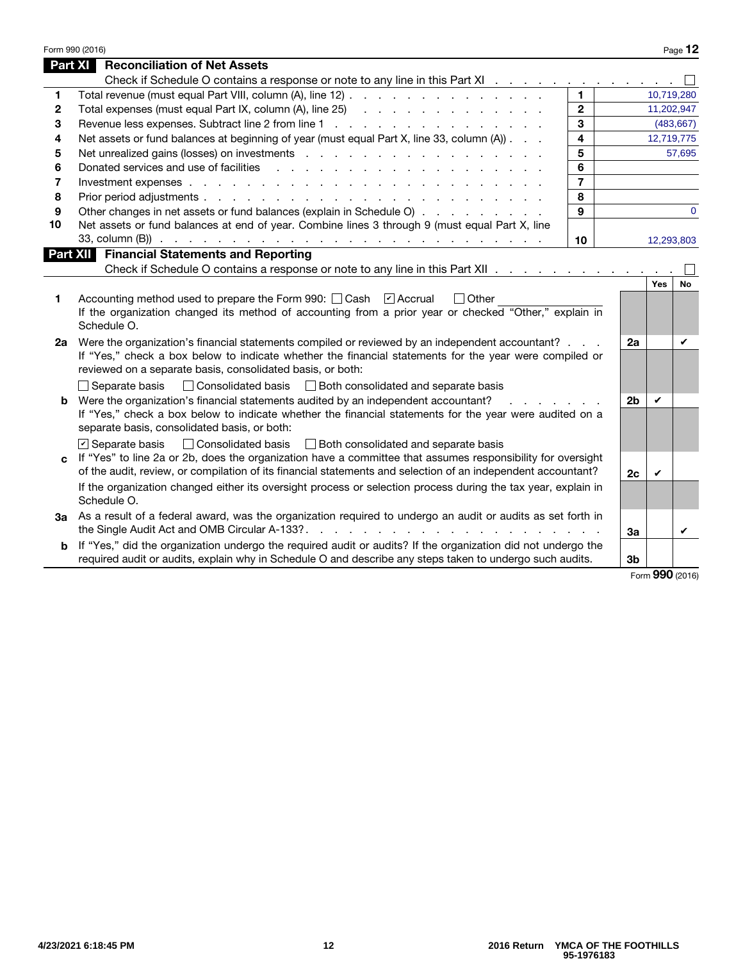|    | Form 990 (2016)                                                                                                                                                                                                               |                         |                |                             | Page 12    |
|----|-------------------------------------------------------------------------------------------------------------------------------------------------------------------------------------------------------------------------------|-------------------------|----------------|-----------------------------|------------|
|    | Part XI<br><b>Reconciliation of Net Assets</b>                                                                                                                                                                                |                         |                |                             |            |
|    | Check if Schedule O contains a response or note to any line in this Part XI                                                                                                                                                   |                         |                |                             |            |
| 1  | Total revenue (must equal Part VIII, column (A), line 12)                                                                                                                                                                     | $\blacksquare$          |                | 10,719,280                  |            |
| 2  | Total expenses (must equal Part IX, column (A), line 25) (and a contact of the contact of the contact of the contact of the contact of the contact of the contact of the contact of the contact of the contact of the contact | $\overline{2}$          |                | 11,202,947                  |            |
| 3  | Revenue less expenses. Subtract line 2 from line 1                                                                                                                                                                            | 3                       |                |                             | (483, 667) |
| 4  | Net assets or fund balances at beginning of year (must equal Part X, line 33, column (A)).                                                                                                                                    | $\overline{\mathbf{4}}$ |                | 12,719,775                  |            |
| 5  |                                                                                                                                                                                                                               | 5                       |                |                             | 57,695     |
| 6  | Donated services and use of facilities                                                                                                                                                                                        | 6                       |                |                             |            |
| 7  |                                                                                                                                                                                                                               | $\overline{7}$          |                |                             |            |
| 8  |                                                                                                                                                                                                                               | 8                       |                |                             |            |
| 9  | Other changes in net assets or fund balances (explain in Schedule O)                                                                                                                                                          | 9                       |                |                             | $\Omega$   |
| 10 | Net assets or fund balances at end of year. Combine lines 3 through 9 (must equal Part X, line                                                                                                                                |                         |                |                             |            |
|    | 33, column (B)) $\cdots$ $\cdots$ $\cdots$ $\cdots$ $\cdots$ $\cdots$ $\cdots$ $\cdots$ $\cdots$ $\cdots$ $\cdots$ $\cdots$ $\cdots$                                                                                          | 10                      |                | 12,293,803                  |            |
|    | <b>Part XII Financial Statements and Reporting</b>                                                                                                                                                                            |                         |                |                             |            |
|    | Check if Schedule O contains a response or note to any line in this Part XII                                                                                                                                                  |                         |                |                             |            |
|    |                                                                                                                                                                                                                               |                         |                | Yes                         | <b>No</b>  |
| 1  | Accounting method used to prepare the Form 990: Cash [7] Accrual<br>$\Box$ Other<br>If the organization changed its method of accounting from a prior year or checked "Other," explain in                                     |                         |                |                             |            |
|    | Schedule O.                                                                                                                                                                                                                   |                         |                |                             |            |
| 2а | Were the organization's financial statements compiled or reviewed by an independent accountant?                                                                                                                               |                         | 2a             |                             | V          |
|    | If "Yes," check a box below to indicate whether the financial statements for the year were compiled or                                                                                                                        |                         |                |                             |            |
|    | reviewed on a separate basis, consolidated basis, or both:                                                                                                                                                                    |                         |                |                             |            |
|    | $\Box$ Separate basis<br>□ Consolidated basis □ Both consolidated and separate basis                                                                                                                                          |                         |                |                             |            |
|    | <b>b</b> Were the organization's financial statements audited by an independent accountant?                                                                                                                                   |                         | 2 <sub>b</sub> | ✓                           |            |
|    | If "Yes," check a box below to indicate whether the financial statements for the year were audited on a                                                                                                                       |                         |                |                             |            |
|    | separate basis, consolidated basis, or both:                                                                                                                                                                                  |                         |                |                             |            |
|    | □ Consolidated basis □ Both consolidated and separate basis<br>$\triangleright$ Separate basis                                                                                                                                |                         |                |                             |            |
| c  | If "Yes" to line 2a or 2b, does the organization have a committee that assumes responsibility for oversight                                                                                                                   |                         |                |                             |            |
|    | of the audit, review, or compilation of its financial statements and selection of an independent accountant?                                                                                                                  |                         | 2c             | V                           |            |
|    | If the organization changed either its oversight process or selection process during the tax year, explain in                                                                                                                 |                         |                |                             |            |
|    | Schedule O.                                                                                                                                                                                                                   |                         |                |                             |            |
| За | As a result of a federal award, was the organization required to undergo an audit or audits as set forth in                                                                                                                   |                         |                |                             |            |
|    |                                                                                                                                                                                                                               |                         | 3a             |                             | ✓          |
| b  | If "Yes," did the organization undergo the required audit or audits? If the organization did not undergo the                                                                                                                  |                         |                |                             |            |
|    | required audit or audits, explain why in Schedule O and describe any steps taken to undergo such audits.                                                                                                                      |                         | 3 <sub>b</sub> |                             |            |
|    |                                                                                                                                                                                                                               |                         |                | $\mathbf{on}_{\mathbf{on}}$ |            |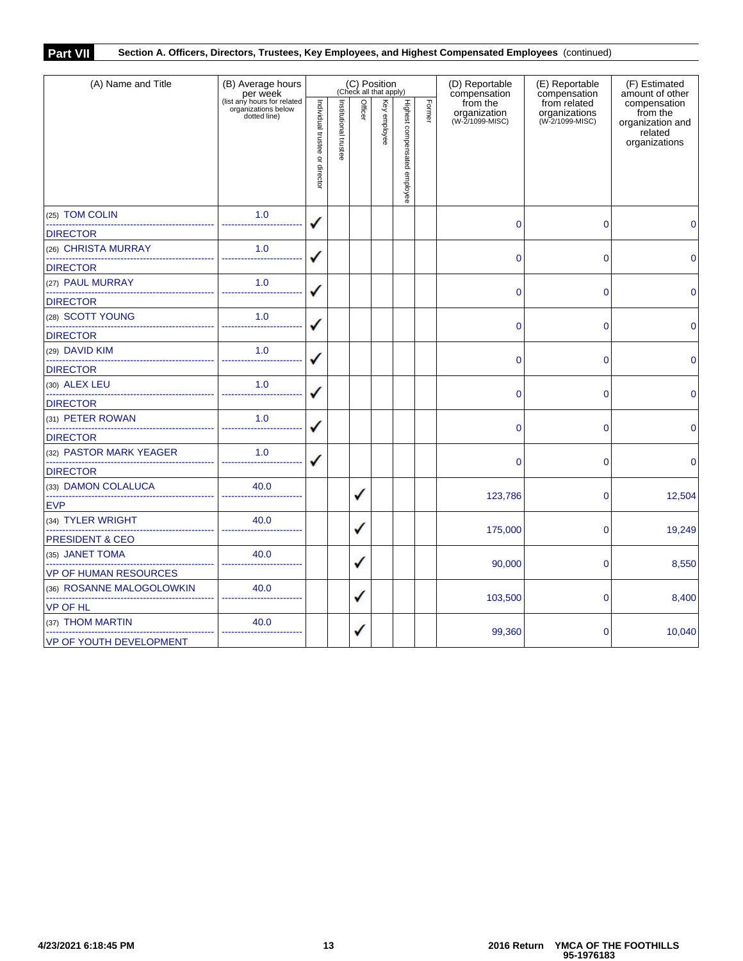# **Part VII Section A. Officers, Directors, Trustees, Key Employees, and Highest Compensated Employees** (continued)

| (A) Name and Title                                                  | (B) Average hours                                                              | (C) Position<br>(Check all that apply) |                       |         |              |                              |        | (D) Reportable<br>compensation              | (E) Reportable<br>compensation                   | (F) Estimated<br>amount of other                                         |  |
|---------------------------------------------------------------------|--------------------------------------------------------------------------------|----------------------------------------|-----------------------|---------|--------------|------------------------------|--------|---------------------------------------------|--------------------------------------------------|--------------------------------------------------------------------------|--|
|                                                                     | per week<br>(list any hours for related<br>organizations below<br>dotted line) | Individual trustee or director         | Institutional trustee | Officer | Key employee | Highest compensated employee | Former | from the<br>organization<br>(W-2/1099-MISC) | from related<br>organizations<br>(W-2/1099-MISC) | compensation<br>from the<br>organization and<br>related<br>organizations |  |
| (25) TOM COLIN                                                      | 1.0                                                                            |                                        |                       |         |              |                              |        | $\overline{0}$                              | $\mathbf 0$                                      | $\mathbf 0$                                                              |  |
| <b>DIRECTOR</b>                                                     |                                                                                |                                        |                       |         |              |                              |        |                                             |                                                  |                                                                          |  |
| (26) CHRISTA MURRAY                                                 | 1.0                                                                            |                                        |                       |         |              |                              |        | 0                                           | 0                                                | $\mathbf{0}$                                                             |  |
| <b>DIRECTOR</b>                                                     |                                                                                |                                        |                       |         |              |                              |        |                                             |                                                  |                                                                          |  |
| (27) PAUL MURRAY                                                    | 1.0                                                                            |                                        |                       |         |              |                              |        | $\overline{0}$                              | $\overline{0}$                                   |                                                                          |  |
| <b>DIRECTOR</b>                                                     |                                                                                |                                        |                       |         |              |                              |        |                                             |                                                  | 0                                                                        |  |
| (28) SCOTT YOUNG                                                    | 1.0                                                                            |                                        |                       |         |              |                              |        | $\overline{0}$                              | $\mathbf 0$                                      | $\mathbf{0}$                                                             |  |
| <b>DIRECTOR</b>                                                     |                                                                                |                                        |                       |         |              |                              |        |                                             |                                                  |                                                                          |  |
| (29) DAVID KIM                                                      | 1.0                                                                            |                                        |                       |         |              |                              |        | $\overline{0}$                              | $\mathbf 0$                                      | $\mathbf{0}$                                                             |  |
| <b>DIRECTOR</b>                                                     |                                                                                |                                        |                       |         |              |                              |        |                                             |                                                  |                                                                          |  |
| (30) ALEX LEU<br>---------------------------                        | 1.0                                                                            |                                        |                       |         |              |                              |        | $\overline{0}$                              | $\overline{0}$                                   | $\Omega$                                                                 |  |
| <b>DIRECTOR</b>                                                     |                                                                                |                                        |                       |         |              |                              |        |                                             |                                                  |                                                                          |  |
| (31) PETER ROWAN                                                    | 1.0                                                                            |                                        |                       |         |              |                              |        | $\mathbf{0}$                                | 0                                                | $\mathbf{0}$                                                             |  |
| <b>DIRECTOR</b>                                                     |                                                                                |                                        |                       |         |              |                              |        |                                             |                                                  |                                                                          |  |
| (32) PASTOR MARK YEAGER                                             | 1.0                                                                            |                                        |                       |         |              |                              |        | $\overline{0}$                              | $\mathbf 0$                                      | $\Omega$                                                                 |  |
| <b>DIRECTOR</b>                                                     |                                                                                |                                        |                       |         |              |                              |        |                                             |                                                  |                                                                          |  |
| (33) DAMON COLALUCA                                                 | 40.0                                                                           |                                        |                       | ✓       |              |                              |        | 123,786                                     | $\mathbf 0$                                      | 12,504                                                                   |  |
| <b>EVP</b>                                                          |                                                                                |                                        |                       |         |              |                              |        |                                             |                                                  |                                                                          |  |
| (34) TYLER WRIGHT                                                   | 40.0                                                                           |                                        |                       | ✓       |              |                              |        | 175,000                                     | $\overline{0}$                                   | 19,249                                                                   |  |
| PRESIDENT & CEO                                                     |                                                                                |                                        |                       |         |              |                              |        |                                             |                                                  |                                                                          |  |
| (35) JANET TOMA                                                     | 40.0                                                                           |                                        |                       | ✓       |              |                              |        | 90,000                                      | $\Omega$                                         | 8,550                                                                    |  |
| <b>VP OF HUMAN RESOURCES</b>                                        |                                                                                |                                        |                       |         |              |                              |        |                                             |                                                  |                                                                          |  |
| (36) ROSANNE MALOGOLOWKIN<br>-------------------------------------- | 40.0                                                                           |                                        |                       | ✓       |              |                              |        | 103,500                                     | $\Omega$                                         | 8,400                                                                    |  |
| <b>VP OF HL</b>                                                     |                                                                                |                                        |                       |         |              |                              |        |                                             |                                                  |                                                                          |  |
| (37) THOM MARTIN                                                    | 40.0                                                                           |                                        |                       | ✓       |              |                              |        | 99,360                                      | 0                                                | 10,040                                                                   |  |
| VP OF YOUTH DEVELOPMENT                                             |                                                                                |                                        |                       |         |              |                              |        |                                             |                                                  |                                                                          |  |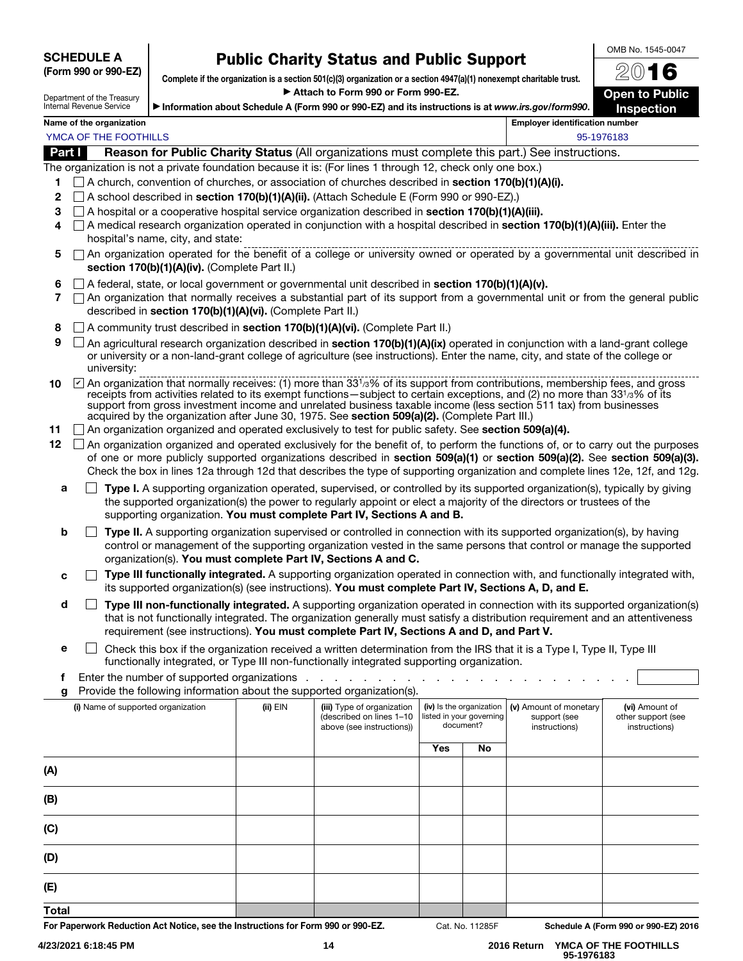SCHEDULE A (Form 990 or 990-EZ)

# Public Charity Status and Public Support

OMB No. 1545-0047

| Department of the Treasury |
|----------------------------|
| Internal Revenue Service   |

Complete if the organization is a section 501(c)(3) organization or a section 4947(a)(1) nonexempt charitable trust. ▶ Attach to Form 990 or Form 990-EZ.

▶ Information about Schedule A (Form 990 or 990-EZ) and its instructions is at *www.irs.gov/form990* .

2016 Open to Public Inspection

| YMCA OF THE FOOTHILLS | 95-1976183 |
|-----------------------|------------|

Name of the organization **Employer identification number** Employer identification number

Part I Reason for Public Charity Status (All organizations must complete this part.) See instructions.

The organization is not a private foundation because it is: (For lines 1 through 12, check only one box.)

- 1  $\Box$  A church, convention of churches, or association of churches described in section 170(b)(1)(A)(i).
- 2  $\Box$  A school described in section 170(b)(1)(A)(ii). (Attach Schedule E (Form 990 or 990-EZ).)
- 3  $\Box$  A hospital or a cooperative hospital service organization described in **section 170(b)(1)(A)(iii).**
- 4  $\Box$  A medical research organization operated in conjunction with a hospital described in section 170(b)(1)(A)(iii). Enter the hospital's name, city, and state:
- 5  $\Box$  An organization operated for the benefit of a college or university owned or operated by a governmental unit described in section 170(b)(1)(A)(iv). (Complete Part II.)
- 6  $\Box$  A federal, state, or local government or governmental unit described in section 170(b)(1)(A)(v).
- $7 \cap$  An organization that normally receives a substantial part of its support from a governmental unit or from the general public described in section 170(b)(1)(A)(vi). (Complete Part II.)
- 8  $\Box$  A community trust described in section 170(b)(1)(A)(vi). (Complete Part II.)
- **9**  $\Box$  An agricultural research organization described in **section 170(b)(1)(A)(ix)** operated in conjunction with a land-grant college or university or a non-land-grant college of agriculture (see instructions). Enter the name, city, and state of the college or university:
- **10**  $\Box$  An organization that normally receives: (1) more than 33<sup>1</sup>/3% of its support from contributions, membership fees, and gross receipts from activities related to its exempt functions—subject to certain exceptions, and (2) no more than 33 1/3% of its support from gross investment income and unrelated business taxable income (less section 511 tax) from businesses acquired by the organization after June 30, 1975. See section 509(a)(2). (Complete Part III.)
- 11 An organization organized and operated exclusively to test for public safety. See section 509(a)(4).
- 12 An organization organized and operated exclusively for the benefit of, to perform the functions of, or to carry out the purposes of one or more publicly supported organizations described in section 509(a)(1) or section 509(a)(2). See section 509(a)(3). Check the box in lines 12a through 12d that describes the type of supporting organization and complete lines 12e, 12f, and 12g.
	- **a**  $\Box$  **Type I.** A supporting organization operated, supervised, or controlled by its supported organization(s), typically by giving the supported organization(s) the power to regularly appoint or elect a majority of the directors or trustees of the supporting organization. You must complete Part IV, Sections A and B.
	- **b**  $\Box$  Type II. A supporting organization supervised or controlled in connection with its supported organization(s), by having control or management of the supporting organization vested in the same persons that control or manage the supported organization(s). You must complete Part IV, Sections A and C.
	- $c \Box$  Type III functionally integrated. A supporting organization operated in connection with, and functionally integrated with, its supported organization(s) (see instructions). You must complete Part IV, Sections A, D, and E.
	- $\Box$  Type III non-functionally integrated. A supporting organization operated in connection with its supported organization(s) that is not functionally integrated. The organization generally must satisfy a distribution requirement and an attentiveness requirement (see instructions). You must complete Part IV, Sections A and D, and Part V.
	- **e**  $\Box$  Check this box if the organization received a written determination from the IRS that it is a Type I, Type II, Type III functionally integrated, or Type III non-functionally integrated supporting organization.

f Enter the number of supported organizations . . . .

| g Provide the following information about the supported organization(s). |  |  |  |
|--------------------------------------------------------------------------|--|--|--|

| ັ<br>(i) Name of supported organization | . .<br>(ii) EIN | ັ<br>$\sqrt{ }$<br>(iii) Type of organization<br>(described on lines 1-10<br>above (see instructions)) | (iv) Is the organization<br>listed in your governing<br>document? |    |  |  | (v) Amount of monetary<br>support (see<br>instructions) | (vi) Amount of<br>other support (see<br>instructions) |
|-----------------------------------------|-----------------|--------------------------------------------------------------------------------------------------------|-------------------------------------------------------------------|----|--|--|---------------------------------------------------------|-------------------------------------------------------|
|                                         |                 |                                                                                                        | <b>Yes</b>                                                        | No |  |  |                                                         |                                                       |
| (A)                                     |                 |                                                                                                        |                                                                   |    |  |  |                                                         |                                                       |
| (B)                                     |                 |                                                                                                        |                                                                   |    |  |  |                                                         |                                                       |
| (C)                                     |                 |                                                                                                        |                                                                   |    |  |  |                                                         |                                                       |
| (D)                                     |                 |                                                                                                        |                                                                   |    |  |  |                                                         |                                                       |
| (E)                                     |                 |                                                                                                        |                                                                   |    |  |  |                                                         |                                                       |
| <b>Total</b>                            |                 |                                                                                                        |                                                                   |    |  |  |                                                         |                                                       |

For Paperwork Reduction Act Notice, see the Instructions for Form 990 or 990-EZ. Cat. No. 11285F Schedule A (Form 990 or 990-EZ) 2016

 **95-1976183**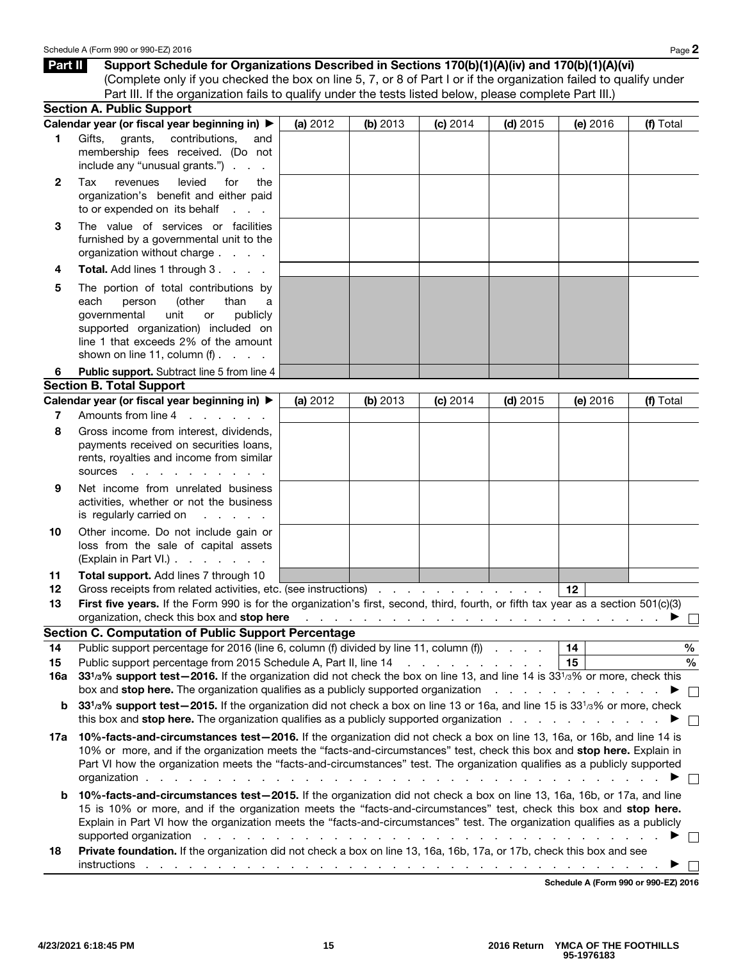| Part II      | Support Schedule for Organizations Described in Sections 170(b)(1)(A)(iv) and 170(b)(1)(A)(vi)                                                                                                                                                                                                                                                                                                                                                                                     |          |                                      |                                   |            |                                                                              |           |
|--------------|------------------------------------------------------------------------------------------------------------------------------------------------------------------------------------------------------------------------------------------------------------------------------------------------------------------------------------------------------------------------------------------------------------------------------------------------------------------------------------|----------|--------------------------------------|-----------------------------------|------------|------------------------------------------------------------------------------|-----------|
|              | (Complete only if you checked the box on line 5, 7, or 8 of Part I or if the organization failed to qualify under                                                                                                                                                                                                                                                                                                                                                                  |          |                                      |                                   |            |                                                                              |           |
|              | Part III. If the organization fails to qualify under the tests listed below, please complete Part III.)                                                                                                                                                                                                                                                                                                                                                                            |          |                                      |                                   |            |                                                                              |           |
|              | <b>Section A. Public Support</b>                                                                                                                                                                                                                                                                                                                                                                                                                                                   |          |                                      |                                   |            |                                                                              |           |
|              | Calendar year (or fiscal year beginning in) ▶                                                                                                                                                                                                                                                                                                                                                                                                                                      | (a) 2012 | (b) 2013                             | (c) 2014                          | $(d)$ 2015 | (e) $2016$                                                                   | (f) Total |
| 1            | Gifts,<br>grants,<br>contributions,<br>and<br>membership fees received. (Do not<br>include any "unusual grants.")                                                                                                                                                                                                                                                                                                                                                                  |          |                                      |                                   |            |                                                                              |           |
| $\mathbf{2}$ | Tax<br>revenues<br>levied<br>for<br>the<br>organization's benefit and either paid<br>to or expended on its behalf                                                                                                                                                                                                                                                                                                                                                                  |          |                                      |                                   |            |                                                                              |           |
| 3            | The value of services or facilities<br>furnished by a governmental unit to the<br>organization without charge                                                                                                                                                                                                                                                                                                                                                                      |          |                                      |                                   |            |                                                                              |           |
| 4            | <b>Total.</b> Add lines 1 through 3                                                                                                                                                                                                                                                                                                                                                                                                                                                |          |                                      |                                   |            |                                                                              |           |
| 5            | The portion of total contributions by<br>(other<br>each<br>person<br>than<br>a<br>governmental<br>unit<br>publicly<br>or<br>supported organization) included on<br>line 1 that exceeds 2% of the amount<br>shown on line 11, column $(f)$ .                                                                                                                                                                                                                                        |          |                                      |                                   |            |                                                                              |           |
| 6            | Public support. Subtract line 5 from line 4                                                                                                                                                                                                                                                                                                                                                                                                                                        |          |                                      |                                   |            |                                                                              |           |
|              | <b>Section B. Total Support</b>                                                                                                                                                                                                                                                                                                                                                                                                                                                    |          |                                      |                                   |            |                                                                              |           |
|              | Calendar year (or fiscal year beginning in) ▶                                                                                                                                                                                                                                                                                                                                                                                                                                      | (a) 2012 | (b) 2013                             | (c) 2014                          | $(d)$ 2015 | (e) $2016$                                                                   | (f) Total |
| 7            | Amounts from line 4<br>and the company of the company of                                                                                                                                                                                                                                                                                                                                                                                                                           |          |                                      |                                   |            |                                                                              |           |
| 8            | Gross income from interest, dividends,<br>payments received on securities loans,<br>rents, royalties and income from similar<br>sources<br>the contract of the contract of the                                                                                                                                                                                                                                                                                                     |          |                                      |                                   |            |                                                                              |           |
| 9            | Net income from unrelated business<br>activities, whether or not the business<br>is regularly carried on<br>the company's com-                                                                                                                                                                                                                                                                                                                                                     |          |                                      |                                   |            |                                                                              |           |
| 10           | Other income. Do not include gain or<br>loss from the sale of capital assets<br>(Explain in Part VI.)                                                                                                                                                                                                                                                                                                                                                                              |          |                                      |                                   |            |                                                                              |           |
| 11<br>12     | Total support. Add lines 7 through 10<br>Gross receipts from related activities, etc. (see instructions)                                                                                                                                                                                                                                                                                                                                                                           |          |                                      |                                   |            | 12                                                                           |           |
| 13           | First five years. If the Form 990 is for the organization's first, second, third, fourth, or fifth tax year as a section 501(c)(3)                                                                                                                                                                                                                                                                                                                                                 |          |                                      |                                   |            |                                                                              |           |
|              | organization, check this box and stop here                                                                                                                                                                                                                                                                                                                                                                                                                                         |          |                                      |                                   |            | والمتعاونة والمتعاونة والمتعاونة والمتعاونة والمتعاونة والمتعاونة والمتعاونة |           |
|              | <b>Section C. Computation of Public Support Percentage</b>                                                                                                                                                                                                                                                                                                                                                                                                                         |          |                                      |                                   |            |                                                                              |           |
| 14           | Public support percentage for 2016 (line 6, column (f) divided by line 11, column (f)                                                                                                                                                                                                                                                                                                                                                                                              |          |                                      |                                   |            | 14                                                                           | $\%$      |
| 15<br>16a    | Public support percentage from 2015 Schedule A, Part II, line 14<br>331/3% support test-2016. If the organization did not check the box on line 13, and line 14 is 331/3% or more, check this                                                                                                                                                                                                                                                                                      |          |                                      | and a straight and a straight and |            | 15                                                                           | $\%$      |
|              | box and <b>stop here.</b> The organization qualifies as a publicly supported organization <b>contained as a state of the state of the state of the state of the state of the state of the state of the state of the state of the stat</b>                                                                                                                                                                                                                                          |          |                                      |                                   |            |                                                                              |           |
| b            | 331/3% support test-2015. If the organization did not check a box on line 13 or 16a, and line 15 is 331/3% or more, check                                                                                                                                                                                                                                                                                                                                                          |          |                                      |                                   |            |                                                                              |           |
|              |                                                                                                                                                                                                                                                                                                                                                                                                                                                                                    |          |                                      |                                   |            |                                                                              |           |
| 17a          | this box and stop here. The organization qualifies as a publicly supported organization $\ldots$<br>10%-facts-and-circumstances test-2016. If the organization did not check a box on line 13, 16a, or 16b, and line 14 is<br>10% or more, and if the organization meets the "facts-and-circumstances" test, check this box and stop here. Explain in<br>Part VI how the organization meets the "facts-and-circumstances" test. The organization qualifies as a publicly supported |          |                                      |                                   |            |                                                                              |           |
|              | organization.                                                                                                                                                                                                                                                                                                                                                                                                                                                                      |          |                                      |                                   |            |                                                                              |           |
| b            | 10%-facts-and-circumstances test-2015. If the organization did not check a box on line 13, 16a, 16b, or 17a, and line<br>15 is 10% or more, and if the organization meets the "facts-and-circumstances" test, check this box and stop here.<br>Explain in Part VI how the organization meets the "facts-and-circumstances" test. The organization qualifies as a publicly                                                                                                          |          |                                      |                                   |            |                                                                              |           |
|              | supported organization<br>Private foundation. If the organization did not check a box on line 13, 16a, 16b, 17a, or 17b, check this box and see                                                                                                                                                                                                                                                                                                                                    |          | and the contract of the state of the |                                   |            |                                                                              |           |
| 18           | instructions                                                                                                                                                                                                                                                                                                                                                                                                                                                                       |          |                                      |                                   |            |                                                                              |           |

Schedule A (Form 990 or 990-EZ) 2016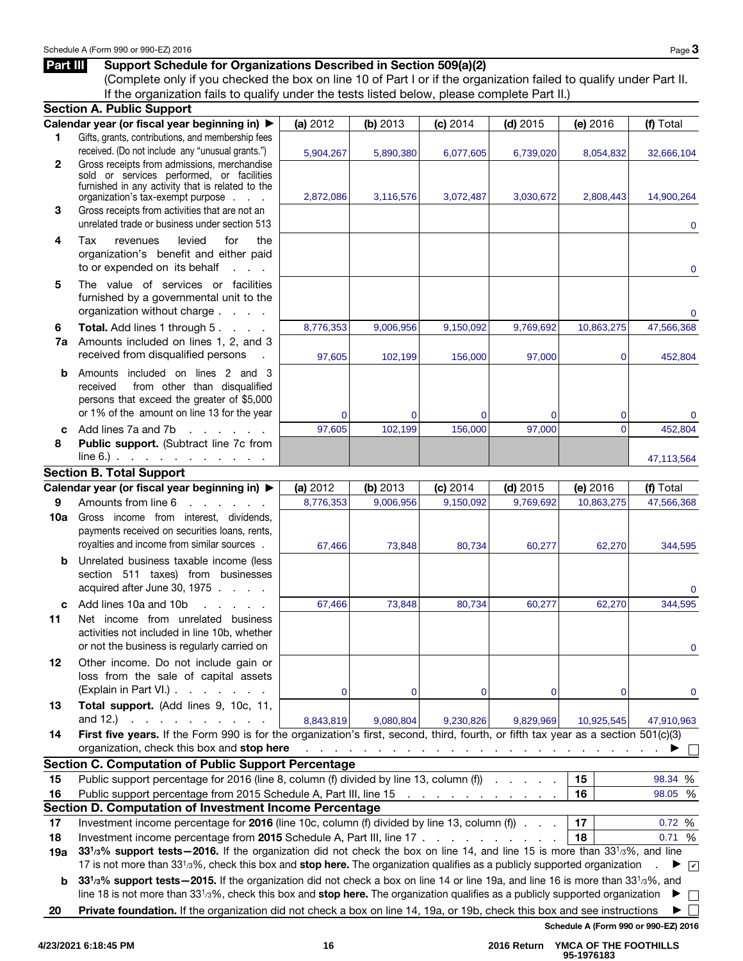#### Part III Support Schedule for Organizations Described in Section 509(a)(2)

(Complete only if you checked the box on line 10 of Part I or if the organization failed to qualify under Part II. If the organization fails to qualify under the tests listed below, please complete Part II.)

|              | <b>Section A. Public Support</b>                                                                                                                                                                                                                                                                                                               |             |                        |                                                                                     |             |                     |                                |
|--------------|------------------------------------------------------------------------------------------------------------------------------------------------------------------------------------------------------------------------------------------------------------------------------------------------------------------------------------------------|-------------|------------------------|-------------------------------------------------------------------------------------|-------------|---------------------|--------------------------------|
|              | Calendar year (or fiscal year beginning in) ▶                                                                                                                                                                                                                                                                                                  | (a) 2012    | (b) 2013               | (c) 2014                                                                            | $(d)$ 2015  | (e) 2016            | (f) Total                      |
| 1            | Gifts, grants, contributions, and membership fees<br>received. (Do not include any "unusual grants.")                                                                                                                                                                                                                                          | 5,904,267   | 5,890,380              | 6,077,605                                                                           | 6,739,020   | 8,054,832           | 32,666,104                     |
| $\mathbf{2}$ | Gross receipts from admissions, merchandise<br>sold or services performed, or facilities<br>furnished in any activity that is related to the                                                                                                                                                                                                   |             |                        |                                                                                     |             |                     |                                |
|              | organization's tax-exempt purpose                                                                                                                                                                                                                                                                                                              | 2,872,086   | 3,116,576              | 3,072,487                                                                           | 3,030,672   | 2,808,443           | 14,900,264                     |
| 3            | Gross receipts from activities that are not an<br>unrelated trade or business under section 513                                                                                                                                                                                                                                                |             |                        |                                                                                     |             |                     | $\mathbf{0}$                   |
| 4            | Tax<br>levied<br>for<br>the<br>revenues<br>organization's benefit and either paid<br>to or expended on its behalf<br>$\mathcal{L}^{\text{max}}$ and $\mathcal{L}^{\text{max}}$                                                                                                                                                                 |             |                        |                                                                                     |             |                     | 0                              |
| 5            | The value of services or facilities<br>furnished by a governmental unit to the<br>organization without charge                                                                                                                                                                                                                                  |             |                        |                                                                                     |             |                     | $\mathbf{0}$                   |
| 6            | Total. Add lines 1 through 5.                                                                                                                                                                                                                                                                                                                  | 8,776,353   | 9,006,956              | 9,150,092                                                                           | 9,769,692   | 10,863,275          | 47,566,368                     |
| 7a           | Amounts included on lines 1, 2, and 3<br>received from disqualified persons                                                                                                                                                                                                                                                                    | 97,605      | 102,199                | 156,000                                                                             | 97,000      | 0                   | 452,804                        |
| b            | Amounts included on lines 2 and 3<br>from other than disqualified<br>received<br>persons that exceed the greater of \$5,000<br>or 1% of the amount on line 13 for the year                                                                                                                                                                     |             |                        |                                                                                     |             |                     |                                |
|              | Add lines 7a and 7b<br>and the control                                                                                                                                                                                                                                                                                                         | 0<br>97,605 | $\mathbf 0$<br>102,199 | $\mathbf 0$<br>156,000                                                              | 0<br>97,000 | 0<br>$\overline{0}$ | 0<br>452,804                   |
| c<br>8       | Public support. (Subtract line 7c from                                                                                                                                                                                                                                                                                                         |             |                        |                                                                                     |             |                     |                                |
|              | $line 6.)$ $\ldots$ $\ldots$ $\ldots$ $\ldots$                                                                                                                                                                                                                                                                                                 |             |                        |                                                                                     |             |                     | 47,113,564                     |
|              | <b>Section B. Total Support</b>                                                                                                                                                                                                                                                                                                                |             |                        |                                                                                     |             |                     |                                |
|              | Calendar year (or fiscal year beginning in) ▶                                                                                                                                                                                                                                                                                                  | (a) 2012    | (b) 2013               | (c) 2014                                                                            | $(d)$ 2015  | (e) 2016            | (f) Total                      |
| 9            | Amounts from line 6<br>and a state of the state                                                                                                                                                                                                                                                                                                | 8,776,353   | 9,006,956              | 9,150,092                                                                           | 9,769,692   | 10,863,275          | 47,566,368                     |
| 10a          | Gross income from interest, dividends,<br>payments received on securities loans, rents,<br>royalties and income from similar sources.                                                                                                                                                                                                          | 67,466      | 73,848                 | 80,734                                                                              | 60,277      | 62,270              | 344,595                        |
| b            | Unrelated business taxable income (less<br>section 511 taxes) from businesses<br>acquired after June 30, 1975                                                                                                                                                                                                                                  |             |                        |                                                                                     |             |                     | 0                              |
| c            | Add lines 10a and 10b<br>and a state of the                                                                                                                                                                                                                                                                                                    | 67,466      | 73,848                 | 80,734                                                                              | 60,277      | 62,270              | 344,595                        |
| 11           | Net income from unrelated business<br>activities not included in line 10b, whether<br>or not the business is regularly carried on                                                                                                                                                                                                              |             |                        |                                                                                     |             |                     |                                |
| 12           | Other income. Do not include gain or<br>loss from the sale of capital assets<br>(Explain in Part VI.).<br>and a state of the                                                                                                                                                                                                                   | 0           | $\mathbf 0$            | 0                                                                                   | 0           | 0                   | 0                              |
| 13           | Total support. (Add lines 9, 10c, 11,<br>and $12.$ )<br>and a state of the state                                                                                                                                                                                                                                                               | 8,843,819   | 9,080,804              | 9,230,826                                                                           | 9,829,969   | 10,925,545          | 47,910,963                     |
| 14           | First five years. If the Form 990 is for the organization's first, second, third, fourth, or fifth tax year as a section 501(c)(3)<br>organization, check this box and stop here                                                                                                                                                               |             |                        | and the contract of the contract of the contract of the contract of the contract of |             |                     |                                |
|              | <b>Section C. Computation of Public Support Percentage</b>                                                                                                                                                                                                                                                                                     |             |                        |                                                                                     |             |                     |                                |
| 15           | Public support percentage for 2016 (line 8, column (f) divided by line 13, column (f)                                                                                                                                                                                                                                                          |             |                        |                                                                                     |             | 15                  | 98.34 %                        |
| 16           | Public support percentage from 2015 Schedule A, Part III, line 15                                                                                                                                                                                                                                                                              |             |                        | and a series of the company of the                                                  |             | 16                  | 98.05 %                        |
|              | Section D. Computation of Investment Income Percentage                                                                                                                                                                                                                                                                                         |             |                        |                                                                                     |             |                     |                                |
| 17           | Investment income percentage for 2016 (line 10c, column (f) divided by line 13, column (f)                                                                                                                                                                                                                                                     |             |                        |                                                                                     |             | 17                  | 0.72 %                         |
| 18<br>19a    | Investment income percentage from 2015 Schedule A, Part III, line 17<br>331/3% support tests - 2016. If the organization did not check the box on line 14, and line 15 is more than 331/3%, and line<br>17 is not more than 33 <sup>1</sup> /3%, check this box and stop here. The organization qualifies as a publicly supported organization |             |                        |                                                                                     |             | 18                  | 0.71 %<br>$\blacktriangledown$ |
| b            | 331/3% support tests - 2015. If the organization did not check a box on line 14 or line 19a, and line 16 is more than 331/3%, and<br>line 18 is not more than $3313%$ , check this box and stop here. The organization qualifies as a publicly supported organization                                                                          |             |                        |                                                                                     |             |                     |                                |
| 20           |                                                                                                                                                                                                                                                                                                                                                |             |                        |                                                                                     |             |                     |                                |
|              | Private foundation. If the organization did not check a box on line 14, 19a, or 19b, check this box and see instructions<br>Schedule A (Form 990 or 990-EZ) 2016                                                                                                                                                                               |             |                        |                                                                                     |             |                     |                                |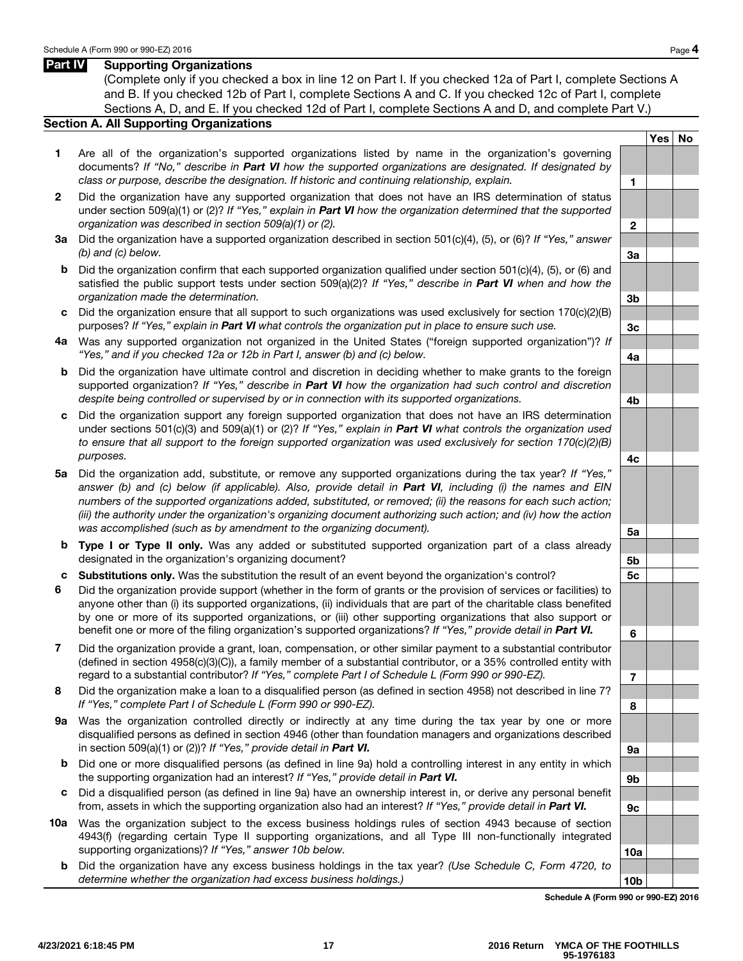#### Part **IV** Supporting Organizations

(Complete only if you checked a box in line 12 on Part I. If you checked 12a of Part I, complete Sections A and B. If you checked 12b of Part I, complete Sections A and C. If you checked 12c of Part I, complete Sections A, D, and E. If you checked 12d of Part I, complete Sections A and D, and complete Part V.)

#### Section A. All Supporting Organizations

- 1 Are all of the organization's supported organizations listed by name in the organization's governing documents? *If "No," describe in Part VI how the supported organizations are designated. If designated by class or purpose, describe the designation. If historic and continuing relationship, explain.*
- 2 Did the organization have any supported organization that does not have an IRS determination of status under section 509(a)(1) or (2)? *If "Yes," explain in Part VI how the organization determined that the supported organization was described in section 509(a)(1) or (2).*
- 3 a Did the organization have a supported organization described in section 501(c)(4), (5), or (6)? *If "Yes," answer (b) and (c) below.* 3a
- b Did the organization confirm that each supported organization qualified under section 501(c)(4), (5), or (6) and satisfied the public support tests under section 509(a)(2)? *If "Yes," describe in Part VI when and how the organization made the determination.* 3b
- c Did the organization ensure that all support to such organizations was used exclusively for section  $170(c)(2)(B)$ purposes? *If "Yes," explain in Part VI what controls the organization put in place to ensure such use.*  $3c$
- 4 a Was any supported organization not organized in the United States ("foreign supported organization")? *If "Yes," and if you checked 12a or 12b in Part I, answer (b) and (c) below.* 4a
- b Did the organization have ultimate control and discretion in deciding whether to make grants to the foreign supported organization? *If "Yes," describe in Part VI how the organization had such control and discretion despite being controlled or supervised by or in connection with its supported organizations.* 4b
- c Did the organization support any foreign supported organization that does not have an IRS determination under sections 501(c)(3) and 509(a)(1) or (2)? *If "Yes," explain in Part VI what controls the organization used to ensure that all support to the foreign supported organization was used exclusively for section 170(c)(2)(B) purposes.* 4c
- 5 a Did the organization add, substitute, or remove any supported organizations during the tax year? *If "Yes," answer (b) and (c) below (if applicable). Also, provide detail in Part VI, including (i) the names and EIN numbers of the supported organizations added, substituted, or removed; (ii) the reasons for each such action; (iii) the authority under the organization's organizing document authorizing such action; and (iv) how the action* was accomplished (such as by amendment to the organizing document).
- b Type I or Type II only. Was any added or substituted supported organization part of a class already designated in the organization's organizing document? **5b** shares are seen as the organization's organizing document?
- c Substitutions only. Was the substitution the result of an event beyond the organization's control? 5c
- 6 Did the organization provide support (whether in the form of grants or the provision of services or facilities) to anyone other than (i) its supported organizations, (ii) individuals that are part of the charitable class benefited by one or more of its supported organizations, or (iii) other supporting organizations that also support or benefit one or more of the filing organization's supported organizations? *If "Yes," provide detail in Part VI.*
- 7 Did the organization provide a grant, loan, compensation, or other similar payment to a substantial contributor (defined in section 4958(c)(3)(C)), a family member of a substantial contributor, or a 35% controlled entity with regard to a substantial contributor? *If "Yes," complete Part I of Schedule L (Form 990 or 990-EZ).*
- 8 Did the organization make a loan to a disqualified person (as defined in section 4958) not described in line 7? *If "Yes," complete Part I of Schedule L (Form 990 or 990-EZ).*
- 9a Was the organization controlled directly or indirectly at any time during the tax year by one or more disqualified persons as defined in section 4946 (other than foundation managers and organizations described in section 509(a)(1) or (2))? *If "Yes," provide detail in Part VI.*  $\sqrt{2}$  9a
- b Did one or more disqualified persons (as defined in line 9a) hold a controlling interest in any entity in which the supporting organization had an interest? *If "Yes," provide detail in Part VI.*  $\left| \right.$
- c Did a disqualified person (as defined in line 9a) have an ownership interest in, or derive any personal benefit from, assets in which the supporting organization also had an interest? *If "Yes," provide detail in Part VI.* 9c
- 10a Was the organization subject to the excess business holdings rules of section 4943 because of section 4943(f) (regarding certain Type II supporting organizations, and all Type III non-functionally integrated supporting organizations)? *If "Yes," answer 10b below.* 10a http://www.facebook.com/inductions/inductions/inductions/inductions/inductions/inductions/inductions/inductions/inductions/inductions/inductions/inductions/induc
	- b Did the organization have any excess business holdings in the tax year? *(Use Schedule C, Form 4720, to*  determine whether the organization had excess business holdings.) 10b

Schedule A (Form 990 or 990-EZ) 2016

6

7

8

Yes | No

1

2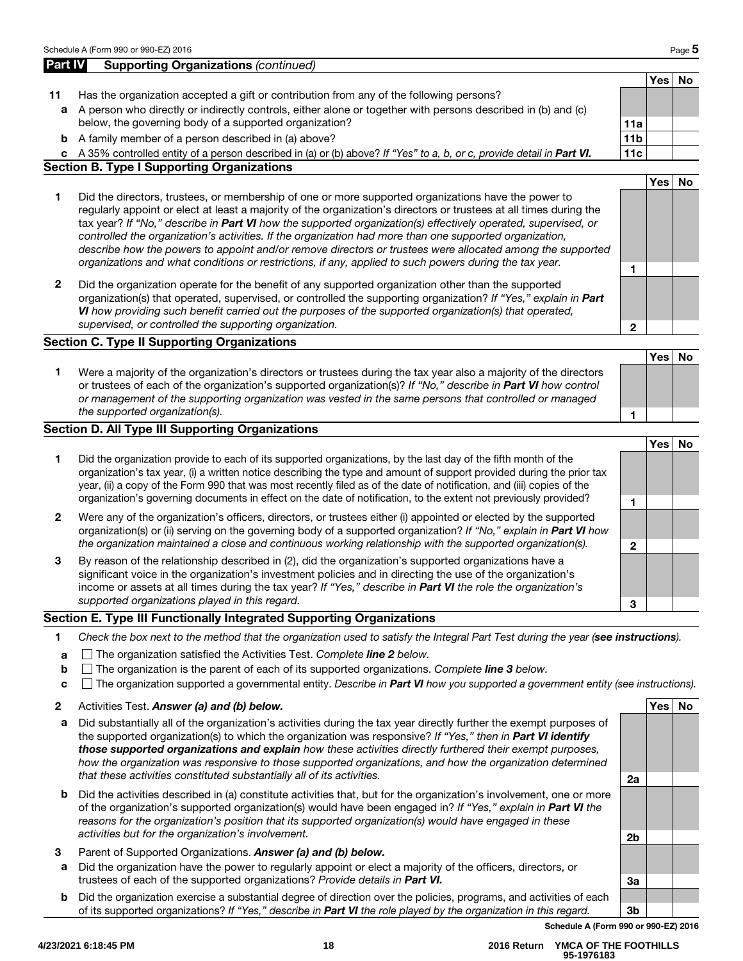#### Page 5

Yes | No

1

2

3

| <b>Part IV</b> | <b>Supporting Organizations (continued)</b>                                                                                                                                                                                                                                                                                                                                                                                                                                                                                                                                                                                                                                  |                 |            |           |
|----------------|------------------------------------------------------------------------------------------------------------------------------------------------------------------------------------------------------------------------------------------------------------------------------------------------------------------------------------------------------------------------------------------------------------------------------------------------------------------------------------------------------------------------------------------------------------------------------------------------------------------------------------------------------------------------------|-----------------|------------|-----------|
|                |                                                                                                                                                                                                                                                                                                                                                                                                                                                                                                                                                                                                                                                                              |                 | <b>Yes</b> | <b>No</b> |
| 11             | Has the organization accepted a gift or contribution from any of the following persons?                                                                                                                                                                                                                                                                                                                                                                                                                                                                                                                                                                                      |                 |            |           |
| a              | A person who directly or indirectly controls, either alone or together with persons described in (b) and (c)                                                                                                                                                                                                                                                                                                                                                                                                                                                                                                                                                                 |                 |            |           |
|                | below, the governing body of a supported organization?                                                                                                                                                                                                                                                                                                                                                                                                                                                                                                                                                                                                                       | 11a             |            |           |
| b              | A family member of a person described in (a) above?                                                                                                                                                                                                                                                                                                                                                                                                                                                                                                                                                                                                                          | 11 <sub>b</sub> |            |           |
|                | c A 35% controlled entity of a person described in (a) or (b) above? If "Yes" to a, b, or c, provide detail in Part VI.                                                                                                                                                                                                                                                                                                                                                                                                                                                                                                                                                      | 11c             |            |           |
|                | <b>Section B. Type I Supporting Organizations</b>                                                                                                                                                                                                                                                                                                                                                                                                                                                                                                                                                                                                                            |                 |            |           |
|                |                                                                                                                                                                                                                                                                                                                                                                                                                                                                                                                                                                                                                                                                              |                 | <b>Yes</b> | <b>No</b> |
| 1              | Did the directors, trustees, or membership of one or more supported organizations have the power to<br>regularly appoint or elect at least a majority of the organization's directors or trustees at all times during the<br>tax year? If "No," describe in Part VI how the supported organization(s) effectively operated, supervised, or<br>controlled the organization's activities. If the organization had more than one supported organization,<br>describe how the powers to appoint and/or remove directors or trustees were allocated among the supported<br>organizations and what conditions or restrictions, if any, applied to such powers during the tax year. | 1               |            |           |
| $\overline{2}$ | Did the organization operate for the benefit of any supported organization other than the supported<br>organization(s) that operated, supervised, or controlled the supporting organization? If "Yes," explain in Part<br>VI how providing such benefit carried out the purposes of the supported organization(s) that operated,<br>supervised, or controlled the supporting organization.                                                                                                                                                                                                                                                                                   | 2               |            |           |
|                | <b>Section C. Type II Supporting Organizations</b>                                                                                                                                                                                                                                                                                                                                                                                                                                                                                                                                                                                                                           |                 |            |           |
|                |                                                                                                                                                                                                                                                                                                                                                                                                                                                                                                                                                                                                                                                                              |                 | <b>Yes</b> | <b>No</b> |
| 1              | Were a majority of the organization's directors or trustees during the tax year also a majority of the directors<br>or trustees of each of the organization's supported organization(s)? If "No," describe in Part VI how control<br>or management of the supporting organization was vested in the same persons that controlled or managed<br>the supported organization(s).                                                                                                                                                                                                                                                                                                | 1               |            |           |

# 1 Did the organization provide to each of its supported organizations, by the last day of the fifth month of the organization's tax year, (i) a written notice describing the type and amount of support provided during the prior tax year, (ii) a copy of the Form 990 that was most recently filed as of the date of notification, and (iii) copies of the organization's governing documents in effect on the date of notification, to the extent not previously provided?

- 2 Were any of the organization's officers, directors, or trustees either (i) appointed or elected by the supported organization(s) or (ii) serving on the governing body of a supported organization? *If "No," explain in Part VI how the organization maintained a close and continuous working relationship with the supported organization(s).*
- 3 By reason of the relationship described in (2), did the organization's supported organizations have a significant voice in the organization's investment policies and in directing the use of the organization's income or assets at all times during the tax year? *If "Yes," describe in Part VI the role the organization's supported organizations played in this regard.*

#### Section E. Type III Functionally Integrated Supporting Organizations

- 1 *Check the box next to the method that the organization used to satisfy the Integral Part Test during the year (see instructions).*
- a The organization satisfied the Activities Test. *Complete line 2 below.*
- b The organization is the parent of each of its supported organizations. *Complete line 3 below.*
- c The organization supported a governmental entity. *Describe in Part VI how you supported a government entity (see instructions).*
- 2 Activities Test. Answer (a) and (b) below. And the set of the set of the set of the set of the set of the set of the set of the set of the set of the set of the set of the set of the set of the set of the set of the set
- a Did substantially all of the organization's activities during the tax year directly further the exempt purposes of the supported organization(s) to which the organization was responsive? *If "Yes," then in Part VI identify those supported organizations and explain how these activities directly furthered their exempt purposes, how the organization was responsive to those supported organizations, and how the organization determined that these activities constituted substantially all of its activities.* 2a
- b Did the activities described in (a) constitute activities that, but for the organization's involvement, one or more of the organization's supported organization(s) would have been engaged in? *If "Yes," explain in Part VI the reasons for the organization's position that its supported organization(s) would have engaged in these activities but for the organization's involvement.* 2b
- 3 Parent of Supported Organizations. *Answer (a) and (b) below.*
- a Did the organization have the power to regularly appoint or elect a majority of the officers, directors, or trustees of each of the supported organizations? *Provide details in Part VI.*  $\vert$  3a
- b Did the organization exercise a substantial degree of direction over the policies, programs, and activities of each of its supported organizations? *If "Yes," describe in Part VI the role played by the organization in this regard.* 3b

Schedule A (Form 990 or 990-EZ) 2016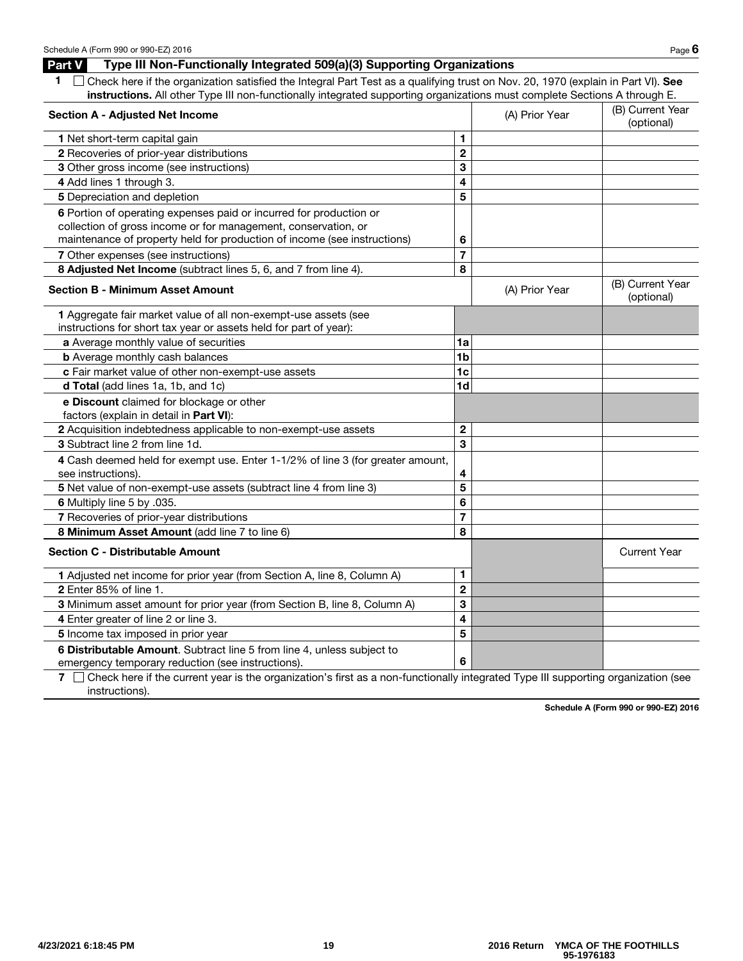#### Part V Type III Non-Functionally Integrated 509(a)(3) Supporting Organizations

| 1 Check here if the organization satisfied the Integral Part Test as a qualifying trust on Nov. 20, 1970 (explain in Part VI). See |
|------------------------------------------------------------------------------------------------------------------------------------|
| instructions. All other Type III non-functionally integrated supporting organizations must complete Sections A through E.          |

| <b>Section A - Adjusted Net Income</b>                                                                                      |                         | (A) Prior Year | (B) Current Year<br>(optional) |
|-----------------------------------------------------------------------------------------------------------------------------|-------------------------|----------------|--------------------------------|
| 1 Net short-term capital gain                                                                                               | 1                       |                |                                |
| 2 Recoveries of prior-year distributions                                                                                    | $\overline{2}$          |                |                                |
| 3 Other gross income (see instructions)                                                                                     | 3                       |                |                                |
| 4 Add lines 1 through 3.                                                                                                    | 4                       |                |                                |
| 5 Depreciation and depletion                                                                                                | 5                       |                |                                |
| 6 Portion of operating expenses paid or incurred for production or                                                          |                         |                |                                |
| collection of gross income or for management, conservation, or                                                              |                         |                |                                |
| maintenance of property held for production of income (see instructions)                                                    | 6                       |                |                                |
| 7 Other expenses (see instructions)                                                                                         | $\overline{7}$          |                |                                |
| 8 Adjusted Net Income (subtract lines 5, 6, and 7 from line 4).                                                             | 8                       |                |                                |
| <b>Section B - Minimum Asset Amount</b>                                                                                     |                         | (A) Prior Year | (B) Current Year<br>(optional) |
| 1 Aggregate fair market value of all non-exempt-use assets (see                                                             |                         |                |                                |
| instructions for short tax year or assets held for part of year):                                                           |                         |                |                                |
| a Average monthly value of securities                                                                                       | 1a                      |                |                                |
| <b>b</b> Average monthly cash balances                                                                                      | 1 <sub>b</sub>          |                |                                |
| c Fair market value of other non-exempt-use assets                                                                          | 1 <sub>c</sub>          |                |                                |
| d Total (add lines 1a, 1b, and 1c)                                                                                          | 1 <sub>d</sub>          |                |                                |
| e Discount claimed for blockage or other<br>factors (explain in detail in Part VI):                                         |                         |                |                                |
| 2 Acquisition indebtedness applicable to non-exempt-use assets                                                              | $\mathbf{2}$            |                |                                |
| 3 Subtract line 2 from line 1d.                                                                                             | 3                       |                |                                |
| 4 Cash deemed held for exempt use. Enter 1-1/2% of line 3 (for greater amount,<br>see instructions).                        | 4                       |                |                                |
| 5 Net value of non-exempt-use assets (subtract line 4 from line 3)                                                          | 5                       |                |                                |
| 6 Multiply line 5 by .035.                                                                                                  | 6                       |                |                                |
| 7 Recoveries of prior-year distributions                                                                                    | $\overline{7}$          |                |                                |
| 8 Minimum Asset Amount (add line 7 to line 6)                                                                               | 8                       |                |                                |
| <b>Section C - Distributable Amount</b>                                                                                     |                         |                | <b>Current Year</b>            |
| 1 Adjusted net income for prior year (from Section A, line 8, Column A)                                                     | $\mathbf{1}$            |                |                                |
| 2 Enter 85% of line 1.                                                                                                      | $\overline{2}$          |                |                                |
| 3 Minimum asset amount for prior year (from Section B, line 8, Column A)                                                    | 3                       |                |                                |
| 4 Enter greater of line 2 or line 3.                                                                                        | $\overline{\mathbf{4}}$ |                |                                |
| 5 Income tax imposed in prior year                                                                                          | 5                       |                |                                |
| 6 Distributable Amount. Subtract line 5 from line 4, unless subject to<br>emergency temporary reduction (see instructions). | 6                       |                |                                |

7  $\Box$  Check here if the current year is the organization's first as a non-functionally integrated Type III supporting organization (see instructions).

Schedule A (Form 990 or 990-EZ) 2016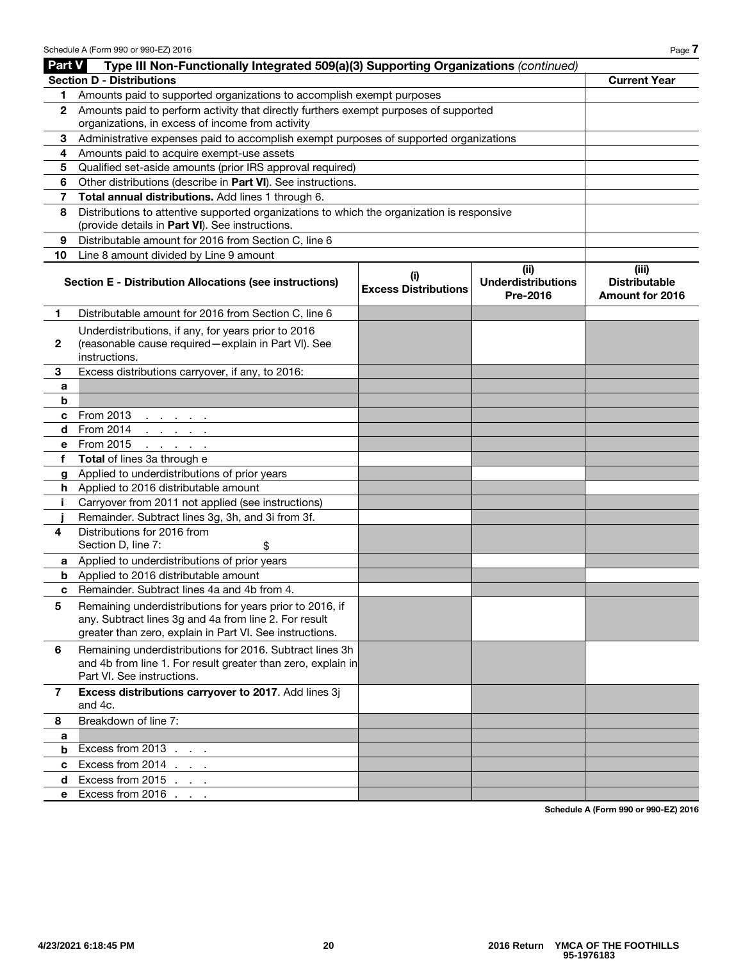|              | Type III Non-Functionally Integrated 509(a)(3) Supporting Organizations (continued)<br><b>Part V</b>                                          |                                    |                                       |                                                |  |  |
|--------------|-----------------------------------------------------------------------------------------------------------------------------------------------|------------------------------------|---------------------------------------|------------------------------------------------|--|--|
|              | <b>Section D - Distributions</b>                                                                                                              |                                    |                                       | <b>Current Year</b>                            |  |  |
| 1.           | Amounts paid to supported organizations to accomplish exempt purposes                                                                         |                                    |                                       |                                                |  |  |
| 2            | Amounts paid to perform activity that directly furthers exempt purposes of supported                                                          |                                    |                                       |                                                |  |  |
|              | organizations, in excess of income from activity                                                                                              |                                    |                                       |                                                |  |  |
| 3            | Administrative expenses paid to accomplish exempt purposes of supported organizations                                                         |                                    |                                       |                                                |  |  |
| 4            | Amounts paid to acquire exempt-use assets                                                                                                     |                                    |                                       |                                                |  |  |
| 5            | Qualified set-aside amounts (prior IRS approval required)                                                                                     |                                    |                                       |                                                |  |  |
| 6            | Other distributions (describe in Part VI). See instructions.<br>Total annual distributions. Add lines 1 through 6.                            |                                    |                                       |                                                |  |  |
| 7            |                                                                                                                                               |                                    |                                       |                                                |  |  |
| 8            | Distributions to attentive supported organizations to which the organization is responsive<br>(provide details in Part VI). See instructions. |                                    |                                       |                                                |  |  |
| 9            | Distributable amount for 2016 from Section C, line 6                                                                                          |                                    |                                       |                                                |  |  |
| 10           | Line 8 amount divided by Line 9 amount                                                                                                        |                                    |                                       |                                                |  |  |
|              |                                                                                                                                               |                                    | (ii)                                  | (iii)                                          |  |  |
|              | <b>Section E - Distribution Allocations (see instructions)</b>                                                                                | (i)<br><b>Excess Distributions</b> | <b>Underdistributions</b><br>Pre-2016 | <b>Distributable</b><br><b>Amount for 2016</b> |  |  |
| 1.           | Distributable amount for 2016 from Section C, line 6                                                                                          |                                    |                                       |                                                |  |  |
| $\mathbf{2}$ | Underdistributions, if any, for years prior to 2016<br>(reasonable cause required - explain in Part VI). See<br>instructions.                 |                                    |                                       |                                                |  |  |
| 3            | Excess distributions carryover, if any, to 2016:                                                                                              |                                    |                                       |                                                |  |  |
| a            |                                                                                                                                               |                                    |                                       |                                                |  |  |
| b            |                                                                                                                                               |                                    |                                       |                                                |  |  |
| c            | From 2013<br>and the company of                                                                                                               |                                    |                                       |                                                |  |  |
| d            | From 2014<br>and a state of the                                                                                                               |                                    |                                       |                                                |  |  |
| е            | From 2015<br>and a state of the                                                                                                               |                                    |                                       |                                                |  |  |
| f            | <b>Total</b> of lines 3a through e                                                                                                            |                                    |                                       |                                                |  |  |
| g            | Applied to underdistributions of prior years                                                                                                  |                                    |                                       |                                                |  |  |
| h.           | Applied to 2016 distributable amount                                                                                                          |                                    |                                       |                                                |  |  |
| j.           | Carryover from 2011 not applied (see instructions)                                                                                            |                                    |                                       |                                                |  |  |
|              | Remainder. Subtract lines 3g, 3h, and 3i from 3f.                                                                                             |                                    |                                       |                                                |  |  |
| 4            | Distributions for 2016 from                                                                                                                   |                                    |                                       |                                                |  |  |
|              | Section D, line 7:<br>\$                                                                                                                      |                                    |                                       |                                                |  |  |
| а            | Applied to underdistributions of prior years                                                                                                  |                                    |                                       |                                                |  |  |
| b            | Applied to 2016 distributable amount                                                                                                          |                                    |                                       |                                                |  |  |
| c            | Remainder. Subtract lines 4a and 4b from 4.                                                                                                   |                                    |                                       |                                                |  |  |
| 5            | Remaining underdistributions for years prior to 2016, if                                                                                      |                                    |                                       |                                                |  |  |
|              | any. Subtract lines 3g and 4a from line 2. For result                                                                                         |                                    |                                       |                                                |  |  |
|              | greater than zero, explain in Part VI. See instructions.                                                                                      |                                    |                                       |                                                |  |  |
| 6            | Remaining underdistributions for 2016. Subtract lines 3h                                                                                      |                                    |                                       |                                                |  |  |
|              | and 4b from line 1. For result greater than zero, explain in                                                                                  |                                    |                                       |                                                |  |  |
|              | Part VI. See instructions.                                                                                                                    |                                    |                                       |                                                |  |  |
| 7            | Excess distributions carryover to 2017. Add lines 3j<br>and 4c.                                                                               |                                    |                                       |                                                |  |  |
| 8            | Breakdown of line 7:                                                                                                                          |                                    |                                       |                                                |  |  |
| a            |                                                                                                                                               |                                    |                                       |                                                |  |  |
| b            | Excess from 2013                                                                                                                              |                                    |                                       |                                                |  |  |
| c            | Excess from 2014                                                                                                                              |                                    |                                       |                                                |  |  |
| d            | Excess from 2015                                                                                                                              |                                    |                                       |                                                |  |  |
| е            | Excess from 2016                                                                                                                              |                                    |                                       |                                                |  |  |
|              |                                                                                                                                               |                                    |                                       |                                                |  |  |

Schedule A (Form 990 or 990-EZ) 2016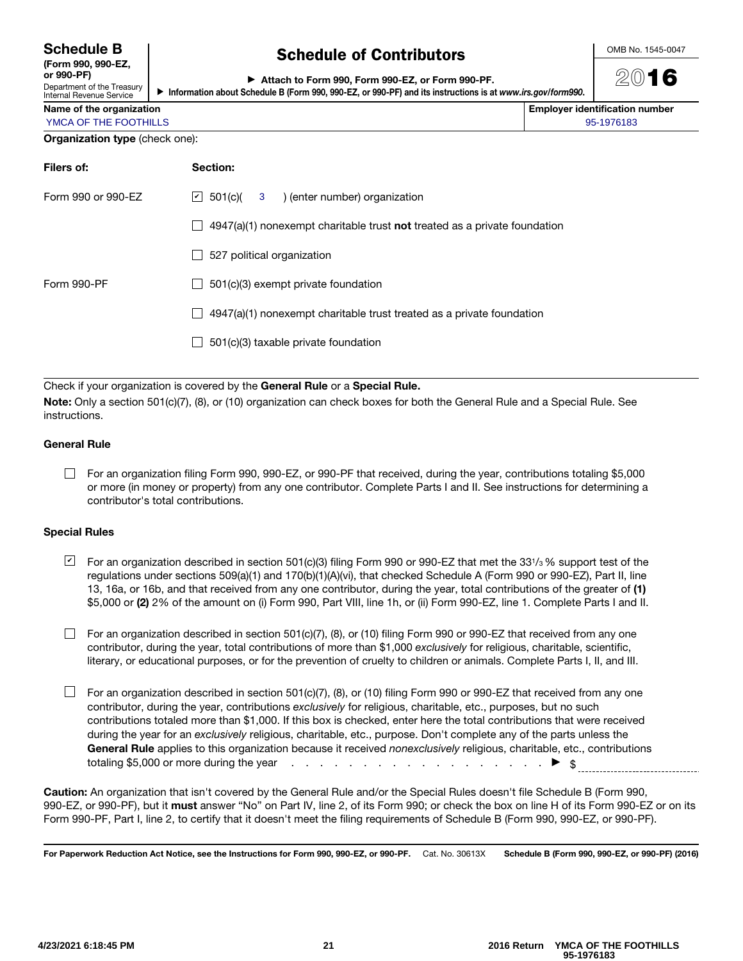| <b>Schedule B</b> |  |
|-------------------|--|
|-------------------|--|

(Form 990, 990-EZ,  $\alpha$ r 990-PF) Department of the Treasury

Internal Revenue Service

# Schedule of Contributors

OMB No. 1545-0047

2016

|  | ► Attach to Form 990, Form 990-EZ, or Form 990-PF. |  |  |
|--|----------------------------------------------------|--|--|
|  |                                                    |  |  |

▶ Information about Schedule B (Form 990, 990-EZ, or 990-PF) and its instructions is at *www.irs.gov/form990* .

| Name of the organization              | <b>Employer identification number</b> |
|---------------------------------------|---------------------------------------|
| YMCA OF THE FOOTHILLS                 | 95-1976183                            |
| <b>Organization type (check one):</b> |                                       |

| Filers of:         | Section:                                                                           |  |  |  |  |
|--------------------|------------------------------------------------------------------------------------|--|--|--|--|
| Form 990 or 990-FZ | $\vert \angle$ 501(c)( 3) (enter number) organization                              |  |  |  |  |
|                    | $4947(a)(1)$ nonexempt charitable trust <b>not</b> treated as a private foundation |  |  |  |  |
|                    | 527 political organization                                                         |  |  |  |  |
| Form 990-PF        | 501(c)(3) exempt private foundation<br>$\mathbf{I}$                                |  |  |  |  |
|                    | 4947(a)(1) nonexempt charitable trust treated as a private foundation              |  |  |  |  |
|                    | 501(c)(3) taxable private foundation                                               |  |  |  |  |
|                    |                                                                                    |  |  |  |  |

Check if your organization is covered by the General Rule or a Special Rule.

Note: Only a section 501(c)(7), (8), or (10) organization can check boxes for both the General Rule and a Special Rule. See instructions.

#### General Rule

For an organization filing Form 990, 990-EZ, or 990-PF that received, during the year, contributions totaling \$5,000 or more (in money or property) from any one contributor. Complete Parts I and II. See instructions for determining a contributor's total contributions.

#### Special Rules

- $\sqcup$  For an organization described in section 501(c)(3) filing Form 990 or 990-EZ that met the 331/3 % support test of the regulations under sections 509(a)(1) and 170(b)(1)(A)(vi), that checked Schedule A (Form 990 or 990-EZ), Part II, line 13, 16a, or 16b, and that received from any one contributor, during the year, total contributions of the greater of (1) \$5,000 or (2) 2% of the amount on (i) Form 990, Part VIII, line 1h, or (ii) Form 990-EZ, line 1. Complete Parts I and II.
- For an organization described in section 501(c)(7), (8), or (10) filing Form 990 or 990-EZ that received from any one contributor, during the year, total contributions of more than \$1,000 *exclusively* for religious, charitable, scientific, literary, or educational purposes, or for the prevention of cruelty to children or animals. Complete Parts I, II, and III.
- $\Box$  For an organization described in section 501(c)(7), (8), or (10) filing Form 990 or 990-EZ that received from any one contributor, during the year, contributions *exclusively* for religious, charitable, etc., purposes, but no such contributions totaled more than \$1,000. If this box is checked, enter here the total contributions that were received during the year for an *exclusively* religious, charitable, etc., purpose. Don't complete any of the parts unless the General Rule applies to this organization because it received *nonexclusively* religious, charitable, etc., contributions totaling \$5,000 or more during the year  $\qquad \qquad \ldots \qquad \qquad \ldots \qquad \ldots \qquad \ldots \qquad \ldots \qquad \ldots \qquad \qquad \blacktriangleright \quad \text{\$}$

Caution: An organization that isn't covered by the General Rule and/or the Special Rules doesn't file Schedule B (Form 990, 990-EZ, or 990-PF), but it must answer "No" on Part IV, line 2, of its Form 990; or check the box on line H of its Form 990-EZ or on its Form 990-PF, Part I, line 2, to certify that it doesn't meet the filing requirements of Schedule B (Form 990, 990-EZ, or 990-PF).

For Paperwork Reduction Act Notice, see the Instructions for Form 990, 990-EZ, or 990-PF. Cat. No. 30613X Schedule B (Form 990, 990-EZ, or 990-PF) (2016)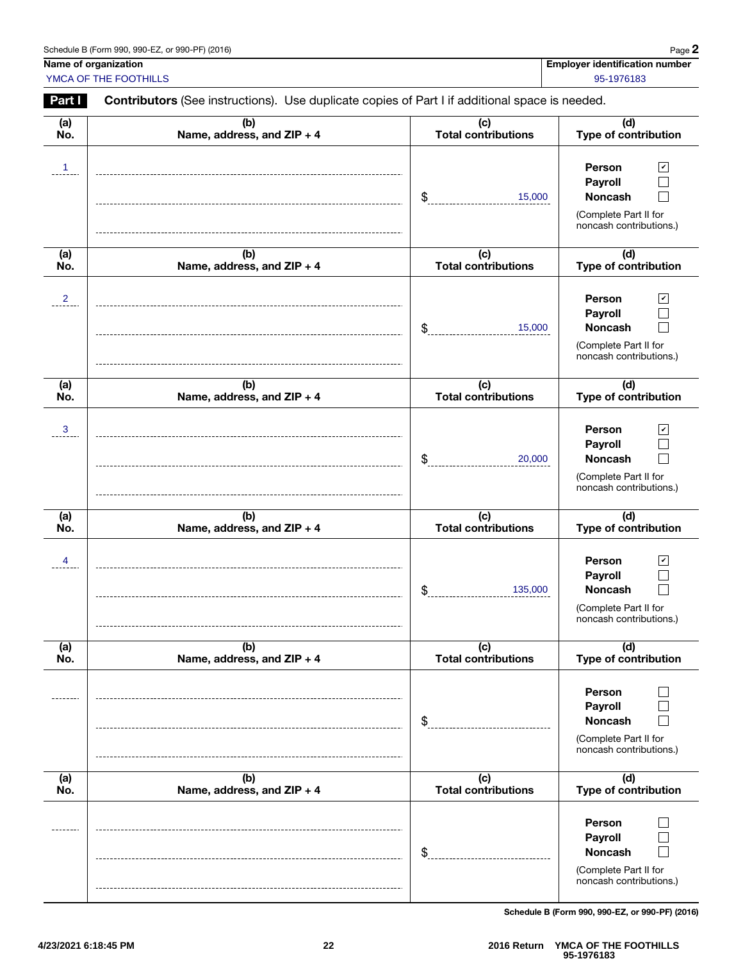| Schedule B (Form 990, 990-EZ, or 990-PF) (2016) | Page |
|-------------------------------------------------|------|
|-------------------------------------------------|------|

Page 2

Name of organization **Name of organization** in the state of organization number in the state of organization number

YMCA OF THE FOOTHILLS 85-1976183

Part I Contributors (See instructions). Use duplicate copies of Part I if additional space is needed.

| (a)<br>No.     | (b)<br>Name, address, and ZIP + 4 | (c)<br><b>Total contributions</b> | (d)<br>Type of contribution                                                                                              |
|----------------|-----------------------------------|-----------------------------------|--------------------------------------------------------------------------------------------------------------------------|
| $\mathbf{1}$   |                                   | \$<br>15,000                      | Person<br>$\vert\mathbf{v}\vert$<br>Payroll<br>Noncash<br>(Complete Part II for<br>noncash contributions.)               |
| (a)<br>No.     | (b)<br>Name, address, and ZIP + 4 | (c)<br>Total contributions        | (d)<br>Type of contribution                                                                                              |
| $\overline{2}$ |                                   | \$<br>15,000                      | <b>Person</b><br>$\vert\mathbf{v}\vert$<br>Payroll<br><b>Noncash</b><br>(Complete Part II for<br>noncash contributions.) |
| (a)<br>No.     | (b)<br>Name, address, and ZIP + 4 | (c)<br><b>Total contributions</b> | (d)<br>Type of contribution                                                                                              |
| $\mathbf{3}$   |                                   | \$<br>20,000                      | Person<br>$\mathbf v$<br>Payroll<br>Noncash<br>(Complete Part II for<br>noncash contributions.)                          |
| (a)<br>No.     | (b)<br>Name, address, and ZIP + 4 | (c)<br><b>Total contributions</b> | (d)<br>Type of contribution                                                                                              |
| 4              |                                   | \$<br>135,000                     | Person<br>$\mathbf v$<br>Payroll<br><b>Noncash</b><br>(Complete Part II for<br>noncash contributions.)                   |
| (a)<br>No.     | (b)<br>Name, address, and ZIP + 4 | (c)<br><b>Total contributions</b> | (d)<br>Type of contribution                                                                                              |
|                |                                   | \$                                | Person<br>Payroll<br><b>Noncash</b><br>(Complete Part II for<br>noncash contributions.)                                  |
| (a)<br>No.     | (b)<br>Name, address, and ZIP + 4 | (c)<br><b>Total contributions</b> | (d)<br>Type of contribution                                                                                              |
|                |                                   |                                   |                                                                                                                          |

Schedule B (Form 990, 990-EZ, or 990-PF) (2016)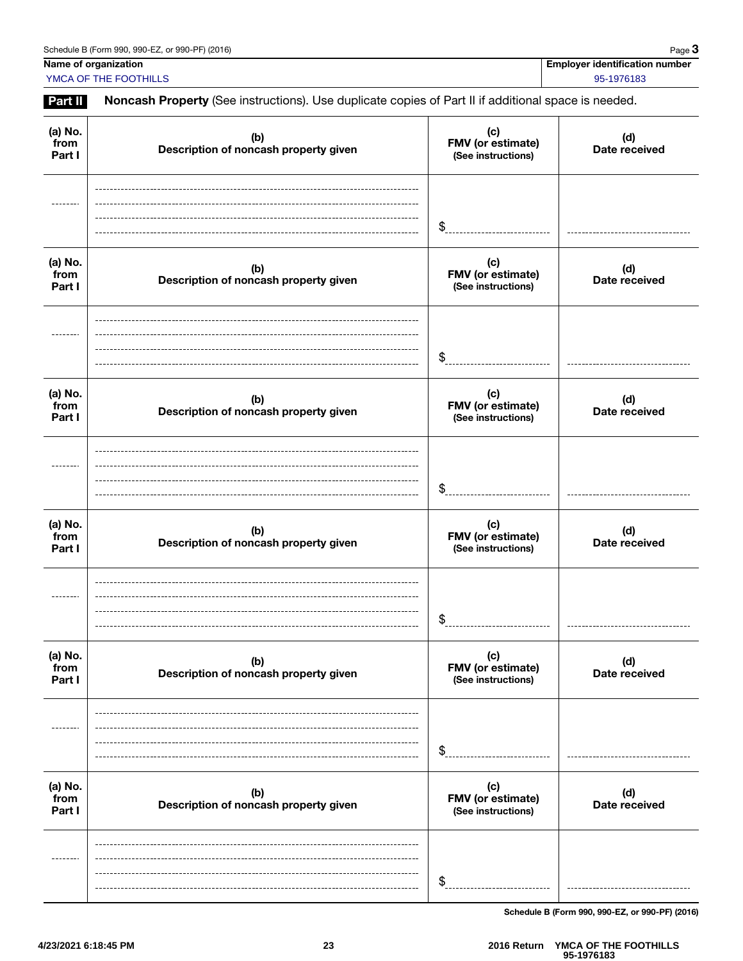Name of organization **Name of organization** in the state of organization number in the state of organization number **YMCA OF THE FOOTHILLS** 95-1976183

Part II Noncash Property (See instructions). Use duplicate copies of Part II if additional space is needed.

| (a) No.<br>from<br>Part I | (b)<br>Description of noncash property given | (c)<br>FMV (or estimate)<br>(See instructions) | (d)<br>Date received |
|---------------------------|----------------------------------------------|------------------------------------------------|----------------------|
|                           |                                              | $\frac{1}{2}$                                  |                      |
| (a) No.<br>from<br>Part I | (b)<br>Description of noncash property given | (c)<br>FMV (or estimate)<br>(See instructions) | (d)<br>Date received |
|                           |                                              | \$                                             |                      |
| (a) No.<br>from<br>Part I | (b)<br>Description of noncash property given | (c)<br>FMV (or estimate)<br>(See instructions) | (d)<br>Date received |
|                           |                                              | \$                                             |                      |
| (a) No.<br>from<br>Part I | (b)<br>Description of noncash property given | (c)<br>FMV (or estimate)<br>(See instructions) | (d)<br>Date received |
|                           |                                              | \$                                             |                      |
| (a) No.<br>from<br>Part I | (b)<br>Description of noncash property given | (c)<br>FMV (or estimate)<br>(See instructions) | (d)<br>Date received |
| ------                    |                                              | \$                                             |                      |
| (a) No.<br>from<br>Part I | (b)<br>Description of noncash property given | (c)<br>FMV (or estimate)<br>(See instructions) | (d)<br>Date received |
|                           |                                              | \$                                             |                      |

Schedule B (Form 990, 990-EZ, or 990-PF) (2016)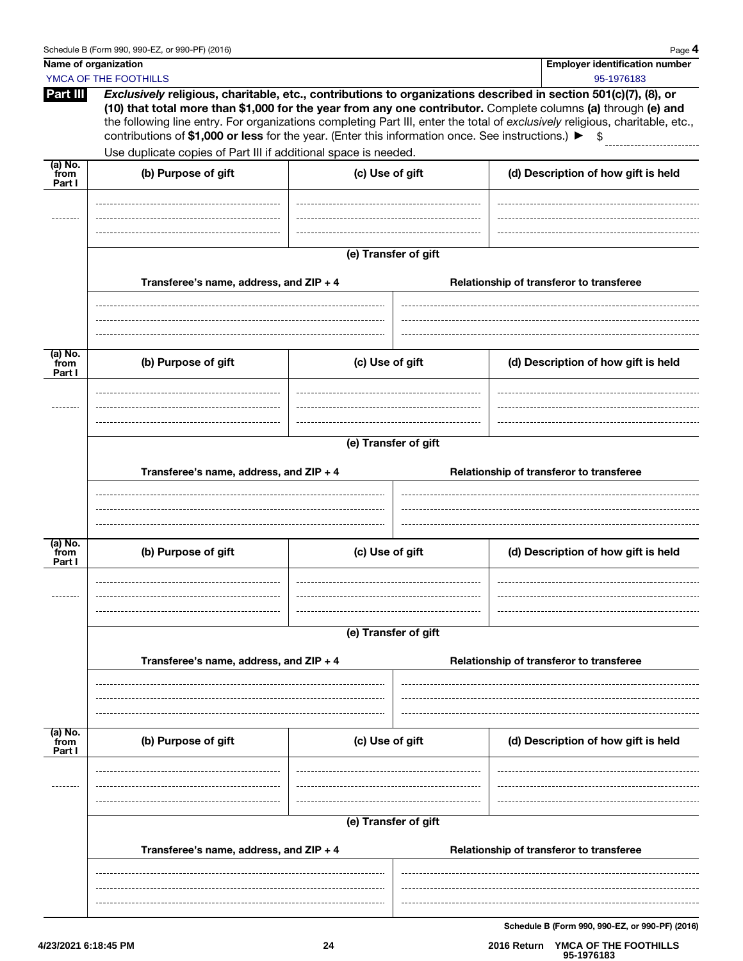| Name of organization      | YMCA OF THE FOOTHILLS                                                                                                                                                                                                                                                                   |                 |                      | <b>Employer identification number</b><br>95-1976183                                                                                                                                                                                                 |
|---------------------------|-----------------------------------------------------------------------------------------------------------------------------------------------------------------------------------------------------------------------------------------------------------------------------------------|-----------------|----------------------|-----------------------------------------------------------------------------------------------------------------------------------------------------------------------------------------------------------------------------------------------------|
| Part III                  | Exclusively religious, charitable, etc., contributions to organizations described in section 501(c)(7), (8), or<br>contributions of \$1,000 or less for the year. (Enter this information once. See instructions.) ▶<br>Use duplicate copies of Part III if additional space is needed. |                 |                      | (10) that total more than \$1,000 for the year from any one contributor. Complete columns (a) through (e) and<br>the following line entry. For organizations completing Part III, enter the total of exclusively religious, charitable, etc.,<br>\$ |
| (a) No.                   |                                                                                                                                                                                                                                                                                         |                 |                      |                                                                                                                                                                                                                                                     |
| from<br>Part I            | (b) Purpose of gift                                                                                                                                                                                                                                                                     | (c) Use of gift |                      | (d) Description of how gift is held                                                                                                                                                                                                                 |
|                           |                                                                                                                                                                                                                                                                                         |                 | (e) Transfer of gift |                                                                                                                                                                                                                                                     |
|                           | Transferee's name, address, and ZIP + 4                                                                                                                                                                                                                                                 |                 |                      | Relationship of transferor to transferee                                                                                                                                                                                                            |
|                           |                                                                                                                                                                                                                                                                                         |                 |                      |                                                                                                                                                                                                                                                     |
| (a) No.<br>from<br>Part I | (b) Purpose of gift                                                                                                                                                                                                                                                                     | (c) Use of gift |                      | (d) Description of how gift is held                                                                                                                                                                                                                 |
|                           |                                                                                                                                                                                                                                                                                         |                 |                      |                                                                                                                                                                                                                                                     |
|                           |                                                                                                                                                                                                                                                                                         |                 | (e) Transfer of gift |                                                                                                                                                                                                                                                     |
|                           | Transferee's name, address, and ZIP + 4                                                                                                                                                                                                                                                 |                 |                      | Relationship of transferor to transferee                                                                                                                                                                                                            |
|                           |                                                                                                                                                                                                                                                                                         |                 |                      |                                                                                                                                                                                                                                                     |
| (a) No.<br>from<br>Part I | (b) Purpose of gift                                                                                                                                                                                                                                                                     | (c) Use of gift |                      | (d) Description of how gift is held                                                                                                                                                                                                                 |
|                           |                                                                                                                                                                                                                                                                                         |                 |                      |                                                                                                                                                                                                                                                     |
|                           |                                                                                                                                                                                                                                                                                         |                 | (e) Transfer of gift |                                                                                                                                                                                                                                                     |
|                           | Transferee's name, address, and ZIP + 4                                                                                                                                                                                                                                                 |                 |                      | Relationship of transferor to transferee                                                                                                                                                                                                            |
|                           |                                                                                                                                                                                                                                                                                         |                 |                      |                                                                                                                                                                                                                                                     |
| (a) No.<br>from<br>Part I | (b) Purpose of gift                                                                                                                                                                                                                                                                     | (c) Use of gift |                      | (d) Description of how gift is held                                                                                                                                                                                                                 |
|                           |                                                                                                                                                                                                                                                                                         |                 |                      |                                                                                                                                                                                                                                                     |
|                           |                                                                                                                                                                                                                                                                                         |                 | (e) Transfer of gift |                                                                                                                                                                                                                                                     |
|                           | Transferee's name, address, and ZIP + 4                                                                                                                                                                                                                                                 |                 |                      | Relationship of transferor to transferee                                                                                                                                                                                                            |
|                           |                                                                                                                                                                                                                                                                                         |                 |                      |                                                                                                                                                                                                                                                     |
|                           |                                                                                                                                                                                                                                                                                         |                 |                      |                                                                                                                                                                                                                                                     |

Schedule B (Form 990, 990-EZ, or 990-PF) (2016)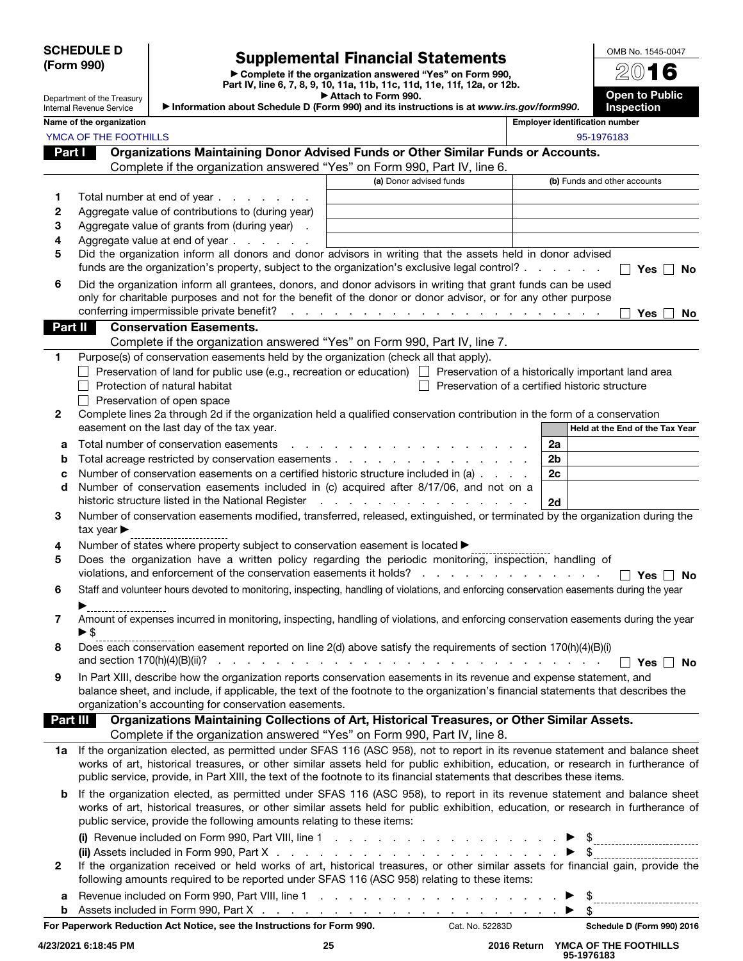#### SCHEDULE D (Form 990)

# Supplemental Financial Statements

▶ Complete if the organization answered "Yes" on Form 990, Part IV, line 6, 7, 8, 9, 10, 11a, 11b, 11c, 11d, 11e, 11f, 12a, or 12b.

|          | Department of the Treasury<br><b>Internal Revenue Service</b> |                                                                                       | Attach to Form 990.<br>Information about Schedule D (Form 990) and its instructions is at www.irs.gov/form990.                                                                                                                                                      |                | <b>Open to Public</b><br>Inspection            |
|----------|---------------------------------------------------------------|---------------------------------------------------------------------------------------|---------------------------------------------------------------------------------------------------------------------------------------------------------------------------------------------------------------------------------------------------------------------|----------------|------------------------------------------------|
|          | Name of the organization                                      |                                                                                       |                                                                                                                                                                                                                                                                     |                | <b>Employer identification number</b>          |
|          | YMCA OF THE FOOTHILLS                                         |                                                                                       |                                                                                                                                                                                                                                                                     |                | 95-1976183                                     |
| Part I   |                                                               |                                                                                       | Organizations Maintaining Donor Advised Funds or Other Similar Funds or Accounts.                                                                                                                                                                                   |                |                                                |
|          |                                                               |                                                                                       | Complete if the organization answered "Yes" on Form 990, Part IV, line 6.                                                                                                                                                                                           |                |                                                |
|          |                                                               |                                                                                       | (a) Donor advised funds                                                                                                                                                                                                                                             |                | (b) Funds and other accounts                   |
| 1        |                                                               | Total number at end of year                                                           |                                                                                                                                                                                                                                                                     |                |                                                |
| 2        |                                                               | Aggregate value of contributions to (during year)                                     |                                                                                                                                                                                                                                                                     |                |                                                |
| 3        |                                                               | Aggregate value of grants from (during year) .                                        |                                                                                                                                                                                                                                                                     |                |                                                |
| 4        |                                                               | Aggregate value at end of year                                                        |                                                                                                                                                                                                                                                                     |                |                                                |
| 5        |                                                               |                                                                                       | Did the organization inform all donors and donor advisors in writing that the assets held in donor advised                                                                                                                                                          |                |                                                |
|          |                                                               |                                                                                       | funds are the organization's property, subject to the organization's exclusive legal control?                                                                                                                                                                       |                | Yes Π No                                       |
| 6        |                                                               |                                                                                       | Did the organization inform all grantees, donors, and donor advisors in writing that grant funds can be used                                                                                                                                                        |                |                                                |
|          |                                                               |                                                                                       | only for charitable purposes and not for the benefit of the donor or donor advisor, or for any other purpose                                                                                                                                                        |                |                                                |
|          |                                                               |                                                                                       |                                                                                                                                                                                                                                                                     |                | Yes<br><b>No</b>                               |
| Part II  |                                                               | <b>Conservation Easements.</b>                                                        |                                                                                                                                                                                                                                                                     |                |                                                |
|          |                                                               |                                                                                       | Complete if the organization answered "Yes" on Form 990, Part IV, line 7.                                                                                                                                                                                           |                |                                                |
| 1        |                                                               | Purpose(s) of conservation easements held by the organization (check all that apply). | Preservation of land for public use (e.g., recreation or education) $\Box$ Preservation of a historically important land area                                                                                                                                       |                |                                                |
|          |                                                               | Protection of natural habitat                                                         |                                                                                                                                                                                                                                                                     |                | Preservation of a certified historic structure |
|          |                                                               | Preservation of open space                                                            |                                                                                                                                                                                                                                                                     |                |                                                |
| 2        |                                                               |                                                                                       | Complete lines 2a through 2d if the organization held a qualified conservation contribution in the form of a conservation                                                                                                                                           |                |                                                |
|          |                                                               | easement on the last day of the tax year.                                             |                                                                                                                                                                                                                                                                     |                | Held at the End of the Tax Year                |
| а        |                                                               | Total number of conservation easements                                                | a carrier and a carrier and a carrier and a                                                                                                                                                                                                                         | 2a             |                                                |
| b        |                                                               |                                                                                       | Total acreage restricted by conservation easements                                                                                                                                                                                                                  | 2 <sub>b</sub> |                                                |
| с        |                                                               |                                                                                       | Number of conservation easements on a certified historic structure included in (a)                                                                                                                                                                                  | 2c             |                                                |
| d        |                                                               |                                                                                       | Number of conservation easements included in (c) acquired after 8/17/06, and not on a                                                                                                                                                                               |                |                                                |
|          |                                                               | historic structure listed in the National Register                                    | the contract of the contract of the contract of the contract of the contract of the contract of the contract of                                                                                                                                                     | 2d             |                                                |
| 3        | tax year $\blacktriangleright$                                |                                                                                       | Number of conservation easements modified, transferred, released, extinguished, or terminated by the organization during the                                                                                                                                        |                |                                                |
| 4        |                                                               | Number of states where property subject to conservation easement is located ▶         |                                                                                                                                                                                                                                                                     |                |                                                |
| 5        |                                                               |                                                                                       | Does the organization have a written policy regarding the periodic monitoring, inspection, handling of                                                                                                                                                              |                |                                                |
|          |                                                               |                                                                                       |                                                                                                                                                                                                                                                                     |                | $\Box$ Yes $\Box$ No                           |
| 6        |                                                               |                                                                                       | Staff and volunteer hours devoted to monitoring, inspecting, handling of violations, and enforcing conservation easements during the year                                                                                                                           |                |                                                |
|          |                                                               |                                                                                       |                                                                                                                                                                                                                                                                     |                |                                                |
| 7        |                                                               |                                                                                       | Amount of expenses incurred in monitoring, inspecting, handling of violations, and enforcing conservation easements during the year                                                                                                                                 |                |                                                |
| 8        |                                                               |                                                                                       | Does each conservation easement reported on line 2(d) above satisfy the requirements of section 170(h)(4)(B)(i)                                                                                                                                                     |                | $Yes \Box No$                                  |
| 9        |                                                               |                                                                                       | In Part XIII, describe how the organization reports conservation easements in its revenue and expense statement, and                                                                                                                                                |                |                                                |
|          |                                                               |                                                                                       | balance sheet, and include, if applicable, the text of the footnote to the organization's financial statements that describes the                                                                                                                                   |                |                                                |
|          |                                                               | organization's accounting for conservation easements.                                 |                                                                                                                                                                                                                                                                     |                |                                                |
| Part III |                                                               |                                                                                       | Organizations Maintaining Collections of Art, Historical Treasures, or Other Similar Assets.                                                                                                                                                                        |                |                                                |
|          |                                                               |                                                                                       | Complete if the organization answered "Yes" on Form 990, Part IV, line 8.                                                                                                                                                                                           |                |                                                |
|          |                                                               |                                                                                       | 1a If the organization elected, as permitted under SFAS 116 (ASC 958), not to report in its revenue statement and balance sheet<br>works of art, historical treasures, or other similar assets held for public exhibition, education, or research in furtherance of |                |                                                |
|          |                                                               |                                                                                       | public service, provide, in Part XIII, the text of the footnote to its financial statements that describes these items.                                                                                                                                             |                |                                                |
|          |                                                               |                                                                                       |                                                                                                                                                                                                                                                                     |                |                                                |
|          |                                                               |                                                                                       | If the organization elected, as permitted under SFAS 116 (ASC 958), to report in its revenue statement and balance sheet<br>works of art, historical treasures, or other similar assets held for public exhibition, education, or research in furtherance of        |                |                                                |
|          |                                                               | public service, provide the following amounts relating to these items:                |                                                                                                                                                                                                                                                                     |                |                                                |
|          |                                                               |                                                                                       |                                                                                                                                                                                                                                                                     |                |                                                |
|          |                                                               |                                                                                       |                                                                                                                                                                                                                                                                     |                |                                                |
| 2        |                                                               |                                                                                       | If the organization received or held works of art, historical treasures, or other similar assets for financial gain, provide the                                                                                                                                    |                |                                                |
|          |                                                               |                                                                                       | following amounts required to be reported under SFAS 116 (ASC 958) relating to these items:                                                                                                                                                                         |                |                                                |
| а        |                                                               |                                                                                       |                                                                                                                                                                                                                                                                     |                | - \$                                           |

**b** Assets included in Form 990, Part X.

For Paperwork Reduction Act Notice, see the Instructions for Form 990. Cat. No. 52283D Schedule D (Form 990) 2016

. . . . . . . . . . . . . . . . . . . . ▶  $\frac{1}{2}$  OMB No. 1545-0047 2016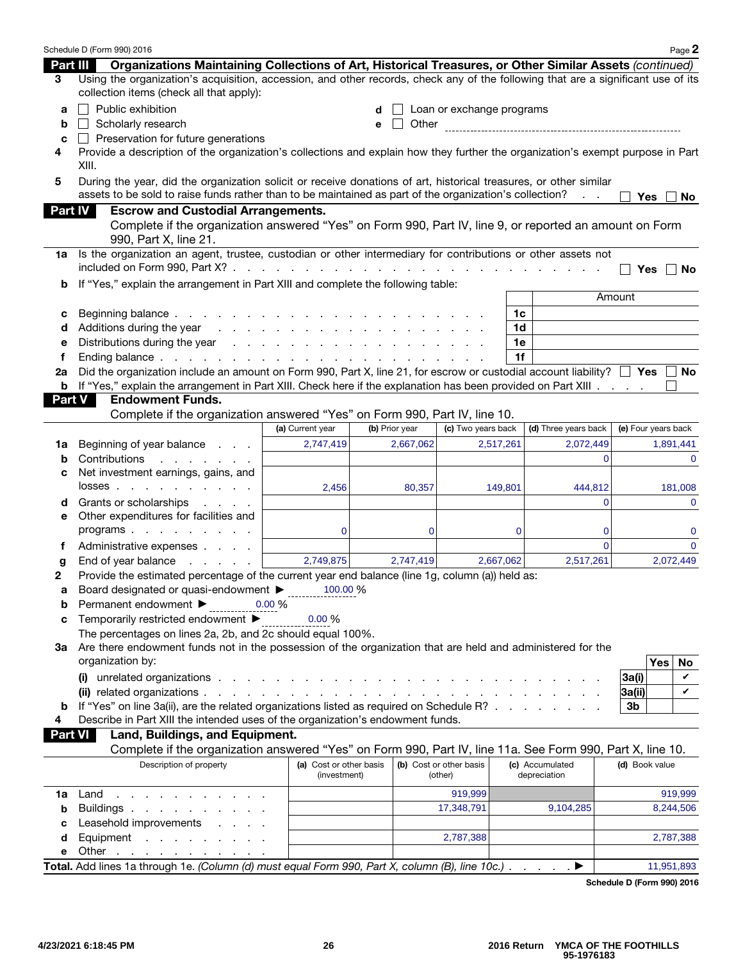|                | Schedule D (Form 990) 2016                                                                                                                                                   |                                                                                                                 |                |                                    |           |                                 | Page 2              |
|----------------|------------------------------------------------------------------------------------------------------------------------------------------------------------------------------|-----------------------------------------------------------------------------------------------------------------|----------------|------------------------------------|-----------|---------------------------------|---------------------|
| Part III       | Organizations Maintaining Collections of Art, Historical Treasures, or Other Similar Assets (continued)                                                                      |                                                                                                                 |                |                                    |           |                                 |                     |
| 3              | Using the organization's acquisition, accession, and other records, check any of the following that are a significant use of its<br>collection items (check all that apply): |                                                                                                                 |                |                                    |           |                                 |                     |
| a              | Public exhibition                                                                                                                                                            |                                                                                                                 |                | Loan or exchange programs          |           |                                 |                     |
| b              | Scholarly research                                                                                                                                                           |                                                                                                                 | Other<br>е     |                                    |           |                                 |                     |
| с              | $\Box$ Preservation for future generations                                                                                                                                   |                                                                                                                 |                |                                    |           |                                 |                     |
| 4              | Provide a description of the organization's collections and explain how they further the organization's exempt purpose in Part                                               |                                                                                                                 |                |                                    |           |                                 |                     |
|                | XIII.                                                                                                                                                                        |                                                                                                                 |                |                                    |           |                                 |                     |
| 5              | During the year, did the organization solicit or receive donations of art, historical treasures, or other similar                                                            |                                                                                                                 |                |                                    |           |                                 |                     |
|                | assets to be sold to raise funds rather than to be maintained as part of the organization's collection?                                                                      |                                                                                                                 |                |                                    |           | $\sim 10$                       | Yes<br>No           |
| <b>Part IV</b> | <b>Escrow and Custodial Arrangements.</b>                                                                                                                                    |                                                                                                                 |                |                                    |           |                                 |                     |
|                | Complete if the organization answered "Yes" on Form 990, Part IV, line 9, or reported an amount on Form<br>990, Part X, line 21.                                             |                                                                                                                 |                |                                    |           |                                 |                     |
| 1a             | Is the organization an agent, trustee, custodian or other intermediary for contributions or other assets not                                                                 |                                                                                                                 |                |                                    |           |                                 |                     |
|                |                                                                                                                                                                              |                                                                                                                 |                |                                    |           |                                 | $Yes \mid No$       |
| b              | If "Yes," explain the arrangement in Part XIII and complete the following table:                                                                                             |                                                                                                                 |                |                                    |           |                                 |                     |
|                |                                                                                                                                                                              |                                                                                                                 |                |                                    |           |                                 | Amount              |
| с              | Beginning balance.                                                                                                                                                           | the contract of the contract of the contract of the contract of the contract of the contract of the contract of |                |                                    | 1c        |                                 |                     |
| d              | Additions during the year                                                                                                                                                    |                                                                                                                 |                |                                    | 1d        |                                 |                     |
| е              |                                                                                                                                                                              |                                                                                                                 |                |                                    | 1e        |                                 |                     |
| f              |                                                                                                                                                                              |                                                                                                                 |                |                                    | 1f        |                                 |                     |
| 2a             | Did the organization include an amount on Form 990, Part X, line 21, for escrow or custodial account liability? $\Box$ Yes $\Box$ No                                         |                                                                                                                 |                |                                    |           |                                 |                     |
|                | <b>b</b> If "Yes," explain the arrangement in Part XIII. Check here if the explanation has been provided on Part XIII<br><b>Endowment Funds.</b>                             |                                                                                                                 |                |                                    |           |                                 |                     |
| <b>Part V</b>  | Complete if the organization answered "Yes" on Form 990, Part IV, line 10.                                                                                                   |                                                                                                                 |                |                                    |           |                                 |                     |
|                |                                                                                                                                                                              | (a) Current year                                                                                                | (b) Prior year | (c) Two years back                 |           | (d) Three years back            | (e) Four years back |
|                |                                                                                                                                                                              | 2,747,419                                                                                                       | 2,667,062      |                                    | 2,517,261 | 2,072,449                       | 1,891,441           |
| 1a             | Beginning of year balance<br>Contributions                                                                                                                                   |                                                                                                                 |                |                                    |           | $\Omega$                        | $\mathbf{0}$        |
| b<br>с         | Net investment earnings, gains, and                                                                                                                                          |                                                                                                                 |                |                                    |           |                                 |                     |
|                | $losses$                                                                                                                                                                     | 2,456                                                                                                           | 80,357         |                                    | 149,801   | 444,812                         | 181,008             |
| d              | Grants or scholarships<br>and a state of                                                                                                                                     |                                                                                                                 |                |                                    |           | $\Omega$                        | $\mathbf{0}$        |
| е              | Other expenditures for facilities and                                                                                                                                        |                                                                                                                 |                |                                    |           |                                 |                     |
|                | programs                                                                                                                                                                     | $\Omega$                                                                                                        | 0              |                                    | 0         | 0                               | 0                   |
| f              | Administrative expenses                                                                                                                                                      |                                                                                                                 |                |                                    |           | $\Omega$                        | $\Omega$            |
| g              | End of year balance<br>and a state of the                                                                                                                                    | 2,749,875                                                                                                       | 2,747,419      |                                    | 2,667,062 | 2,517,261                       | 2,072,449           |
| 2              | Provide the estimated percentage of the current year end balance (line 1g, column (a)) held as:                                                                              |                                                                                                                 |                |                                    |           |                                 |                     |
| а              | Board designated or quasi-endowment ▶                                                                                                                                        | 100.00 %                                                                                                        |                |                                    |           |                                 |                     |
| b              | Permanent endowment ▶                                                                                                                                                        | $0.00\%$                                                                                                        |                |                                    |           |                                 |                     |
| с              | Temporarily restricted endowment ▶                                                                                                                                           | 0.00%                                                                                                           |                |                                    |           |                                 |                     |
|                | The percentages on lines 2a, 2b, and 2c should equal 100%.                                                                                                                   |                                                                                                                 |                |                                    |           |                                 |                     |
| За             | Are there endowment funds not in the possession of the organization that are held and administered for the                                                                   |                                                                                                                 |                |                                    |           |                                 |                     |
|                | organization by:                                                                                                                                                             |                                                                                                                 |                |                                    |           |                                 | Yes<br>No           |
|                |                                                                                                                                                                              |                                                                                                                 |                |                                    |           |                                 | 3a(i)<br>V          |
|                |                                                                                                                                                                              |                                                                                                                 |                |                                    |           |                                 | V<br> 3a(i)         |
| b              | If "Yes" on line 3a(ii), are the related organizations listed as required on Schedule R?                                                                                     |                                                                                                                 |                |                                    |           |                                 | 3b                  |
| 4              | Describe in Part XIII the intended uses of the organization's endowment funds.                                                                                               |                                                                                                                 |                |                                    |           |                                 |                     |
|                | Land, Buildings, and Equipment.<br>Part VI I                                                                                                                                 |                                                                                                                 |                |                                    |           |                                 |                     |
|                | Complete if the organization answered "Yes" on Form 990, Part IV, line 11a. See Form 990, Part X, line 10.                                                                   |                                                                                                                 |                |                                    |           |                                 |                     |
|                | Description of property                                                                                                                                                      | (a) Cost or other basis<br>(investment)                                                                         |                | (b) Cost or other basis<br>(other) |           | (c) Accumulated<br>depreciation | (d) Book value      |
| 1a             | Land<br>the contract of the contract of the                                                                                                                                  |                                                                                                                 |                | 919,999                            |           |                                 | 919,999             |
| b              | Buildings                                                                                                                                                                    |                                                                                                                 |                | 17,348,791                         |           | 9,104,285                       | 8,244,506           |
| c              | Leasehold improvements                                                                                                                                                       |                                                                                                                 |                |                                    |           |                                 |                     |
| d              | Equipment                                                                                                                                                                    |                                                                                                                 |                | 2,787,388                          |           |                                 | 2,787,388           |
| е              | Other $\cdots$ $\cdots$ $\cdots$                                                                                                                                             |                                                                                                                 |                |                                    |           |                                 |                     |
|                | Total. Add lines 1a through 1e. (Column (d) must equal Form 990, Part X, column (B), line 10c.) ▶                                                                            |                                                                                                                 |                |                                    |           |                                 | 11,951,893          |

Schedule D (Form 990) 2016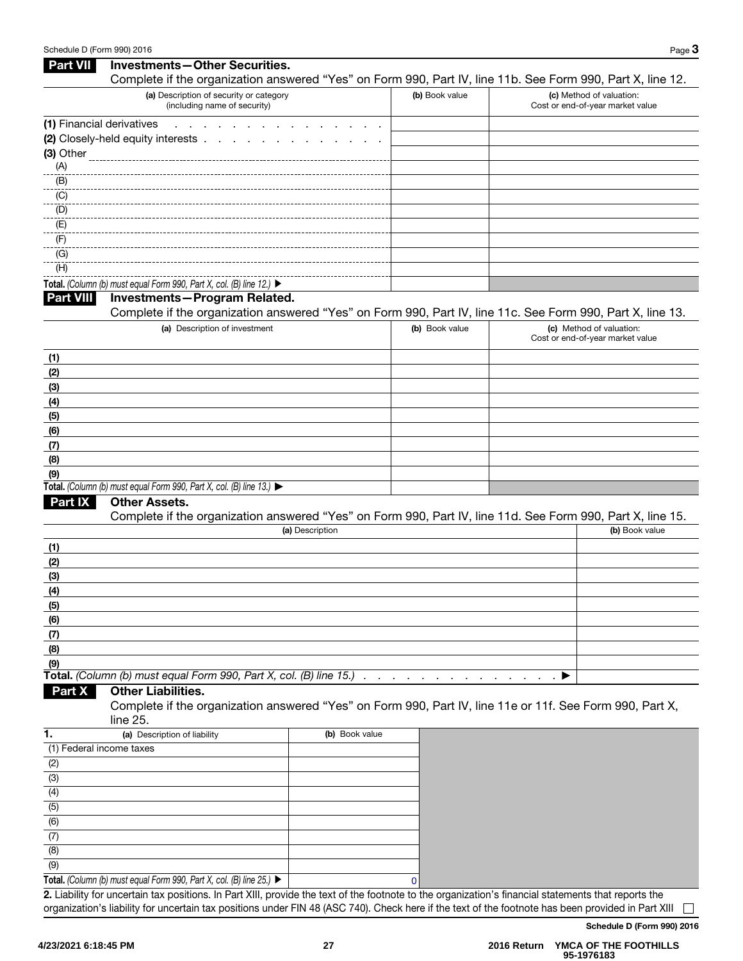| <b>Part VII</b>           | Investments-Other Securities.                                                                                                 |                |                |   |                                                              |
|---------------------------|-------------------------------------------------------------------------------------------------------------------------------|----------------|----------------|---|--------------------------------------------------------------|
|                           | Complete if the organization answered "Yes" on Form 990, Part IV, line 11b. See Form 990, Part X, line 12.                    |                |                |   |                                                              |
|                           | (a) Description of security or category<br>(including name of security)                                                       |                | (b) Book value |   | (c) Method of valuation:<br>Cost or end-of-year market value |
| (1) Financial derivatives | and a state                                                                                                                   |                |                |   |                                                              |
|                           | (2) Closely-held equity interests .                                                                                           |                |                |   |                                                              |
| (3) Other                 |                                                                                                                               |                |                |   |                                                              |
| (A)                       |                                                                                                                               |                |                |   |                                                              |
| (B)                       |                                                                                                                               |                |                |   |                                                              |
| $\overline{(C)}$          |                                                                                                                               |                |                |   |                                                              |
| (D)                       |                                                                                                                               |                |                |   |                                                              |
| (E)                       |                                                                                                                               |                |                |   |                                                              |
| (F)                       |                                                                                                                               |                |                |   |                                                              |
| (G)                       |                                                                                                                               |                |                |   |                                                              |
| (H)                       |                                                                                                                               |                |                |   |                                                              |
|                           | Total. (Column (b) must equal Form 990, Part X, col. (B) line 12.) ▶                                                          |                |                |   |                                                              |
| <b>Part VIII</b>          | <b>Investments-Program Related.</b>                                                                                           |                |                |   |                                                              |
|                           | Complete if the organization answered "Yes" on Form 990, Part IV, line 11c. See Form 990, Part X, line 13.                    |                |                |   |                                                              |
|                           | (a) Description of investment                                                                                                 |                | (b) Book value |   | (c) Method of valuation:                                     |
|                           |                                                                                                                               |                |                |   | Cost or end-of-year market value                             |
| (1)                       |                                                                                                                               |                |                |   |                                                              |
| (2)                       |                                                                                                                               |                |                |   |                                                              |
| (3)                       |                                                                                                                               |                |                |   |                                                              |
| (4)                       |                                                                                                                               |                |                |   |                                                              |
| (5)                       |                                                                                                                               |                |                |   |                                                              |
| (6)                       |                                                                                                                               |                |                |   |                                                              |
| (7)                       |                                                                                                                               |                |                |   |                                                              |
| (8)                       |                                                                                                                               |                |                |   |                                                              |
| (9)                       |                                                                                                                               |                |                |   |                                                              |
|                           | Total. (Column (b) must equal Form 990, Part X, col. (B) line 13.)                                                            |                |                |   |                                                              |
| <b>Part IX</b>            | Other Assets.                                                                                                                 |                |                |   |                                                              |
|                           | Complete if the organization answered "Yes" on Form 990, Part IV, line 11d. See Form 990, Part X, line 15.<br>(a) Description |                |                |   | (b) Book value                                               |
| (1)                       |                                                                                                                               |                |                |   |                                                              |
| (2)                       |                                                                                                                               |                |                |   |                                                              |
| (3)                       |                                                                                                                               |                |                |   |                                                              |
| (4)                       |                                                                                                                               |                |                |   |                                                              |
| (5)                       |                                                                                                                               |                |                |   |                                                              |
| (6)                       |                                                                                                                               |                |                |   |                                                              |
| (7)                       |                                                                                                                               |                |                |   |                                                              |
| (8)                       |                                                                                                                               |                |                |   |                                                              |
| (9)                       |                                                                                                                               |                |                |   |                                                              |
|                           | Total. (Column (b) must equal Form 990, Part X, col. (B) line 15.)                                                            |                |                | ▶ |                                                              |
| Part X                    | <b>Other Liabilities.</b>                                                                                                     |                |                |   |                                                              |
|                           | Complete if the organization answered "Yes" on Form 990, Part IV, line 11e or 11f. See Form 990, Part X,<br>line 25.          |                |                |   |                                                              |
| 1.                        | (a) Description of liability                                                                                                  | (b) Book value |                |   |                                                              |
| (1) Federal income taxes  |                                                                                                                               |                |                |   |                                                              |
| (2)                       |                                                                                                                               |                |                |   |                                                              |
| (3)                       |                                                                                                                               |                |                |   |                                                              |
| (4)                       |                                                                                                                               |                |                |   |                                                              |
| (5)                       |                                                                                                                               |                |                |   |                                                              |
| (6)                       |                                                                                                                               |                |                |   |                                                              |
| (7)                       |                                                                                                                               |                |                |   |                                                              |
| (8)                       |                                                                                                                               |                |                |   |                                                              |
| (9)                       |                                                                                                                               |                |                |   |                                                              |
|                           |                                                                                                                               |                |                |   |                                                              |

Total. *(Column (b) must equal Form 990, Part X, col. (B) line 25.)*  ▶ 2. Liability for uncertain tax positions. In Part XIII, provide the text of the footnote to the organization's financial statements that reports the organization's liability for uncertain tax positions under FIN 48 (ASC 740). Check here if the text of the footnote has been provided in Part XIII 0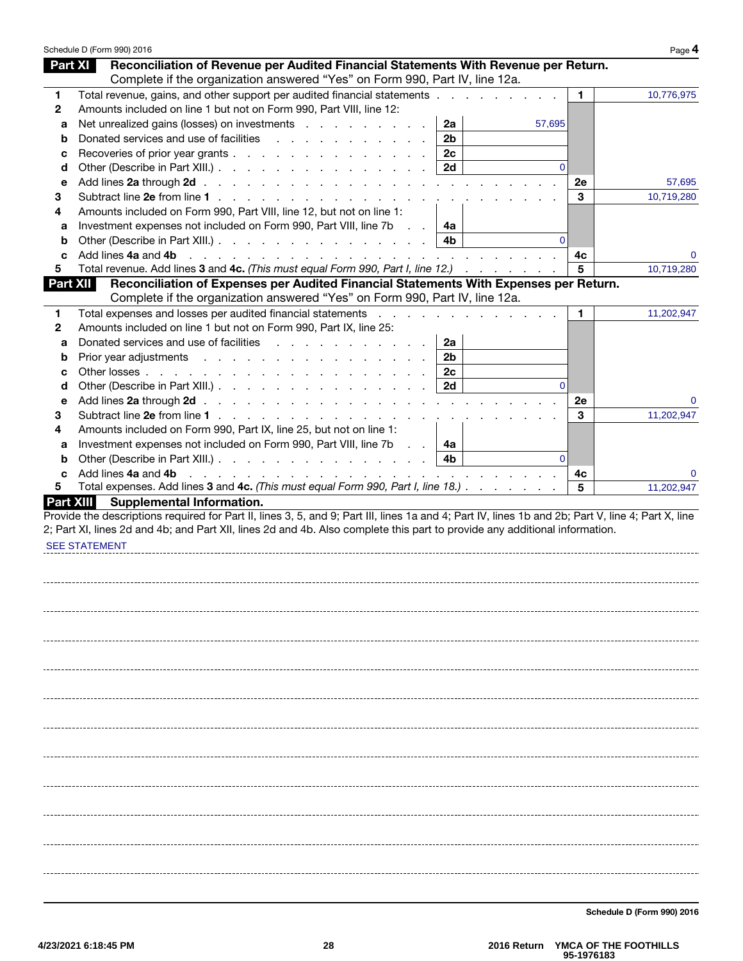|                  | Schedule D (Form 990) 2016                                                                                                                                                                                                                            |                |          |    | Page 4     |
|------------------|-------------------------------------------------------------------------------------------------------------------------------------------------------------------------------------------------------------------------------------------------------|----------------|----------|----|------------|
| <b>Part XI</b>   | Reconciliation of Revenue per Audited Financial Statements With Revenue per Return.                                                                                                                                                                   |                |          |    |            |
|                  | Complete if the organization answered "Yes" on Form 990, Part IV, line 12a.                                                                                                                                                                           |                |          |    |            |
| 1                | Total revenue, gains, and other support per audited financial statements                                                                                                                                                                              |                |          | 1. | 10,776,975 |
| 2                | Amounts included on line 1 but not on Form 990, Part VIII, line 12:                                                                                                                                                                                   |                |          |    |            |
| а                | Net unrealized gains (losses) on investments                                                                                                                                                                                                          | 2a             | 57,695   |    |            |
| b                | Donated services and use of facilities                                                                                                                                                                                                                | 2 <sub>b</sub> |          |    |            |
| с                | Recoveries of prior year grants                                                                                                                                                                                                                       | 2c             |          |    |            |
| d                | Other (Describe in Part XIII.)                                                                                                                                                                                                                        | 2d             | $\Omega$ |    |            |
| е                |                                                                                                                                                                                                                                                       |                |          | 2e | 57,695     |
| 3                |                                                                                                                                                                                                                                                       |                |          | 3  | 10,719,280 |
| 4                | Amounts included on Form 990, Part VIII, line 12, but not on line 1:                                                                                                                                                                                  |                |          |    |            |
| а                | Investment expenses not included on Form 990, Part VIII, line 7b<br><b>Contract</b>                                                                                                                                                                   | 4a             |          |    |            |
| b                |                                                                                                                                                                                                                                                       | 4b             | $\Omega$ |    |            |
| c                | Add lines 4a and 4b<br>the contract of the contract of the contract of the contract of the contract of                                                                                                                                                |                |          | 4с |            |
| 5                | Total revenue. Add lines 3 and 4c. (This must equal Form 990, Part I, line 12.)                                                                                                                                                                       |                |          | 5  | 10,719,280 |
| <b>Part XII</b>  | Reconciliation of Expenses per Audited Financial Statements With Expenses per Return.                                                                                                                                                                 |                |          |    |            |
|                  | Complete if the organization answered "Yes" on Form 990, Part IV, line 12a.                                                                                                                                                                           |                |          |    |            |
| 1                | Total expenses and losses per audited financial statements                                                                                                                                                                                            |                |          | 1. | 11,202,947 |
| 2                | Amounts included on line 1 but not on Form 990, Part IX, line 25:                                                                                                                                                                                     |                |          |    |            |
| а                | Donated services and use of facilities<br><u>.</u>                                                                                                                                                                                                    | 2a             |          |    |            |
| b                | Prior year adjustments                                                                                                                                                                                                                                | 2b             |          |    |            |
| с                |                                                                                                                                                                                                                                                       | 2c             |          |    |            |
| d                | Other (Describe in Part XIII.)                                                                                                                                                                                                                        | 2d             | $\Omega$ |    |            |
| е                |                                                                                                                                                                                                                                                       |                |          | 2e |            |
| 3                | Subtract line 2e from line 1                                                                                                                                                                                                                          | $\sim$ $\sim$  |          | 3  | 11,202,947 |
| 4                | Amounts included on Form 990, Part IX, line 25, but not on line 1:                                                                                                                                                                                    |                |          |    |            |
| a                | Investment expenses not included on Form 990, Part VIII, line 7b<br><b>Service</b>                                                                                                                                                                    | 4a             |          |    |            |
| b                | Other (Describe in Part XIII.)                                                                                                                                                                                                                        | 4b             | $\Omega$ |    |            |
| c                | Add lines 4a and 4b<br>and the contract of the contract of the contract of the contract of the contract of the contract of the contract of the contract of the contract of the contract of the contract of the contract of the contract of the contra |                |          | 4c |            |
| 5.               | Total expenses. Add lines 3 and 4c. (This must equal Form 990, Part I, line 18.)                                                                                                                                                                      |                |          | 5  | 11,202,947 |
| <b>Part XIII</b> | <b>Supplemental Information.</b>                                                                                                                                                                                                                      |                |          |    |            |
|                  | Provide the descriptions required for Part II, lines 3, 5, and 9; Part III, lines 1a and 4; Part IV, lines 1b and 2b; Part V, line 4; Part X, line                                                                                                    |                |          |    |            |
|                  | 2; Part XI, lines 2d and 4b; and Part XII, lines 2d and 4b. Also complete this part to provide any additional information.                                                                                                                            |                |          |    |            |
|                  | <b>SEE STATEMENT</b>                                                                                                                                                                                                                                  |                |          |    |            |
|                  |                                                                                                                                                                                                                                                       |                |          |    |            |
|                  |                                                                                                                                                                                                                                                       |                |          |    |            |
|                  |                                                                                                                                                                                                                                                       |                |          |    |            |
|                  |                                                                                                                                                                                                                                                       |                |          |    |            |
|                  |                                                                                                                                                                                                                                                       |                |          |    |            |
|                  |                                                                                                                                                                                                                                                       |                |          |    |            |
|                  |                                                                                                                                                                                                                                                       |                |          |    |            |
|                  |                                                                                                                                                                                                                                                       |                |          |    |            |
|                  |                                                                                                                                                                                                                                                       |                |          |    |            |
|                  |                                                                                                                                                                                                                                                       |                |          |    |            |
|                  |                                                                                                                                                                                                                                                       |                |          |    |            |
|                  |                                                                                                                                                                                                                                                       |                |          |    |            |
|                  |                                                                                                                                                                                                                                                       |                |          |    |            |
|                  |                                                                                                                                                                                                                                                       |                |          |    |            |
|                  |                                                                                                                                                                                                                                                       |                |          |    |            |
|                  |                                                                                                                                                                                                                                                       |                |          |    |            |
|                  |                                                                                                                                                                                                                                                       |                |          |    |            |
|                  |                                                                                                                                                                                                                                                       |                |          |    |            |
|                  |                                                                                                                                                                                                                                                       |                |          |    |            |
|                  |                                                                                                                                                                                                                                                       |                |          |    |            |
|                  |                                                                                                                                                                                                                                                       |                |          |    |            |
|                  |                                                                                                                                                                                                                                                       |                |          |    |            |
|                  |                                                                                                                                                                                                                                                       |                |          |    |            |
|                  |                                                                                                                                                                                                                                                       |                |          |    |            |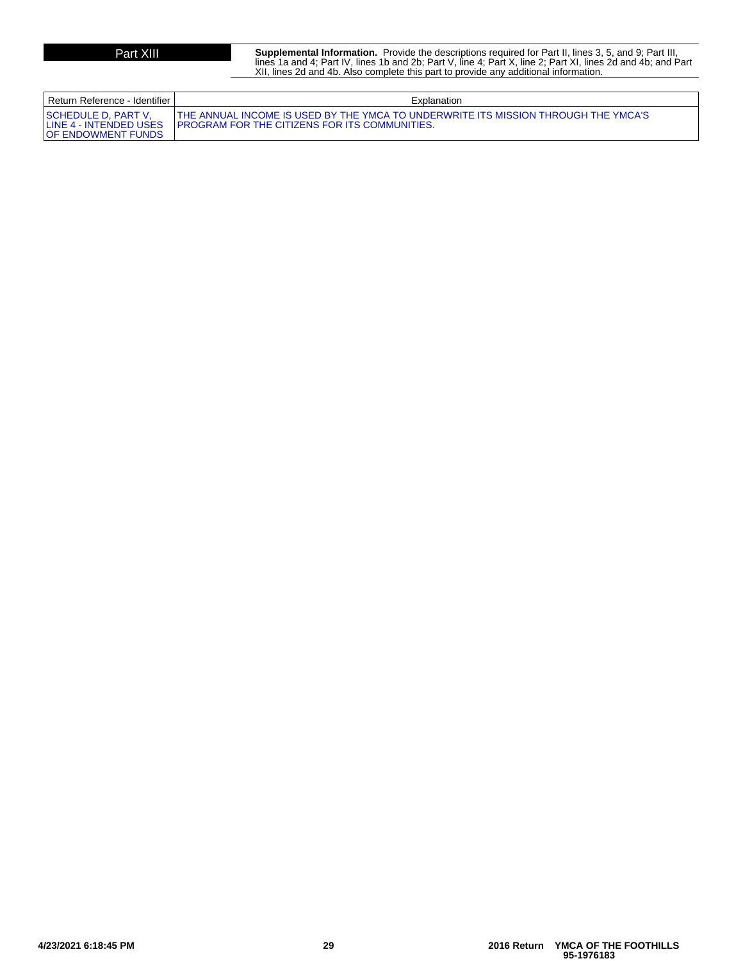**Part XIII** Supplemental Information. Provide the descriptions required for Part II, lines 3, 5, and 9; Part III,<br>lines 1a and 4; Part IV, lines 1b and 2b; Part V, line 4; Part X, line 2; Part XI, lines 2d and 4b; and Part XII, lines 2d and 4b. Also complete this part to provide any additional information.

| Return Reference - Identifier I                                                     | Explanation                                                                                                                                 |
|-------------------------------------------------------------------------------------|---------------------------------------------------------------------------------------------------------------------------------------------|
| <b>ISCHEDULE D. PART V.</b><br>LINE 4 - INTENDED USES<br><b>IOF ENDOWMENT FUNDS</b> | THE ANNUAL INCOME IS USED BY THE YMCA TO UNDERWRITE ITS MISSION THROUGH THE YMCA'S<br><b>IPROGRAM FOR THE CITIZENS FOR ITS COMMUNITIES.</b> |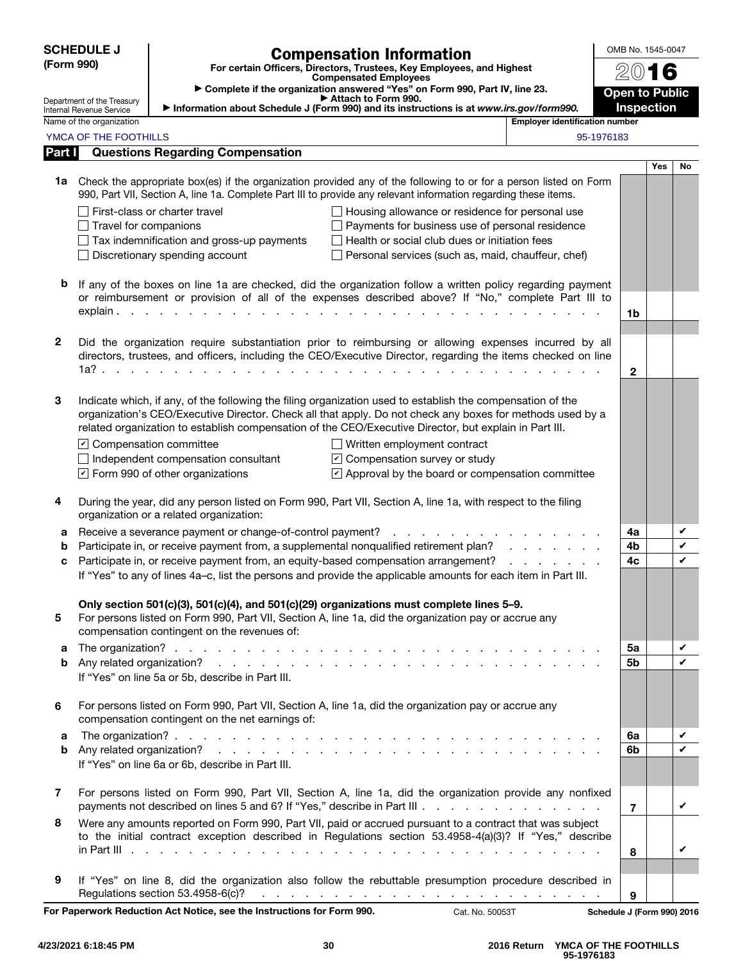| <b>SCHEDULE J</b><br>(Form 990) |                                                                                                                                                                        |                                                                                                                                                                                                                                                 | <b>Compensation Information</b>                                                                                                                                                                                                |                                       | OMB No. 1545-0047          |            |        |
|---------------------------------|------------------------------------------------------------------------------------------------------------------------------------------------------------------------|-------------------------------------------------------------------------------------------------------------------------------------------------------------------------------------------------------------------------------------------------|--------------------------------------------------------------------------------------------------------------------------------------------------------------------------------------------------------------------------------|---------------------------------------|----------------------------|------------|--------|
|                                 |                                                                                                                                                                        |                                                                                                                                                                                                                                                 | For certain Officers, Directors, Trustees, Key Employees, and Highest<br><b>Compensated Employees</b>                                                                                                                          |                                       | 2016                       |            |        |
|                                 | Department of the Treasury                                                                                                                                             |                                                                                                                                                                                                                                                 | Complete if the organization answered "Yes" on Form 990, Part IV, line 23.<br>Attach to Form 990.                                                                                                                              |                                       | <b>Open to Public</b>      |            |        |
|                                 | Internal Revenue Service<br>Name of the organization                                                                                                                   | Information about Schedule J (Form 990) and its instructions is at www.irs.gov/form990.                                                                                                                                                         |                                                                                                                                                                                                                                | <b>Employer identification number</b> | <b>Inspection</b>          |            |        |
|                                 | YMCA OF THE FOOTHILLS                                                                                                                                                  |                                                                                                                                                                                                                                                 |                                                                                                                                                                                                                                |                                       | 95-1976183                 |            |        |
| Part I                          |                                                                                                                                                                        | <b>Questions Regarding Compensation</b>                                                                                                                                                                                                         |                                                                                                                                                                                                                                |                                       |                            |            |        |
|                                 |                                                                                                                                                                        |                                                                                                                                                                                                                                                 |                                                                                                                                                                                                                                |                                       |                            | <b>Yes</b> | No     |
|                                 |                                                                                                                                                                        | 1a Check the appropriate box(es) if the organization provided any of the following to or for a person listed on Form<br>990, Part VII, Section A, line 1a. Complete Part III to provide any relevant information regarding these items.         |                                                                                                                                                                                                                                |                                       |                            |            |        |
|                                 |                                                                                                                                                                        | First-class or charter travel                                                                                                                                                                                                                   | Housing allowance or residence for personal use                                                                                                                                                                                |                                       |                            |            |        |
|                                 | Payments for business use of personal residence<br>Travel for companions<br>Health or social club dues or initiation fees<br>Tax indemnification and gross-up payments |                                                                                                                                                                                                                                                 |                                                                                                                                                                                                                                |                                       |                            |            |        |
|                                 |                                                                                                                                                                        | Discretionary spending account                                                                                                                                                                                                                  | Personal services (such as, maid, chauffeur, chef)                                                                                                                                                                             |                                       |                            |            |        |
|                                 |                                                                                                                                                                        |                                                                                                                                                                                                                                                 |                                                                                                                                                                                                                                |                                       |                            |            |        |
| b                               |                                                                                                                                                                        | If any of the boxes on line 1a are checked, did the organization follow a written policy regarding payment<br>or reimbursement or provision of all of the expenses described above? If "No," complete Part III to                               |                                                                                                                                                                                                                                |                                       |                            |            |        |
|                                 |                                                                                                                                                                        | $explain.$ $\ldots$ $\ldots$ $\ldots$ $\ldots$ $\ldots$ $\ldots$ $\ldots$ $\ldots$ $\ldots$                                                                                                                                                     |                                                                                                                                                                                                                                |                                       | 1b                         |            |        |
|                                 |                                                                                                                                                                        |                                                                                                                                                                                                                                                 |                                                                                                                                                                                                                                |                                       |                            |            |        |
| $\mathbf{2}$                    |                                                                                                                                                                        | Did the organization require substantiation prior to reimbursing or allowing expenses incurred by all<br>directors, trustees, and officers, including the CEO/Executive Director, regarding the items checked on line                           |                                                                                                                                                                                                                                |                                       |                            |            |        |
|                                 |                                                                                                                                                                        | 1a?<br>and a state of the state of the state of                                                                                                                                                                                                 |                                                                                                                                                                                                                                |                                       | $\mathbf{2}$               |            |        |
|                                 |                                                                                                                                                                        |                                                                                                                                                                                                                                                 |                                                                                                                                                                                                                                |                                       |                            |            |        |
| 3                               |                                                                                                                                                                        | Indicate which, if any, of the following the filing organization used to establish the compensation of the                                                                                                                                      |                                                                                                                                                                                                                                |                                       |                            |            |        |
|                                 |                                                                                                                                                                        | organization's CEO/Executive Director. Check all that apply. Do not check any boxes for methods used by a<br>related organization to establish compensation of the CEO/Executive Director, but explain in Part III.                             |                                                                                                                                                                                                                                |                                       |                            |            |        |
|                                 | $\triangleright$ Compensation committee                                                                                                                                |                                                                                                                                                                                                                                                 | $\Box$ Written employment contract                                                                                                                                                                                             |                                       |                            |            |        |
|                                 |                                                                                                                                                                        | Independent compensation consultant                                                                                                                                                                                                             | ☑ Compensation survey or study                                                                                                                                                                                                 |                                       |                            |            |        |
|                                 |                                                                                                                                                                        | $\triangleright$ Form 990 of other organizations                                                                                                                                                                                                | $\triangledown$ Approval by the board or compensation committee                                                                                                                                                                |                                       |                            |            |        |
| 4                               |                                                                                                                                                                        | During the year, did any person listed on Form 990, Part VII, Section A, line 1a, with respect to the filing<br>organization or a related organization:                                                                                         |                                                                                                                                                                                                                                |                                       |                            |            |        |
| а                               |                                                                                                                                                                        | Receive a severance payment or change-of-control payment?                                                                                                                                                                                       |                                                                                                                                                                                                                                |                                       | 4a                         |            | V      |
| b<br>c                          |                                                                                                                                                                        | Participate in, or receive payment from, a supplemental nonqualified retirement plan?<br>Participate in, or receive payment from, an equity-based compensation arrangement?                                                                     |                                                                                                                                                                                                                                |                                       | 4b<br>4c                   |            | V<br>V |
|                                 |                                                                                                                                                                        | If "Yes" to any of lines 4a-c, list the persons and provide the applicable amounts for each item in Part III.                                                                                                                                   |                                                                                                                                                                                                                                |                                       |                            |            |        |
| 5                               |                                                                                                                                                                        | Only section 501(c)(3), 501(c)(4), and 501(c)(29) organizations must complete lines 5-9.<br>For persons listed on Form 990, Part VII, Section A, line 1a, did the organization pay or accrue any<br>compensation contingent on the revenues of: |                                                                                                                                                                                                                                |                                       |                            |            |        |
| а                               |                                                                                                                                                                        |                                                                                                                                                                                                                                                 |                                                                                                                                                                                                                                |                                       | 5a                         |            | V      |
| b                               |                                                                                                                                                                        |                                                                                                                                                                                                                                                 |                                                                                                                                                                                                                                |                                       | 5 <sub>b</sub>             |            | V      |
|                                 |                                                                                                                                                                        | If "Yes" on line 5a or 5b, describe in Part III.                                                                                                                                                                                                |                                                                                                                                                                                                                                |                                       |                            |            |        |
| 6                               |                                                                                                                                                                        | For persons listed on Form 990, Part VII, Section A, line 1a, did the organization pay or accrue any<br>compensation contingent on the net earnings of:                                                                                         |                                                                                                                                                                                                                                |                                       |                            |            |        |
| a                               |                                                                                                                                                                        |                                                                                                                                                                                                                                                 |                                                                                                                                                                                                                                |                                       | 6a                         |            | V      |
| b                               |                                                                                                                                                                        | If "Yes" on line 6a or 6b, describe in Part III.                                                                                                                                                                                                |                                                                                                                                                                                                                                |                                       | 6b                         |            | V      |
| $\overline{\mathbf{z}}$         |                                                                                                                                                                        | For persons listed on Form 990, Part VII, Section A, line 1a, did the organization provide any nonfixed<br>payments not described on lines 5 and 6? If "Yes," describe in Part III                                                              |                                                                                                                                                                                                                                |                                       | $\overline{7}$             |            | V      |
| 8                               |                                                                                                                                                                        | Were any amounts reported on Form 990, Part VII, paid or accrued pursuant to a contract that was subject<br>to the initial contract exception described in Regulations section 53.4958-4(a)(3)? If "Yes," describe                              |                                                                                                                                                                                                                                |                                       |                            |            | V      |
|                                 |                                                                                                                                                                        |                                                                                                                                                                                                                                                 |                                                                                                                                                                                                                                |                                       | 8                          |            |        |
| 9                               |                                                                                                                                                                        | If "Yes" on line 8, did the organization also follow the rebuttable presumption procedure described in<br>Regulations section 53.4958-6(c)?                                                                                                     | and the contract of the contract of the contract of the contract of the contract of the contract of the contract of the contract of the contract of the contract of the contract of the contract of the contract of the contra |                                       | 9                          |            |        |
|                                 |                                                                                                                                                                        | For Paperwork Reduction Act Notice, see the Instructions for Form 990.                                                                                                                                                                          | Cat. No. 50053T                                                                                                                                                                                                                |                                       | Schedule J (Form 990) 2016 |            |        |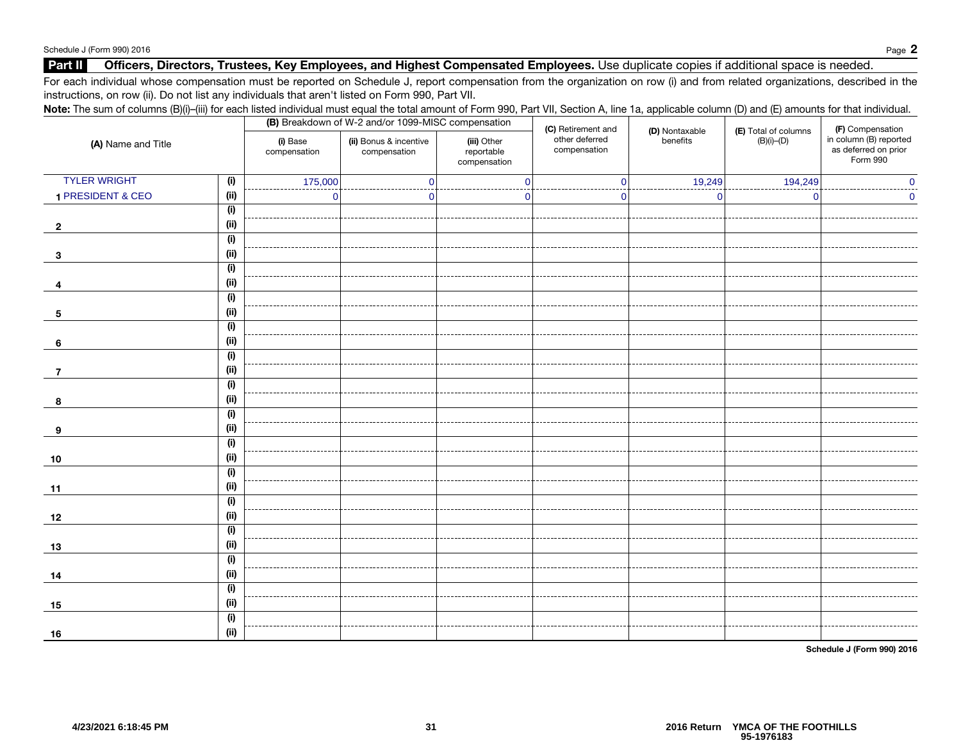### Part II Officers, Directors, Trustees, Key Employees, and Highest Compensated Employees. Use duplicate copies if additional space is needed.

For each individual whose compensation must be reported on Schedule J, report compensation from the organization on row (i) and from related organizations, described in the instructions, on row (ii). Do not list any individuals that aren't listed on Form 990, Part VII.

| (A) Name and Title  |      | (i) Base<br>compensation | (ii) Bonus & incentive<br>compensation | Note: The sum of columns (B)(i)-(iii) for each listed individual must equal the total amount of Form 990, Part VII, Section A, line 1a, applicable column (D) and (E) amounts for that individual.<br>(B) Breakdown of W-2 and/or 1099-MISC compensation<br>(C) Retirement and<br>(D) Nontaxable<br>(E) Total of columns<br>other deferred<br>(iii) Other<br>$(B)(i)$ - $(D)$<br>benefits<br>compensation<br>reportable<br>compensation<br>19,249<br>194,249<br>$\Omega$<br>$\Omega$<br>$\Omega$<br>O<br>0 | (F) Compensation<br>in column (B) reported<br>as deferred on prior<br>Form 990 |  |  |
|---------------------|------|--------------------------|----------------------------------------|------------------------------------------------------------------------------------------------------------------------------------------------------------------------------------------------------------------------------------------------------------------------------------------------------------------------------------------------------------------------------------------------------------------------------------------------------------------------------------------------------------|--------------------------------------------------------------------------------|--|--|
| <b>TYLER WRIGHT</b> | (i)  | 175,000                  |                                        |                                                                                                                                                                                                                                                                                                                                                                                                                                                                                                            |                                                                                |  |  |
| 1 PRESIDENT & CEO   | (ii) | $\mathbf 0$              |                                        |                                                                                                                                                                                                                                                                                                                                                                                                                                                                                                            |                                                                                |  |  |
|                     | (i)  |                          |                                        |                                                                                                                                                                                                                                                                                                                                                                                                                                                                                                            |                                                                                |  |  |
| $\overline{2}$      | (ii) |                          |                                        |                                                                                                                                                                                                                                                                                                                                                                                                                                                                                                            |                                                                                |  |  |
|                     | (i)  |                          |                                        |                                                                                                                                                                                                                                                                                                                                                                                                                                                                                                            |                                                                                |  |  |
| 3                   | (ii) |                          |                                        |                                                                                                                                                                                                                                                                                                                                                                                                                                                                                                            |                                                                                |  |  |
|                     | (i)  |                          |                                        |                                                                                                                                                                                                                                                                                                                                                                                                                                                                                                            |                                                                                |  |  |
| 4                   | (ii) |                          |                                        |                                                                                                                                                                                                                                                                                                                                                                                                                                                                                                            |                                                                                |  |  |
|                     | (i)  |                          |                                        |                                                                                                                                                                                                                                                                                                                                                                                                                                                                                                            |                                                                                |  |  |
| 5                   | (ii) |                          |                                        |                                                                                                                                                                                                                                                                                                                                                                                                                                                                                                            |                                                                                |  |  |
|                     | (i)  |                          |                                        |                                                                                                                                                                                                                                                                                                                                                                                                                                                                                                            |                                                                                |  |  |
| 6                   | (ii) |                          |                                        |                                                                                                                                                                                                                                                                                                                                                                                                                                                                                                            |                                                                                |  |  |
|                     | (i)  |                          |                                        |                                                                                                                                                                                                                                                                                                                                                                                                                                                                                                            |                                                                                |  |  |
| 7                   | (ii) |                          |                                        |                                                                                                                                                                                                                                                                                                                                                                                                                                                                                                            |                                                                                |  |  |
|                     | (i)  |                          |                                        |                                                                                                                                                                                                                                                                                                                                                                                                                                                                                                            |                                                                                |  |  |
| 8                   | (ii) |                          |                                        |                                                                                                                                                                                                                                                                                                                                                                                                                                                                                                            |                                                                                |  |  |
|                     | (i)  |                          |                                        |                                                                                                                                                                                                                                                                                                                                                                                                                                                                                                            |                                                                                |  |  |
| 9                   | (ii) |                          |                                        |                                                                                                                                                                                                                                                                                                                                                                                                                                                                                                            |                                                                                |  |  |
|                     | (i)  |                          |                                        |                                                                                                                                                                                                                                                                                                                                                                                                                                                                                                            |                                                                                |  |  |
| 10                  | (ii) |                          |                                        |                                                                                                                                                                                                                                                                                                                                                                                                                                                                                                            |                                                                                |  |  |
|                     | (i)  |                          |                                        |                                                                                                                                                                                                                                                                                                                                                                                                                                                                                                            |                                                                                |  |  |
| 11                  | (ii) |                          |                                        |                                                                                                                                                                                                                                                                                                                                                                                                                                                                                                            |                                                                                |  |  |
|                     | (i)  |                          |                                        |                                                                                                                                                                                                                                                                                                                                                                                                                                                                                                            |                                                                                |  |  |
| 12                  | (ii) |                          |                                        |                                                                                                                                                                                                                                                                                                                                                                                                                                                                                                            |                                                                                |  |  |
|                     | (i)  |                          |                                        |                                                                                                                                                                                                                                                                                                                                                                                                                                                                                                            |                                                                                |  |  |
| 13                  | (ii) |                          |                                        |                                                                                                                                                                                                                                                                                                                                                                                                                                                                                                            |                                                                                |  |  |
|                     | (i)  |                          |                                        |                                                                                                                                                                                                                                                                                                                                                                                                                                                                                                            |                                                                                |  |  |
| 14                  | (ii) |                          |                                        |                                                                                                                                                                                                                                                                                                                                                                                                                                                                                                            |                                                                                |  |  |
|                     | (i)  |                          |                                        |                                                                                                                                                                                                                                                                                                                                                                                                                                                                                                            |                                                                                |  |  |
| 15                  | (ii) |                          |                                        |                                                                                                                                                                                                                                                                                                                                                                                                                                                                                                            |                                                                                |  |  |
|                     | (i)  |                          |                                        |                                                                                                                                                                                                                                                                                                                                                                                                                                                                                                            |                                                                                |  |  |
| 16                  | (ii) |                          |                                        |                                                                                                                                                                                                                                                                                                                                                                                                                                                                                                            |                                                                                |  |  |

Schedule J (Form 990) 2016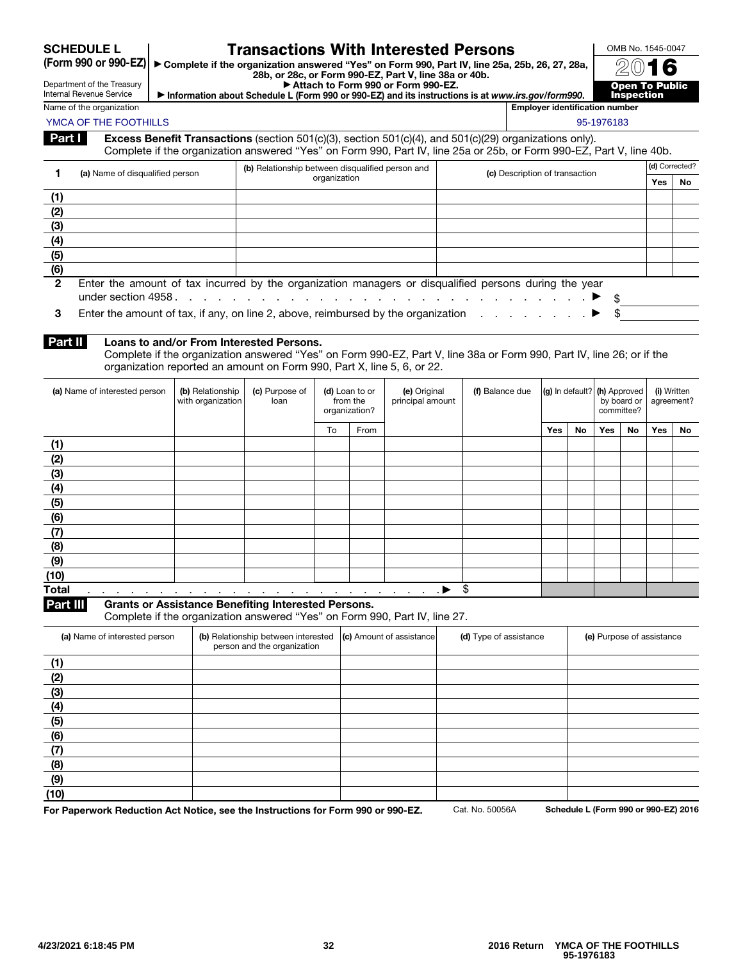SCHEDULE L<br>(Form 990 or 990-EZ)

# Transactions With Interested Persons

▶ Complete if the organization answered "Yes" on Form 990, Part IV, line 25a, 25b, 26, 27, 28a, 28b, or 28c, or Form 990-EZ, Part V, line 38a or 40b. ▶ Attach to Form 990 or Form 990-EZ.

Department of the Treasury Internal Revenue Service

| , ANGULI NJ I VITIL VUV VI I VITIL VUV EET                                                        |  |  |  |  |  |  |  |  |  |
|---------------------------------------------------------------------------------------------------|--|--|--|--|--|--|--|--|--|
| Information about Schedule L (Form 990 or 990-EZ) and its instructions is at www.irs.gov/form990. |  |  |  |  |  |  |  |  |  |



Name of the organization **Employer identification number**  $\blacksquare$  **Employer identification number** YMCA OF THE FOOTHILLS AND THE SECOND ASSAULT AND THE SECOND ASSAULT AND THE SECOND ASSAULT AND SECOND ASSAULT AND SECOND ASSAULT AND SECOND ASSAULT AND SECOND ASSAULT AND SECOND ASSAULT AND SECOND ASSAULT AND SECOND ASSAUL

| Part I I | <b>Excess Benefit Transactions</b> (section 501(c)(3), section 501(c)(4), and 501(c)(29) organizations only).        |
|----------|----------------------------------------------------------------------------------------------------------------------|
|          | Complete if the organization answered "Yes" on Form 990, Part IV, line 25a or 25b, or Form 990-EZ, Part V, line 40b. |

|              | (a) Name of disqualified person                                                                       | (b) Relationship between disqualified person and                                                      | (c) Description of transaction | (d) Corrected? |    |  |  |  |  |  |  |
|--------------|-------------------------------------------------------------------------------------------------------|-------------------------------------------------------------------------------------------------------|--------------------------------|----------------|----|--|--|--|--|--|--|
|              |                                                                                                       | organization                                                                                          |                                | Yes            | No |  |  |  |  |  |  |
| (1)          |                                                                                                       |                                                                                                       |                                |                |    |  |  |  |  |  |  |
| (2)          |                                                                                                       |                                                                                                       |                                |                |    |  |  |  |  |  |  |
| (3)          |                                                                                                       |                                                                                                       |                                |                |    |  |  |  |  |  |  |
| (4)          |                                                                                                       |                                                                                                       |                                |                |    |  |  |  |  |  |  |
| (5)          |                                                                                                       |                                                                                                       |                                |                |    |  |  |  |  |  |  |
| (6)          |                                                                                                       |                                                                                                       |                                |                |    |  |  |  |  |  |  |
| $\mathbf{2}$ |                                                                                                       | Enter the amount of tax incurred by the organization managers or disqualified persons during the year |                                |                |    |  |  |  |  |  |  |
|              |                                                                                                       |                                                                                                       |                                |                |    |  |  |  |  |  |  |
| з            | Enter the amount of tax, if any, on line 2, above, reimbursed by the organization $\ldots$ , $\ldots$ |                                                                                                       |                                |                |    |  |  |  |  |  |  |

3 Enter the amount of tax, if any, on line 2, above, reimbursed by the organization . . . . . . .

#### Part II Loans to and/or From Interested Persons.

Complete if the organization answered "Yes" on Form 990-EZ, Part V, line 38a or Form 990, Part IV, line 26; or if the organization reported an amount on Form 990, Part X, line 5, 6, or 22.

| (a) Name of interested person                                                                                                                                                                                                                         | (b) Relationship<br>with organization | (c) Purpose of<br>loan | (d) Loan to or<br>from the<br>organization? |      |    |  |     |    | (e) Original<br>principal amount | (f) Balance due | (g) In default? (h) Approved |    | by board or<br>committee? |  | (i) Written<br>agreement? |  |
|-------------------------------------------------------------------------------------------------------------------------------------------------------------------------------------------------------------------------------------------------------|---------------------------------------|------------------------|---------------------------------------------|------|----|--|-----|----|----------------------------------|-----------------|------------------------------|----|---------------------------|--|---------------------------|--|
|                                                                                                                                                                                                                                                       |                                       |                        | To                                          | From |    |  | Yes | No | Yes                              | No              | Yes                          | No |                           |  |                           |  |
| (1)                                                                                                                                                                                                                                                   |                                       |                        |                                             |      |    |  |     |    |                                  |                 |                              |    |                           |  |                           |  |
| (2)                                                                                                                                                                                                                                                   |                                       |                        |                                             |      |    |  |     |    |                                  |                 |                              |    |                           |  |                           |  |
| (3)                                                                                                                                                                                                                                                   |                                       |                        |                                             |      |    |  |     |    |                                  |                 |                              |    |                           |  |                           |  |
| (4)                                                                                                                                                                                                                                                   |                                       |                        |                                             |      |    |  |     |    |                                  |                 |                              |    |                           |  |                           |  |
| (5)                                                                                                                                                                                                                                                   |                                       |                        |                                             |      |    |  |     |    |                                  |                 |                              |    |                           |  |                           |  |
| (6)                                                                                                                                                                                                                                                   |                                       |                        |                                             |      |    |  |     |    |                                  |                 |                              |    |                           |  |                           |  |
| (7)                                                                                                                                                                                                                                                   |                                       |                        |                                             |      |    |  |     |    |                                  |                 |                              |    |                           |  |                           |  |
| (8)                                                                                                                                                                                                                                                   |                                       |                        |                                             |      |    |  |     |    |                                  |                 |                              |    |                           |  |                           |  |
| (9)                                                                                                                                                                                                                                                   |                                       |                        |                                             |      |    |  |     |    |                                  |                 |                              |    |                           |  |                           |  |
| (10)                                                                                                                                                                                                                                                  |                                       |                        |                                             |      |    |  |     |    |                                  |                 |                              |    |                           |  |                           |  |
| <b>Total</b><br>$\blacklozenge$ . The contract of the contract of the contract of the contract of the contract of the contract of the contract of the contract of the contract of the contract of the contract of the contract of the contract of the |                                       |                        |                                             |      | \$ |  |     |    |                                  |                 |                              |    |                           |  |                           |  |

Part III Grants or Assistance Benefiting Interested Persons.

Complete if the organization answered "Yes" on Form 990, Part IV, line 27.

| (a) Name of interested person | (b) Relationship between interested (c) Amount of assistance<br>person and the organization | (d) Type of assistance | (e) Purpose of assistance |
|-------------------------------|---------------------------------------------------------------------------------------------|------------------------|---------------------------|
| (1)                           |                                                                                             |                        |                           |
| (2)                           |                                                                                             |                        |                           |
| (3)                           |                                                                                             |                        |                           |
| (4)                           |                                                                                             |                        |                           |
| (5)                           |                                                                                             |                        |                           |
| (6)                           |                                                                                             |                        |                           |
| (7)                           |                                                                                             |                        |                           |
| (8)                           |                                                                                             |                        |                           |
| (9)                           |                                                                                             |                        |                           |
| (10)                          |                                                                                             |                        |                           |

For Paperwork Reduction Act Notice, see the Instructions for Form 990 or 990-EZ. Cat. No. 50056A Schedule L (Form 990 or 990-EZ) 2016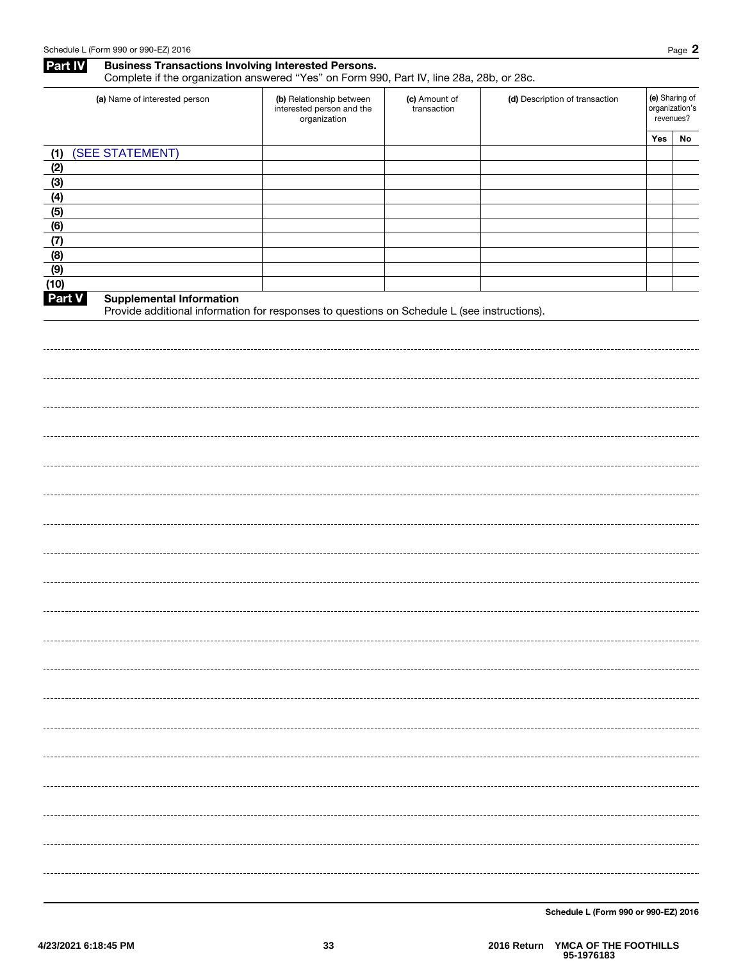|                | <b>Business Transactions Involving Interested Persons.</b> | Complete if the organization answered "Yes" on Form 990, Part IV, line 28a, 28b, or 28c. |                              |                                |                                               | Page 2 |
|----------------|------------------------------------------------------------|------------------------------------------------------------------------------------------|------------------------------|--------------------------------|-----------------------------------------------|--------|
|                | (a) Name of interested person                              | (b) Relationship between<br>interested person and the<br>organization                    | (c) Amount of<br>transaction | (d) Description of transaction | (e) Sharing of<br>organization's<br>revenues? |        |
| (1)            | (SEE STATEMENT)                                            |                                                                                          |                              |                                | Yes                                           | No     |
| (2)            |                                                            |                                                                                          |                              |                                |                                               |        |
|                |                                                            |                                                                                          |                              |                                |                                               |        |
|                |                                                            |                                                                                          |                              |                                |                                               |        |
|                |                                                            |                                                                                          |                              |                                |                                               |        |
|                |                                                            |                                                                                          |                              |                                |                                               |        |
|                |                                                            |                                                                                          |                              |                                |                                               |        |
|                |                                                            |                                                                                          |                              |                                |                                               |        |
| (10)<br>Part V | <b>Supplemental Information</b>                            |                                                                                          |                              |                                |                                               |        |
|                |                                                            |                                                                                          |                              |                                |                                               |        |
|                |                                                            |                                                                                          |                              |                                |                                               |        |
|                |                                                            |                                                                                          |                              |                                |                                               |        |
|                |                                                            |                                                                                          |                              |                                |                                               |        |
|                |                                                            |                                                                                          |                              |                                |                                               |        |
|                |                                                            |                                                                                          |                              |                                |                                               |        |
|                |                                                            |                                                                                          |                              |                                |                                               |        |
|                |                                                            |                                                                                          |                              |                                |                                               |        |

Schedule L (Form 990 or 990-EZ) 2016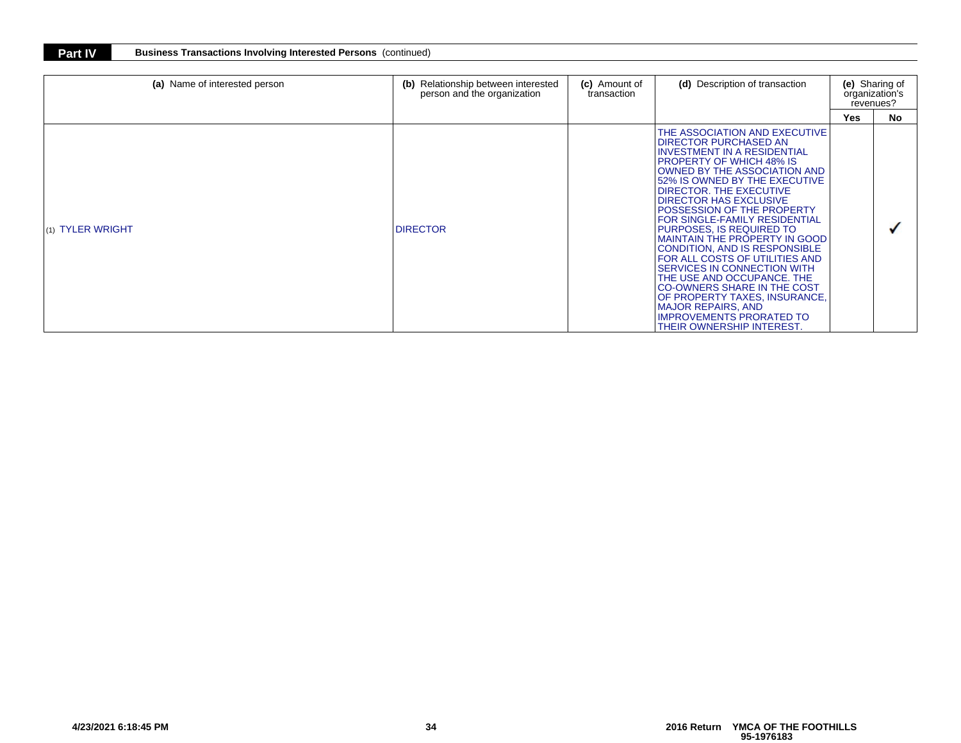| <b>Part IV</b> | <b>Business Transactions Involving Interested Persons (continued)</b> |  |
|----------------|-----------------------------------------------------------------------|--|
|----------------|-----------------------------------------------------------------------|--|

| (a) Name of interested person | (b) Relationship between interested<br>person and the organization | (c) Amount of<br>transaction | (d) Description of transaction                                                                                                                                                                                                                                                                                                                                                                                                                                                                                                                                                                                                                                                                                                          | (e) Sharing of<br>organization's<br>revenues? |           |
|-------------------------------|--------------------------------------------------------------------|------------------------------|-----------------------------------------------------------------------------------------------------------------------------------------------------------------------------------------------------------------------------------------------------------------------------------------------------------------------------------------------------------------------------------------------------------------------------------------------------------------------------------------------------------------------------------------------------------------------------------------------------------------------------------------------------------------------------------------------------------------------------------------|-----------------------------------------------|-----------|
|                               |                                                                    |                              |                                                                                                                                                                                                                                                                                                                                                                                                                                                                                                                                                                                                                                                                                                                                         | Yes                                           | <b>No</b> |
| (1) TYLER WRIGHT              | <b>DIRECTOR</b>                                                    |                              | THE ASSOCIATION AND EXECUTIVE<br><b>DIRECTOR PURCHASED AN</b><br><b>INVESTMENT IN A RESIDENTIAL</b><br><b>IPROPERTY OF WHICH 48% IS</b><br>OWNED BY THE ASSOCIATION AND<br>52% IS OWNED BY THE EXECUTIVE<br><b>DIRECTOR. THE EXECUTIVE</b><br><b>DIRECTOR HAS EXCLUSIVE</b><br><b>POSSESSION OF THE PROPERTY</b><br>FOR SINGLE-FAMILY RESIDENTIAL<br>PURPOSES, IS REQUIRED TO<br><b>MAINTAIN THE PROPERTY IN GOOD</b><br><b>CONDITION, AND IS RESPONSIBLE</b><br>FOR ALL COSTS OF UTILITIES AND<br><b>SERVICES IN CONNECTION WITH</b><br>THE USE AND OCCUPANCE. THE<br><b>CO-OWNERS SHARE IN THE COST</b><br>OF PROPERTY TAXES, INSURANCE,<br><b>MAJOR REPAIRS, AND</b><br><b>IMPROVEMENTS PRORATED TO</b><br>THEIR OWNERSHIP INTEREST. |                                               |           |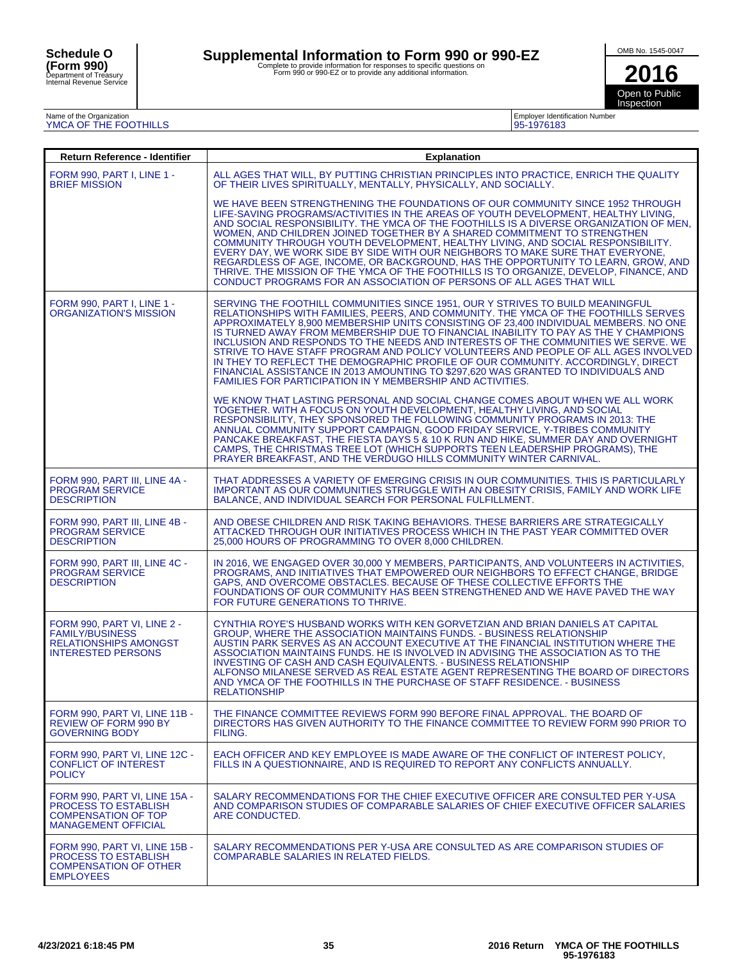# Supplemental Information to Form 990 or 990-EZ<br>Complete to provide information for responses to specific questions on<br>Form 990 or 990-EZ or to provide any additional information.

OMB No. 1545-0047

**2016** Open to Public Inspection

# Name of the Organization YMCA OF THE FOOTHILLS

| <b>Employer Identification Number</b> |  |
|---------------------------------------|--|
| 95-1976183                            |  |

| Return Reference - Identifier                                                                                            | Explanation                                                                                                                                                                                                                                                                                                                                                                                                                                                                                                                                                                                                                                                                                                                                                             |
|--------------------------------------------------------------------------------------------------------------------------|-------------------------------------------------------------------------------------------------------------------------------------------------------------------------------------------------------------------------------------------------------------------------------------------------------------------------------------------------------------------------------------------------------------------------------------------------------------------------------------------------------------------------------------------------------------------------------------------------------------------------------------------------------------------------------------------------------------------------------------------------------------------------|
| <b>FORM 990, PART I, LINE 1 -</b><br><b>BRIEF MISSION</b>                                                                | ALL AGES THAT WILL, BY PUTTING CHRISTIAN PRINCIPLES INTO PRACTICE, ENRICH THE QUALITY<br>OF THEIR LIVES SPIRITUALLY, MENTALLY, PHYSICALLY, AND SOCIALLY.                                                                                                                                                                                                                                                                                                                                                                                                                                                                                                                                                                                                                |
|                                                                                                                          | WE HAVE BEEN STRENGTHENING THE FOUNDATIONS OF OUR COMMUNITY SINCE 1952 THROUGH<br>LIFE-SAVING PROGRAMS/ACTIVITIES IN THE AREAS OF YOUTH DEVELOPMENT, HEALTHY LIVING,<br>AND SOCIAL RESPONSIBILITY. THE YMCA OF THE FOOTHILLS IS A DIVERSE ORGANIZATION OF MEN,<br>WOMEN, AND CHILDREN JOINED TOGETHER BY A SHARED COMMITMENT TO STRENGTHEN<br>COMMUNITY THROUGH YOUTH DEVELOPMENT, HEALTHY LIVING, AND SOCIAL RESPONSIBILITY.<br>EVERY DAY, WE WORK SIDE BY SIDE WITH OUR NEIGHBORS TO MAKE SURE THAT EVERYONE,<br>REGARDLESS OF AGE, INCOME, OR BACKGROUND, HAS THE OPPORTUNITY TO LEARN, GROW, AND<br>THRIVE. THE MISSION OF THE YMCA OF THE FOOTHILLS IS TO ORGANIZE, DEVELOP, FINANCE, AND<br>CONDUCT PROGRAMS FOR AN ASSOCIATION OF PERSONS OF ALL AGES THAT WILL  |
| <b>FORM 990. PART I. LINE 1 -</b><br><b>ORGANIZATION'S MISSION</b>                                                       | SERVING THE FOOTHILL COMMUNITIES SINCE 1951, OUR Y STRIVES TO BUILD MEANINGFUL<br>RELATIONSHIPS WITH FAMILIES, PEERS, AND COMMUNITY. THE YMCA OF THE FOOTHILLS SERVES<br>APPROXIMATELY 8,900 MEMBERSHIP UNITS CONSISTING OF 23,400 INDIVIDUAL MEMBERS. NO ONE<br>IS TURNED AWAY FROM MEMBERSHIP DUE TO FINANCIAL INABILITY TO PAY AS THE Y CHAMPIONS<br>INCLUSION AND RESPONDS TO THE NEEDS AND INTERESTS OF THE COMMUNITIES WE SERVE. WE<br>STRIVE TO HAVE STAFF PROGRAM AND POLICY VOLUNTEERS AND PEOPLE OF ALL AGES INVOLVED<br>IN THEY TO REFLECT THE DEMOGRAPHIC PROFILE OF OUR COMMUNITY. ACCORDINGLY, DIRECT<br>FINANCIAL ASSISTANCE IN 2013 AMOUNTING TO \$297,620 WAS GRANTED TO INDIVIDUALS AND<br>FAMILIES FOR PARTICIPATION IN Y MEMBERSHIP AND ACTIVITIES. |
|                                                                                                                          | WE KNOW THAT LASTING PERSONAL AND SOCIAL CHANGE COMES ABOUT WHEN WE ALL WORK<br>TOGETHER. WITH A FOCUS ON YOUTH DEVELOPMENT, HEALTHY LIVING, AND SOCIAL<br>RESPONSIBILITY, THEY SPONSORED THE FOLLOWING COMMUNITY PROGRAMS IN 2013: THE<br>ANNUAL COMMUNITY SUPPORT CAMPAIGN, GOOD FRIDAY SERVICE, Y-TRIBES COMMUNITY<br>PANCAKE BREAKFAST. THE FIESTA DAYS 5 & 10 K RUN AND HIKE. SUMMER DAY AND OVERNIGHT<br>CAMPS, THE CHRISTMAS TREE LOT (WHICH SUPPORTS TEEN LEADERSHIP PROGRAMS), THE<br>PRAYER BREAKFAST. AND THE VERDUGO HILLS COMMUNITY WINTER CARNIVAL.                                                                                                                                                                                                       |
| FORM 990, PART III, LINE 4A -<br><b>PROGRAM SERVICE</b><br><b>DESCRIPTION</b>                                            | THAT ADDRESSES A VARIETY OF EMERGING CRISIS IN OUR COMMUNITIES. THIS IS PARTICULARLY<br>IMPORTANT AS OUR COMMUNITIES STRUGGLE WITH AN OBESITY CRISIS, FAMILY AND WORK LIFE<br>BALANCE, AND INDIVIDUAL SEARCH FOR PERSONAL FULFILLMENT.                                                                                                                                                                                                                                                                                                                                                                                                                                                                                                                                  |
| FORM 990, PART III, LINE 4B -<br><b>PROGRAM SERVICE</b><br><b>DESCRIPTION</b>                                            | AND OBESE CHILDREN AND RISK TAKING BEHAVIORS. THESE BARRIERS ARE STRATEGICALLY<br>ATTACKED THROUGH OUR INITIATIVES PROCESS WHICH IN THE PAST YEAR COMMITTED OVER<br>25,000 HOURS OF PROGRAMMING TO OVER 8,000 CHILDREN.                                                                                                                                                                                                                                                                                                                                                                                                                                                                                                                                                 |
| FORM 990, PART III, LINE 4C -<br><b>PROGRAM SERVICE</b><br><b>DESCRIPTION</b>                                            | IN 2016, WE ENGAGED OVER 30,000 Y MEMBERS, PARTICIPANTS, AND VOLUNTEERS IN ACTIVITIES,<br>PROGRAMS, AND INITIATIVES THAT EMPOWERED OUR NEIGHBORS TO EFFECT CHANGE, BRIDGE<br>GAPS, AND OVERCOME OBSTACLES. BECAUSE OF THESE COLLECTIVE EFFORTS THE<br>FOUNDATIONS OF OUR COMMUNITY HAS BEEN STRENGTHENED AND WE HAVE PAVED THE WAY<br>FOR FUTURE GENERATIONS TO THRIVE.                                                                                                                                                                                                                                                                                                                                                                                                 |
| FORM 990, PART VI, LINE 2 -<br><b>FAMILY/BUSINESS</b><br><b>RELATIONSHIPS AMONGST</b><br><b>INTERESTED PERSONS</b>       | CYNTHIA ROYE'S HUSBAND WORKS WITH KEN GORVETZIAN AND BRIAN DANIELS AT CAPITAL<br>GROUP, WHERE THE ASSOCIATION MAINTAINS FUNDS. - BUSINESS RELATIONSHIP<br>AUSTIN PARK SERVES AS AN ACCOUNT EXECUTIVE AT THE FINANCIAL INSTITUTION WHERE THE<br>ASSOCIATION MAINTAINS FUNDS. HE IS INVOLVED IN ADVISING THE ASSOCIATION AS TO THE<br>INVESTING OF CASH AND CASH EQUIVALENTS. - BUSINESS RELATIONSHIP<br>ALFONSO MILANESE SERVED AS REAL ESTATE AGENT REPRESENTING THE BOARD OF DIRECTORS<br>AND YMCA OF THE FOOTHILLS IN THE PURCHASE OF STAFF RESIDENCE. - BUSINESS<br><b>RELATIONSHIP</b>                                                                                                                                                                              |
| FORM 990, PART VI, LINE 11B -<br><b>REVIEW OF FORM 990 BY</b><br><b>GOVERNING BODY</b>                                   | THE FINANCE COMMITTEE REVIEWS FORM 990 BEFORE FINAL APPROVAL. THE BOARD OF<br>DIRECTORS HAS GIVEN AUTHORITY TO THE FINANCE COMMITTEE TO REVIEW FORM 990 PRIOR TO<br>FILING.                                                                                                                                                                                                                                                                                                                                                                                                                                                                                                                                                                                             |
| FORM 990, PART VI, LINE 12C -<br><b>CONFLICT OF INTEREST</b><br><b>POLICY</b>                                            | EACH OFFICER AND KEY EMPLOYEE IS MADE AWARE OF THE CONFLICT OF INTEREST POLICY.<br>FILLS IN A QUESTIONNAIRE, AND IS REQUIRED TO REPORT ANY CONFLICTS ANNUALLY.                                                                                                                                                                                                                                                                                                                                                                                                                                                                                                                                                                                                          |
| FORM 990, PART VI, LINE 15A -<br><b>PROCESS TO ESTABLISH</b><br><b>COMPENSATION OF TOP</b><br><b>MANAGEMENT OFFICIAL</b> | SALARY RECOMMENDATIONS FOR THE CHIEF EXECUTIVE OFFICER ARE CONSULTED PER Y-USA<br>AND COMPARISON STUDIES OF COMPARABLE SALARIES OF CHIEF EXECUTIVE OFFICER SALARIES<br>ARE CONDUCTED.                                                                                                                                                                                                                                                                                                                                                                                                                                                                                                                                                                                   |
| FORM 990. PART VI. LINE 15B -<br><b>PROCESS TO ESTABLISH</b><br><b>COMPENSATION OF OTHER</b><br><b>EMPLOYEES</b>         | SALARY RECOMMENDATIONS PER Y-USA ARE CONSULTED AS ARE COMPARISON STUDIES OF<br><b>COMPARABLE SALARIES IN RELATED FIELDS.</b>                                                                                                                                                                                                                                                                                                                                                                                                                                                                                                                                                                                                                                            |
|                                                                                                                          |                                                                                                                                                                                                                                                                                                                                                                                                                                                                                                                                                                                                                                                                                                                                                                         |